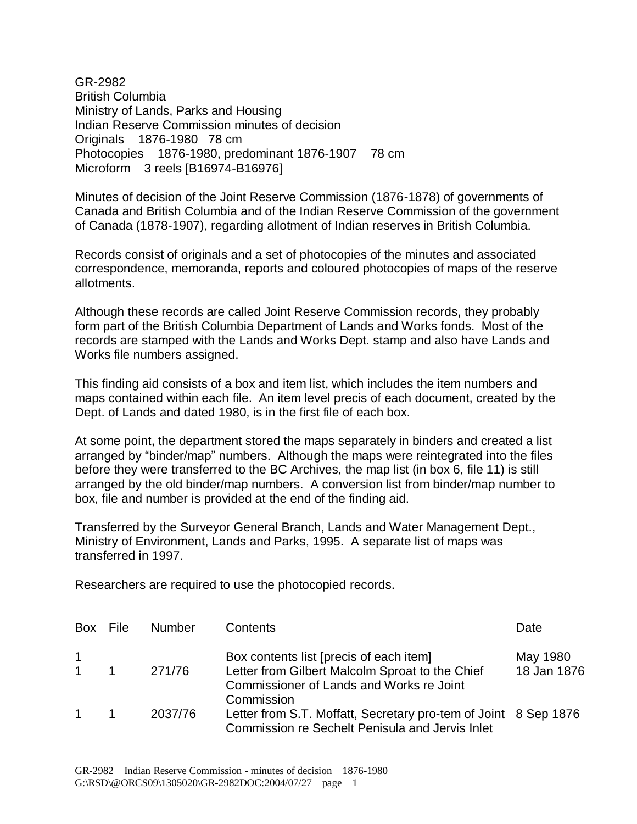GR-2982 British Columbia Ministry of Lands, Parks and Housing Indian Reserve Commission minutes of decision Originals 1876-1980 78 cm Photocopies 1876-1980, predominant 1876-1907 78 cm Microform 3 reels [B16974-B16976]

Minutes of decision of the Joint Reserve Commission (1876-1878) of governments of Canada and British Columbia and of the Indian Reserve Commission of the government of Canada (1878-1907), regarding allotment of Indian reserves in British Columbia.

Records consist of originals and a set of photocopies of the minutes and associated correspondence, memoranda, reports and coloured photocopies of maps of the reserve allotments.

Although these records are called Joint Reserve Commission records, they probably form part of the British Columbia Department of Lands and Works fonds. Most of the records are stamped with the Lands and Works Dept. stamp and also have Lands and Works file numbers assigned.

This finding aid consists of a box and item list, which includes the item numbers and maps contained within each file. An item level precis of each document, created by the Dept. of Lands and dated 1980, is in the first file of each box.

At some point, the department stored the maps separately in binders and created a list arranged by "binder/map" numbers. Although the maps were reintegrated into the files before they were transferred to the BC Archives, the map list (in box 6, file 11) is still arranged by the old binder/map numbers. A conversion list from binder/map number to box, file and number is provided at the end of the finding aid.

Transferred by the Surveyor General Branch, Lands and Water Management Dept., Ministry of Environment, Lands and Parks, 1995. A separate list of maps was transferred in 1997.

Researchers are required to use the photocopied records.

| Box File                      | <b>Number</b> | Contents                                                                                                                               | Date                    |
|-------------------------------|---------------|----------------------------------------------------------------------------------------------------------------------------------------|-------------------------|
| $\overline{1}$<br>$\mathbf 1$ | 271/76        | Box contents list [precis of each item]<br>Letter from Gilbert Malcolm Sproat to the Chief<br>Commissioner of Lands and Works re Joint | May 1980<br>18 Jan 1876 |
|                               | 2037/76       | Commission<br>Letter from S.T. Moffatt, Secretary pro-tem of Joint 8 Sep 1876<br>Commission re Sechelt Penisula and Jervis Inlet       |                         |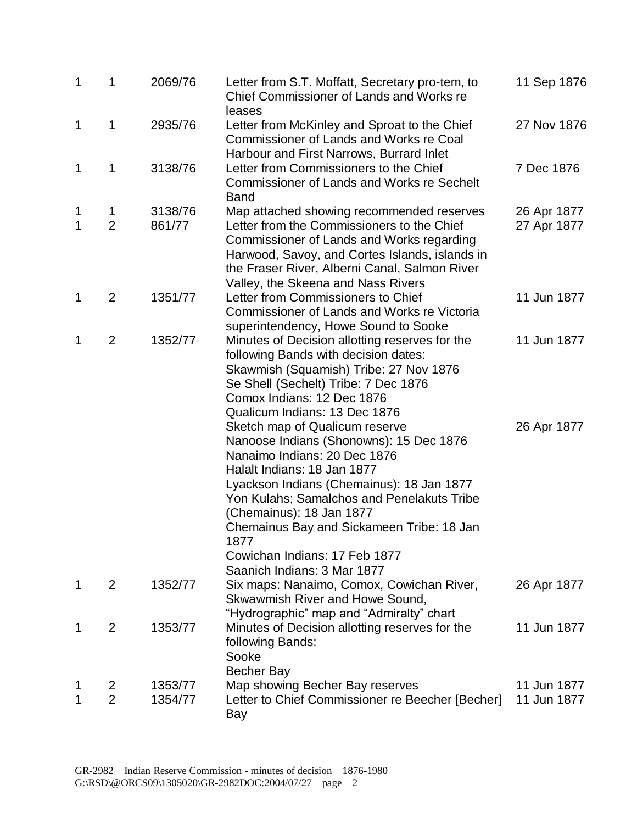| 1                 | 1                   | 2069/76           | Letter from S.T. Moffatt, Secretary pro-tem, to<br>Chief Commissioner of Lands and Works re                                                                                                                                                                                                                                                                                          | 11 Sep 1876                |
|-------------------|---------------------|-------------------|--------------------------------------------------------------------------------------------------------------------------------------------------------------------------------------------------------------------------------------------------------------------------------------------------------------------------------------------------------------------------------------|----------------------------|
| 1                 | 1                   | 2935/76           | leases<br>Letter from McKinley and Sproat to the Chief<br>Commissioner of Lands and Works re Coal<br>Harbour and First Narrows, Burrard Inlet                                                                                                                                                                                                                                        | 27 Nov 1876                |
| 1                 | 1                   | 3138/76           | Letter from Commissioners to the Chief<br><b>Commissioner of Lands and Works re Sechelt</b><br><b>Band</b>                                                                                                                                                                                                                                                                           | 7 Dec 1876                 |
| 1<br>$\mathbf{1}$ | 1<br>$\overline{2}$ | 3138/76<br>861/77 | Map attached showing recommended reserves<br>Letter from the Commissioners to the Chief<br>Commissioner of Lands and Works regarding<br>Harwood, Savoy, and Cortes Islands, islands in<br>the Fraser River, Alberni Canal, Salmon River<br>Valley, the Skeena and Nass Rivers                                                                                                        | 26 Apr 1877<br>27 Apr 1877 |
| 1                 | $\overline{2}$      | 1351/77           | Letter from Commissioners to Chief<br>Commissioner of Lands and Works re Victoria<br>superintendency, Howe Sound to Sooke                                                                                                                                                                                                                                                            | 11 Jun 1877                |
| 1                 | $\overline{2}$      | 1352/77           | Minutes of Decision allotting reserves for the<br>following Bands with decision dates:<br>Skawmish (Squamish) Tribe: 27 Nov 1876<br>Se Shell (Sechelt) Tribe: 7 Dec 1876<br>Comox Indians: 12 Dec 1876<br>Qualicum Indians: 13 Dec 1876                                                                                                                                              | 11 Jun 1877                |
|                   |                     |                   | Sketch map of Qualicum reserve<br>Nanoose Indians (Shonowns): 15 Dec 1876<br>Nanaimo Indians: 20 Dec 1876<br>Halalt Indians: 18 Jan 1877<br>Lyackson Indians (Chemainus): 18 Jan 1877<br>Yon Kulahs; Samalchos and Penelakuts Tribe<br>(Chemainus): 18 Jan 1877<br>Chemainus Bay and Sickameen Tribe: 18 Jan<br>1877<br>Cowichan Indians: 17 Feb 1877<br>Saanich Indians: 3 Mar 1877 | 26 Apr 1877                |
| 1                 | $\overline{2}$      | 1352/77           | Six maps: Nanaimo, Comox, Cowichan River,<br>Skwawmish River and Howe Sound,<br>"Hydrographic" map and "Admiralty" chart                                                                                                                                                                                                                                                             | 26 Apr 1877                |
| 1                 | $\overline{2}$      | 1353/77           | Minutes of Decision allotting reserves for the<br>following Bands:<br>Sooke<br><b>Becher Bay</b>                                                                                                                                                                                                                                                                                     | 11 Jun 1877                |
|                   | 2                   | 1353/77           | Map showing Becher Bay reserves                                                                                                                                                                                                                                                                                                                                                      | 11 Jun 1877                |
|                   | $\overline{2}$      | 1354/77           | Letter to Chief Commissioner re Beecher [Becher]<br>Bay                                                                                                                                                                                                                                                                                                                              | 11 Jun 1877                |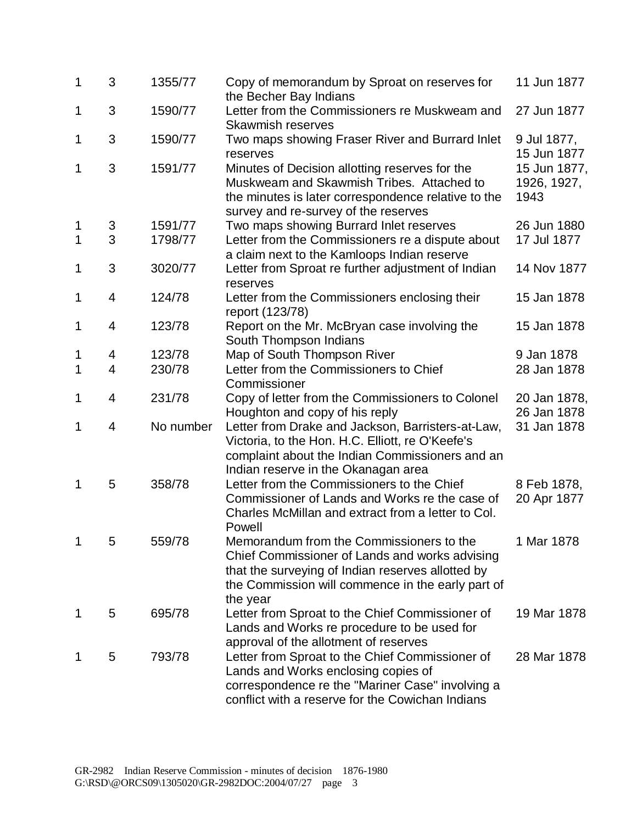| 1           | 3 | 1355/77   | Copy of memorandum by Sproat on reserves for<br>the Becher Bay Indians                                                                                                                                           | 11 Jun 1877                         |
|-------------|---|-----------|------------------------------------------------------------------------------------------------------------------------------------------------------------------------------------------------------------------|-------------------------------------|
| 1           | 3 | 1590/77   | Letter from the Commissioners re Muskweam and<br><b>Skawmish reserves</b>                                                                                                                                        | 27 Jun 1877                         |
| 1           | 3 | 1590/77   | Two maps showing Fraser River and Burrard Inlet<br>reserves                                                                                                                                                      | 9 Jul 1877,<br>15 Jun 1877          |
| 1           | 3 | 1591/77   | Minutes of Decision allotting reserves for the<br>Muskweam and Skawmish Tribes. Attached to<br>the minutes is later correspondence relative to the<br>survey and re-survey of the reserves                       | 15 Jun 1877,<br>1926, 1927,<br>1943 |
| 1           | 3 | 1591/77   | Two maps showing Burrard Inlet reserves                                                                                                                                                                          | 26 Jun 1880                         |
| 1           | 3 | 1798/77   | Letter from the Commissioners re a dispute about<br>a claim next to the Kamloops Indian reserve                                                                                                                  | 17 Jul 1877                         |
| 1           | 3 | 3020/77   | Letter from Sproat re further adjustment of Indian<br>reserves                                                                                                                                                   | 14 Nov 1877                         |
| 1           | 4 | 124/78    | Letter from the Commissioners enclosing their<br>report (123/78)                                                                                                                                                 | 15 Jan 1878                         |
| 1           | 4 | 123/78    | Report on the Mr. McBryan case involving the<br>South Thompson Indians                                                                                                                                           | 15 Jan 1878                         |
| 1           | 4 | 123/78    | Map of South Thompson River                                                                                                                                                                                      | 9 Jan 1878                          |
| $\mathbf 1$ | 4 | 230/78    | Letter from the Commissioners to Chief<br>Commissioner                                                                                                                                                           | 28 Jan 1878                         |
| 1           | 4 | 231/78    | Copy of letter from the Commissioners to Colonel<br>Houghton and copy of his reply                                                                                                                               | 20 Jan 1878,<br>26 Jan 1878         |
| 1           | 4 | No number | Letter from Drake and Jackson, Barristers-at-Law,<br>Victoria, to the Hon. H.C. Elliott, re O'Keefe's<br>complaint about the Indian Commissioners and an<br>Indian reserve in the Okanagan area                  | 31 Jan 1878                         |
| 1           | 5 | 358/78    | Letter from the Commissioners to the Chief<br>Commissioner of Lands and Works re the case of<br>Charles McMillan and extract from a letter to Col.<br>Powell                                                     | 8 Feb 1878,<br>20 Apr 1877          |
|             | 5 | 559/78    | Memorandum from the Commissioners to the<br>Chief Commissioner of Lands and works advising<br>that the surveying of Indian reserves allotted by<br>the Commission will commence in the early part of<br>the year | 1 Mar 1878                          |
| 1           | 5 | 695/78    | Letter from Sproat to the Chief Commissioner of<br>Lands and Works re procedure to be used for<br>approval of the allotment of reserves                                                                          | 19 Mar 1878                         |
| 1           | 5 | 793/78    | Letter from Sproat to the Chief Commissioner of<br>Lands and Works enclosing copies of<br>correspondence re the "Mariner Case" involving a<br>conflict with a reserve for the Cowichan Indians                   | 28 Mar 1878                         |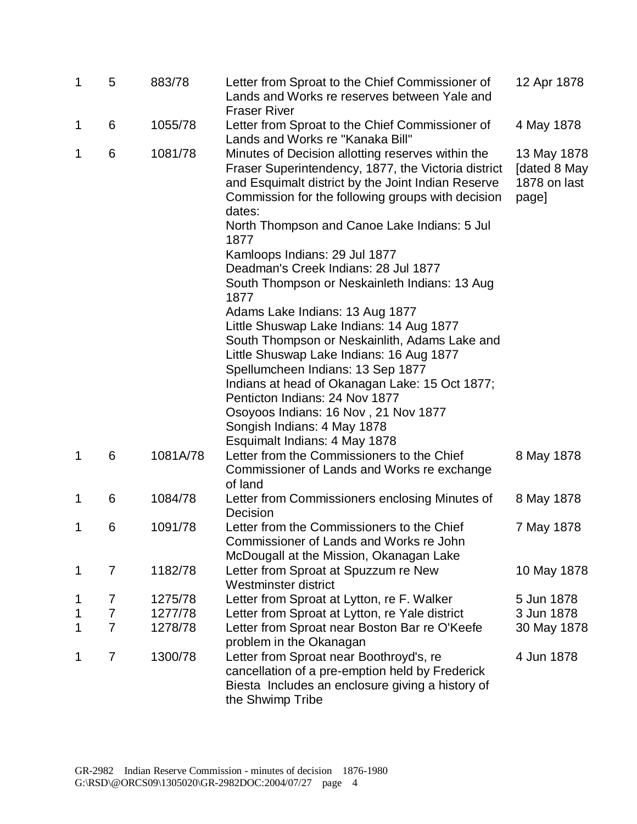| $\mathbf 1$ | 5                   | 883/78             | Letter from Sproat to the Chief Commissioner of<br>Lands and Works re reserves between Yale and<br><b>Fraser River</b>                                                                                                                                                        | 12 Apr 1878                                          |
|-------------|---------------------|--------------------|-------------------------------------------------------------------------------------------------------------------------------------------------------------------------------------------------------------------------------------------------------------------------------|------------------------------------------------------|
| 1           | 6                   | 1055/78            | Letter from Sproat to the Chief Commissioner of<br>Lands and Works re "Kanaka Bill"                                                                                                                                                                                           | 4 May 1878                                           |
| 1           | 6                   | 1081/78            | Minutes of Decision allotting reserves within the<br>Fraser Superintendency, 1877, the Victoria district<br>and Esquimalt district by the Joint Indian Reserve<br>Commission for the following groups with decision<br>dates:<br>North Thompson and Canoe Lake Indians: 5 Jul | 13 May 1878<br>[dated 8 May<br>1878 on last<br>page] |
|             |                     |                    | 1877                                                                                                                                                                                                                                                                          |                                                      |
|             |                     |                    | Kamloops Indians: 29 Jul 1877                                                                                                                                                                                                                                                 |                                                      |
|             |                     |                    | Deadman's Creek Indians: 28 Jul 1877                                                                                                                                                                                                                                          |                                                      |
|             |                     |                    | South Thompson or Neskainleth Indians: 13 Aug<br>1877                                                                                                                                                                                                                         |                                                      |
|             |                     |                    | Adams Lake Indians: 13 Aug 1877                                                                                                                                                                                                                                               |                                                      |
|             |                     |                    | Little Shuswap Lake Indians: 14 Aug 1877                                                                                                                                                                                                                                      |                                                      |
|             |                     |                    | South Thompson or Neskainlith, Adams Lake and                                                                                                                                                                                                                                 |                                                      |
|             |                     |                    | Little Shuswap Lake Indians: 16 Aug 1877                                                                                                                                                                                                                                      |                                                      |
|             |                     |                    | Spellumcheen Indians: 13 Sep 1877                                                                                                                                                                                                                                             |                                                      |
|             |                     |                    | Indians at head of Okanagan Lake: 15 Oct 1877;                                                                                                                                                                                                                                |                                                      |
|             |                     |                    | Penticton Indians: 24 Nov 1877                                                                                                                                                                                                                                                |                                                      |
|             |                     |                    | Osoyoos Indians: 16 Nov, 21 Nov 1877                                                                                                                                                                                                                                          |                                                      |
|             |                     |                    | Songish Indians: 4 May 1878                                                                                                                                                                                                                                                   |                                                      |
| 1           | 6                   | 1081A/78           | Esquimalt Indians: 4 May 1878<br>Letter from the Commissioners to the Chief                                                                                                                                                                                                   | 8 May 1878                                           |
|             |                     |                    | Commissioner of Lands and Works re exchange<br>of land                                                                                                                                                                                                                        |                                                      |
| 1           | 6                   | 1084/78            | Letter from Commissioners enclosing Minutes of                                                                                                                                                                                                                                | 8 May 1878                                           |
|             |                     |                    | Decision                                                                                                                                                                                                                                                                      |                                                      |
| 1           | 6                   | 1091/78            | Letter from the Commissioners to the Chief                                                                                                                                                                                                                                    | 7 May 1878                                           |
|             |                     |                    | Commissioner of Lands and Works re John                                                                                                                                                                                                                                       |                                                      |
|             |                     |                    | McDougall at the Mission, Okanagan Lake                                                                                                                                                                                                                                       |                                                      |
| 1           | $\overline{7}$      | 1182/78            | Letter from Sproat at Spuzzum re New<br>Westminster district                                                                                                                                                                                                                  | 10 May 1878                                          |
|             |                     |                    |                                                                                                                                                                                                                                                                               | 5 Jun 1878                                           |
| 1           | 7<br>$\overline{7}$ | 1275/78<br>1277/78 | Letter from Sproat at Lytton, re F. Walker                                                                                                                                                                                                                                    | 3 Jun 1878                                           |
| 1<br>1      | $\overline{7}$      | 1278/78            | Letter from Sproat at Lytton, re Yale district                                                                                                                                                                                                                                | 30 May 1878                                          |
|             |                     |                    | Letter from Sproat near Boston Bar re O'Keefe<br>problem in the Okanagan                                                                                                                                                                                                      |                                                      |
| 1           | $\overline{7}$      | 1300/78            | Letter from Sproat near Boothroyd's, re                                                                                                                                                                                                                                       | 4 Jun 1878                                           |
|             |                     |                    | cancellation of a pre-emption held by Frederick<br>Biesta Includes an enclosure giving a history of<br>the Shwimp Tribe                                                                                                                                                       |                                                      |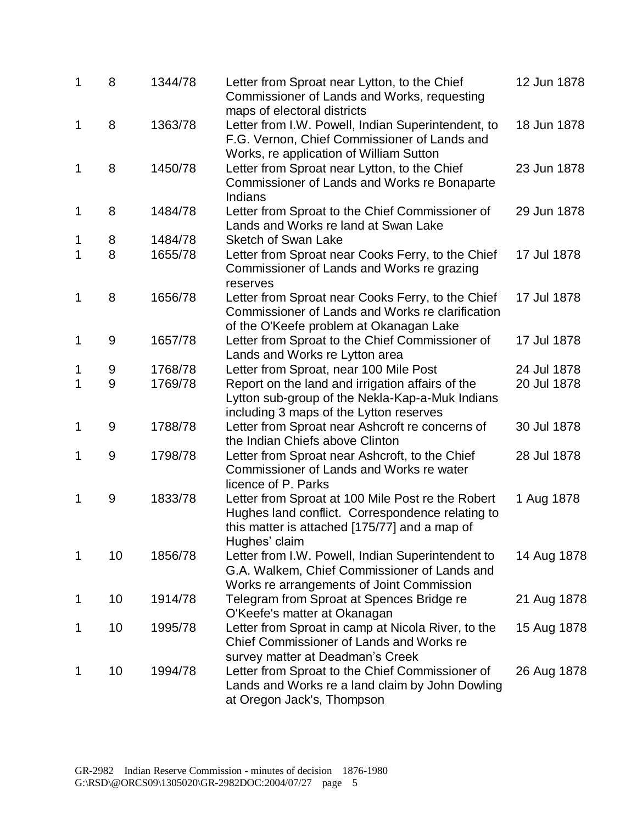| $\mathbf 1$ | 8  | 1344/78 | Letter from Sproat near Lytton, to the Chief<br>Commissioner of Lands and Works, requesting                                                                                  | 12 Jun 1878 |
|-------------|----|---------|------------------------------------------------------------------------------------------------------------------------------------------------------------------------------|-------------|
| 1           | 8  | 1363/78 | maps of electoral districts<br>Letter from I.W. Powell, Indian Superintendent, to<br>F.G. Vernon, Chief Commissioner of Lands and<br>Works, re application of William Sutton | 18 Jun 1878 |
| 1           | 8  | 1450/78 | Letter from Sproat near Lytton, to the Chief<br>Commissioner of Lands and Works re Bonaparte<br>Indians                                                                      | 23 Jun 1878 |
| 1           | 8  | 1484/78 | Letter from Sproat to the Chief Commissioner of<br>Lands and Works re land at Swan Lake                                                                                      | 29 Jun 1878 |
| 1           | 8  | 1484/78 | <b>Sketch of Swan Lake</b>                                                                                                                                                   |             |
| 1           | 8  | 1655/78 | Letter from Sproat near Cooks Ferry, to the Chief<br>Commissioner of Lands and Works re grazing<br>reserves                                                                  | 17 Jul 1878 |
| $\mathbf 1$ | 8  | 1656/78 | Letter from Sproat near Cooks Ferry, to the Chief<br>Commissioner of Lands and Works re clarification<br>of the O'Keefe problem at Okanagan Lake                             | 17 Jul 1878 |
| 1           | 9  | 1657/78 | Letter from Sproat to the Chief Commissioner of<br>Lands and Works re Lytton area                                                                                            | 17 Jul 1878 |
| 1           | 9  | 1768/78 | Letter from Sproat, near 100 Mile Post                                                                                                                                       | 24 Jul 1878 |
| 1           | 9  | 1769/78 | Report on the land and irrigation affairs of the<br>Lytton sub-group of the Nekla-Kap-a-Muk Indians<br>including 3 maps of the Lytton reserves                               | 20 Jul 1878 |
| 1           | 9  | 1788/78 | Letter from Sproat near Ashcroft re concerns of<br>the Indian Chiefs above Clinton                                                                                           | 30 Jul 1878 |
| 1           | 9  | 1798/78 | Letter from Sproat near Ashcroft, to the Chief<br>Commissioner of Lands and Works re water<br>licence of P. Parks                                                            | 28 Jul 1878 |
| 1           | 9  | 1833/78 | Letter from Sproat at 100 Mile Post re the Robert<br>Hughes land conflict. Correspondence relating to<br>this matter is attached [175/77] and a map of<br>Hughes' claim      | 1 Aug 1878  |
| 1           | 10 | 1856/78 | Letter from I.W. Powell, Indian Superintendent to<br>G.A. Walkem, Chief Commissioner of Lands and<br>Works re arrangements of Joint Commission                               | 14 Aug 1878 |
| 1           | 10 | 1914/78 | Telegram from Sproat at Spences Bridge re<br>O'Keefe's matter at Okanagan                                                                                                    | 21 Aug 1878 |
| 1           | 10 | 1995/78 | Letter from Sproat in camp at Nicola River, to the<br>Chief Commissioner of Lands and Works re<br>survey matter at Deadman's Creek                                           | 15 Aug 1878 |
| 1           | 10 | 1994/78 | Letter from Sproat to the Chief Commissioner of<br>Lands and Works re a land claim by John Dowling<br>at Oregon Jack's, Thompson                                             | 26 Aug 1878 |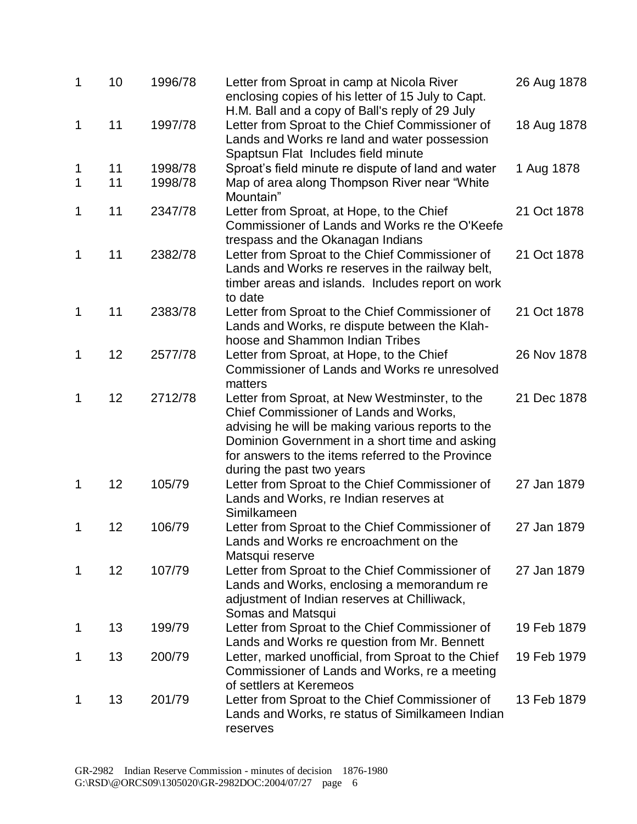| $\mathbf 1$ | 10 | 1996/78 | Letter from Sproat in camp at Nicola River<br>enclosing copies of his letter of 15 July to Capt.                                                                                                                                                                                  | 26 Aug 1878 |
|-------------|----|---------|-----------------------------------------------------------------------------------------------------------------------------------------------------------------------------------------------------------------------------------------------------------------------------------|-------------|
| 1           | 11 | 1997/78 | H.M. Ball and a copy of Ball's reply of 29 July<br>Letter from Sproat to the Chief Commissioner of<br>Lands and Works re land and water possession<br>Spaptsun Flat Includes field minute                                                                                         | 18 Aug 1878 |
| 1           | 11 | 1998/78 | Sproat's field minute re dispute of land and water                                                                                                                                                                                                                                | 1 Aug 1878  |
| 1           | 11 | 1998/78 | Map of area along Thompson River near "White<br>Mountain"                                                                                                                                                                                                                         |             |
| 1           | 11 | 2347/78 | Letter from Sproat, at Hope, to the Chief<br>Commissioner of Lands and Works re the O'Keefe<br>trespass and the Okanagan Indians                                                                                                                                                  | 21 Oct 1878 |
| 1           | 11 | 2382/78 | Letter from Sproat to the Chief Commissioner of<br>Lands and Works re reserves in the railway belt,<br>timber areas and islands. Includes report on work<br>to date                                                                                                               | 21 Oct 1878 |
| 1           | 11 | 2383/78 | Letter from Sproat to the Chief Commissioner of<br>Lands and Works, re dispute between the Klah-<br>hoose and Shammon Indian Tribes                                                                                                                                               | 21 Oct 1878 |
| 1           | 12 | 2577/78 | Letter from Sproat, at Hope, to the Chief<br>Commissioner of Lands and Works re unresolved<br>matters                                                                                                                                                                             | 26 Nov 1878 |
| 1           | 12 | 2712/78 | Letter from Sproat, at New Westminster, to the<br>Chief Commissioner of Lands and Works,<br>advising he will be making various reports to the<br>Dominion Government in a short time and asking<br>for answers to the items referred to the Province<br>during the past two years | 21 Dec 1878 |
| 1           | 12 | 105/79  | Letter from Sproat to the Chief Commissioner of<br>Lands and Works, re Indian reserves at<br>Similkameen                                                                                                                                                                          | 27 Jan 1879 |
| 1           | 12 | 106/79  | Letter from Sproat to the Chief Commissioner of<br>Lands and Works re encroachment on the<br>Matsqui reserve                                                                                                                                                                      | 27 Jan 1879 |
| 1           | 12 | 107/79  | Letter from Sproat to the Chief Commissioner of<br>Lands and Works, enclosing a memorandum re<br>adjustment of Indian reserves at Chilliwack,<br>Somas and Matsqui                                                                                                                | 27 Jan 1879 |
| 1           | 13 | 199/79  | Letter from Sproat to the Chief Commissioner of<br>Lands and Works re question from Mr. Bennett                                                                                                                                                                                   | 19 Feb 1879 |
| 1           | 13 | 200/79  | Letter, marked unofficial, from Sproat to the Chief<br>Commissioner of Lands and Works, re a meeting<br>of settlers at Keremeos                                                                                                                                                   | 19 Feb 1979 |
| 1           | 13 | 201/79  | Letter from Sproat to the Chief Commissioner of<br>Lands and Works, re status of Similkameen Indian<br>reserves                                                                                                                                                                   | 13 Feb 1879 |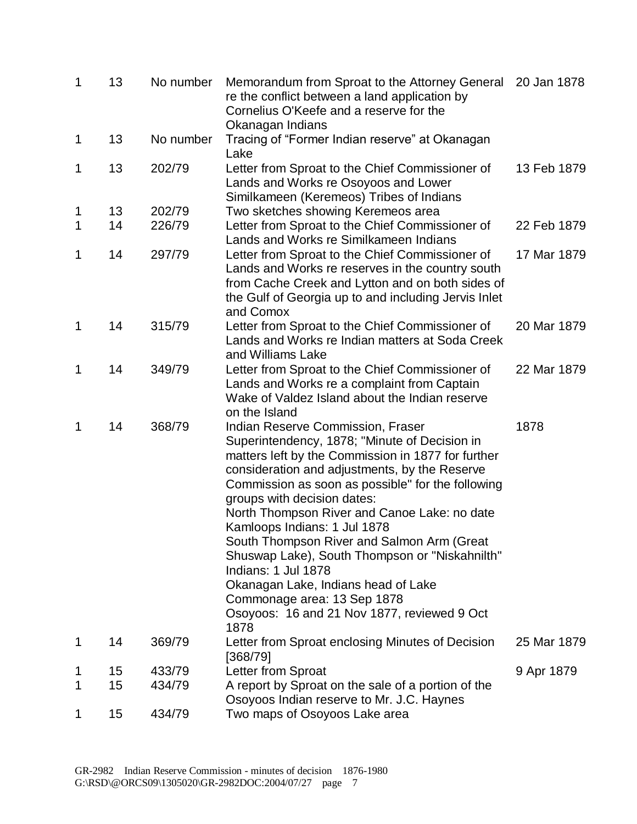| $\mathbf 1$ | 13 | No number | Memorandum from Sproat to the Attorney General<br>re the conflict between a land application by<br>Cornelius O'Keefe and a reserve for the<br>Okanagan Indians                                                                                                                                                                                                                                                                                                                                                                                                                                                    | 20 Jan 1878 |
|-------------|----|-----------|-------------------------------------------------------------------------------------------------------------------------------------------------------------------------------------------------------------------------------------------------------------------------------------------------------------------------------------------------------------------------------------------------------------------------------------------------------------------------------------------------------------------------------------------------------------------------------------------------------------------|-------------|
| 1           | 13 | No number | Tracing of "Former Indian reserve" at Okanagan<br>Lake                                                                                                                                                                                                                                                                                                                                                                                                                                                                                                                                                            |             |
| 1           | 13 | 202/79    | Letter from Sproat to the Chief Commissioner of<br>Lands and Works re Osoyoos and Lower<br>Similkameen (Keremeos) Tribes of Indians                                                                                                                                                                                                                                                                                                                                                                                                                                                                               | 13 Feb 1879 |
| 1           | 13 | 202/79    | Two sketches showing Keremeos area                                                                                                                                                                                                                                                                                                                                                                                                                                                                                                                                                                                |             |
| 1           | 14 | 226/79    | Letter from Sproat to the Chief Commissioner of<br>Lands and Works re Similkameen Indians                                                                                                                                                                                                                                                                                                                                                                                                                                                                                                                         | 22 Feb 1879 |
| 1           | 14 | 297/79    | Letter from Sproat to the Chief Commissioner of<br>Lands and Works re reserves in the country south<br>from Cache Creek and Lytton and on both sides of<br>the Gulf of Georgia up to and including Jervis Inlet<br>and Comox                                                                                                                                                                                                                                                                                                                                                                                      | 17 Mar 1879 |
| 1           | 14 | 315/79    | Letter from Sproat to the Chief Commissioner of<br>Lands and Works re Indian matters at Soda Creek<br>and Williams Lake                                                                                                                                                                                                                                                                                                                                                                                                                                                                                           | 20 Mar 1879 |
| 1           | 14 | 349/79    | Letter from Sproat to the Chief Commissioner of<br>Lands and Works re a complaint from Captain<br>Wake of Valdez Island about the Indian reserve<br>on the Island                                                                                                                                                                                                                                                                                                                                                                                                                                                 | 22 Mar 1879 |
| 1           | 14 | 368/79    | Indian Reserve Commission, Fraser<br>Superintendency, 1878; "Minute of Decision in<br>matters left by the Commission in 1877 for further<br>consideration and adjustments, by the Reserve<br>Commission as soon as possible" for the following<br>groups with decision dates:<br>North Thompson River and Canoe Lake: no date<br>Kamloops Indians: 1 Jul 1878<br>South Thompson River and Salmon Arm (Great<br>Shuswap Lake), South Thompson or "Niskahnilth"<br>Indians: 1 Jul 1878<br>Okanagan Lake, Indians head of Lake<br>Commonage area: 13 Sep 1878<br>Osoyoos: 16 and 21 Nov 1877, reviewed 9 Oct<br>1878 | 1878        |
| 1           | 14 | 369/79    | Letter from Sproat enclosing Minutes of Decision<br>[368/79]                                                                                                                                                                                                                                                                                                                                                                                                                                                                                                                                                      | 25 Mar 1879 |
| 1           | 15 | 433/79    | Letter from Sproat                                                                                                                                                                                                                                                                                                                                                                                                                                                                                                                                                                                                | 9 Apr 1879  |
| 1           | 15 | 434/79    | A report by Sproat on the sale of a portion of the<br>Osoyoos Indian reserve to Mr. J.C. Haynes                                                                                                                                                                                                                                                                                                                                                                                                                                                                                                                   |             |
| 1           | 15 | 434/79    | Two maps of Osoyoos Lake area                                                                                                                                                                                                                                                                                                                                                                                                                                                                                                                                                                                     |             |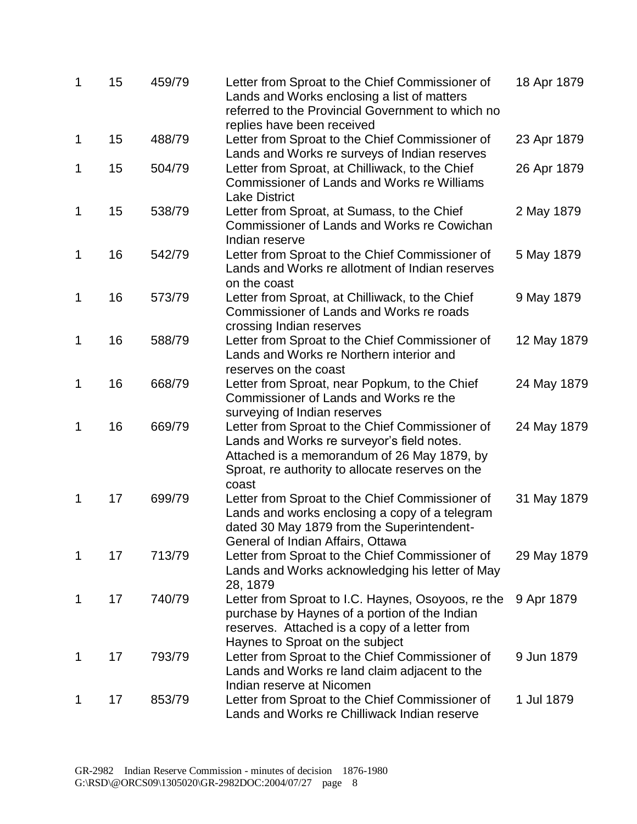| 1 | 15 | 459/79 | Letter from Sproat to the Chief Commissioner of<br>Lands and Works enclosing a list of matters<br>referred to the Provincial Government to which no<br>replies have been received                         | 18 Apr 1879 |
|---|----|--------|-----------------------------------------------------------------------------------------------------------------------------------------------------------------------------------------------------------|-------------|
| 1 | 15 | 488/79 | Letter from Sproat to the Chief Commissioner of<br>Lands and Works re surveys of Indian reserves                                                                                                          | 23 Apr 1879 |
| 1 | 15 | 504/79 | Letter from Sproat, at Chilliwack, to the Chief<br><b>Commissioner of Lands and Works re Williams</b><br><b>Lake District</b>                                                                             | 26 Apr 1879 |
| 1 | 15 | 538/79 | Letter from Sproat, at Sumass, to the Chief<br>Commissioner of Lands and Works re Cowichan<br>Indian reserve                                                                                              | 2 May 1879  |
| 1 | 16 | 542/79 | Letter from Sproat to the Chief Commissioner of<br>Lands and Works re allotment of Indian reserves<br>on the coast                                                                                        | 5 May 1879  |
| 1 | 16 | 573/79 | Letter from Sproat, at Chilliwack, to the Chief<br>Commissioner of Lands and Works re roads<br>crossing Indian reserves                                                                                   | 9 May 1879  |
| 1 | 16 | 588/79 | Letter from Sproat to the Chief Commissioner of<br>Lands and Works re Northern interior and<br>reserves on the coast                                                                                      | 12 May 1879 |
| 1 | 16 | 668/79 | Letter from Sproat, near Popkum, to the Chief<br>Commissioner of Lands and Works re the<br>surveying of Indian reserves                                                                                   | 24 May 1879 |
| 1 | 16 | 669/79 | Letter from Sproat to the Chief Commissioner of<br>Lands and Works re surveyor's field notes.<br>Attached is a memorandum of 26 May 1879, by<br>Sproat, re authority to allocate reserves on the<br>coast | 24 May 1879 |
| 1 | 17 | 699/79 | Letter from Sproat to the Chief Commissioner of<br>Lands and works enclosing a copy of a telegram<br>dated 30 May 1879 from the Superintendent-<br>General of Indian Affairs, Ottawa                      | 31 May 1879 |
| 1 | 17 | 713/79 | Letter from Sproat to the Chief Commissioner of<br>Lands and Works acknowledging his letter of May<br>28, 1879                                                                                            | 29 May 1879 |
| 1 | 17 | 740/79 | Letter from Sproat to I.C. Haynes, Osoyoos, re the<br>purchase by Haynes of a portion of the Indian<br>reserves. Attached is a copy of a letter from<br>Haynes to Sproat on the subject                   | 9 Apr 1879  |
| 1 | 17 | 793/79 | Letter from Sproat to the Chief Commissioner of<br>Lands and Works re land claim adjacent to the<br>Indian reserve at Nicomen                                                                             | 9 Jun 1879  |
| 1 | 17 | 853/79 | Letter from Sproat to the Chief Commissioner of<br>Lands and Works re Chilliwack Indian reserve                                                                                                           | 1 Jul 1879  |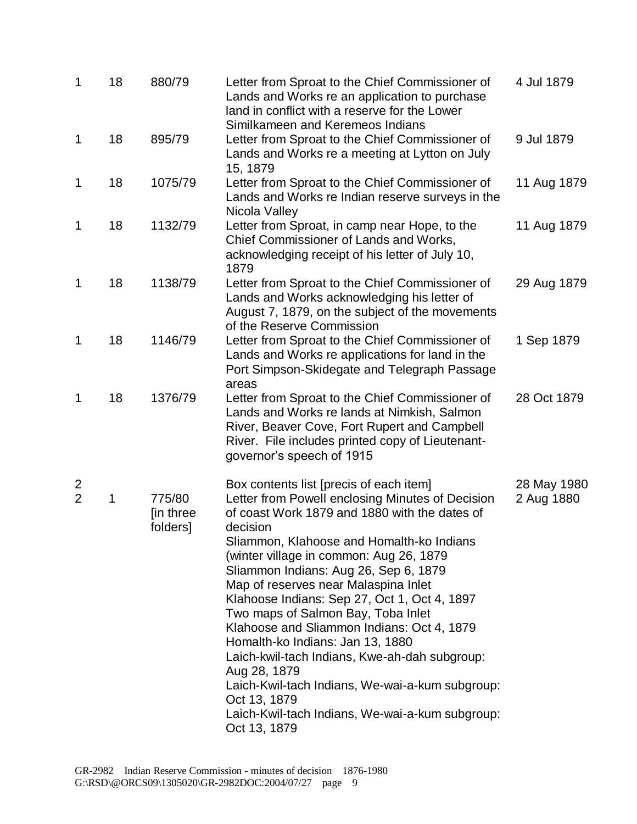| 1                                | 18 | 880/79                          | Letter from Sproat to the Chief Commissioner of<br>Lands and Works re an application to purchase<br>land in conflict with a reserve for the Lower<br>Similkameen and Keremeos Indians                                                                                                                                                                                                                                                                                                                                                                                                                                                                                                                             | 4 Jul 1879                |
|----------------------------------|----|---------------------------------|-------------------------------------------------------------------------------------------------------------------------------------------------------------------------------------------------------------------------------------------------------------------------------------------------------------------------------------------------------------------------------------------------------------------------------------------------------------------------------------------------------------------------------------------------------------------------------------------------------------------------------------------------------------------------------------------------------------------|---------------------------|
| 1                                | 18 | 895/79                          | Letter from Sproat to the Chief Commissioner of<br>Lands and Works re a meeting at Lytton on July<br>15, 1879                                                                                                                                                                                                                                                                                                                                                                                                                                                                                                                                                                                                     | 9 Jul 1879                |
| 1                                | 18 | 1075/79                         | Letter from Sproat to the Chief Commissioner of<br>Lands and Works re Indian reserve surveys in the<br>Nicola Valley                                                                                                                                                                                                                                                                                                                                                                                                                                                                                                                                                                                              | 11 Aug 1879               |
| 1                                | 18 | 1132/79                         | Letter from Sproat, in camp near Hope, to the<br>Chief Commissioner of Lands and Works,<br>acknowledging receipt of his letter of July 10,<br>1879                                                                                                                                                                                                                                                                                                                                                                                                                                                                                                                                                                | 11 Aug 1879               |
| 1                                | 18 | 1138/79                         | Letter from Sproat to the Chief Commissioner of<br>Lands and Works acknowledging his letter of<br>August 7, 1879, on the subject of the movements<br>of the Reserve Commission                                                                                                                                                                                                                                                                                                                                                                                                                                                                                                                                    | 29 Aug 1879               |
| 1                                | 18 | 1146/79                         | Letter from Sproat to the Chief Commissioner of<br>Lands and Works re applications for land in the<br>Port Simpson-Skidegate and Telegraph Passage<br>areas                                                                                                                                                                                                                                                                                                                                                                                                                                                                                                                                                       | 1 Sep 1879                |
| 1                                | 18 | 1376/79                         | Letter from Sproat to the Chief Commissioner of<br>Lands and Works re lands at Nimkish, Salmon<br>River, Beaver Cove, Fort Rupert and Campbell<br>River. File includes printed copy of Lieutenant-<br>governor's speech of 1915                                                                                                                                                                                                                                                                                                                                                                                                                                                                                   | 28 Oct 1879               |
| $\overline{c}$<br>$\overline{2}$ | 1  | 775/80<br>[in three<br>folders] | Box contents list [precis of each item]<br>Letter from Powell enclosing Minutes of Decision<br>of coast Work 1879 and 1880 with the dates of<br>decision<br>Sliammon, Klahoose and Homalth-ko Indians<br>(winter village in common: Aug 26, 1879)<br>Sliammon Indians: Aug 26, Sep 6, 1879<br>Map of reserves near Malaspina Inlet<br>Klahoose Indians: Sep 27, Oct 1, Oct 4, 1897<br>Two maps of Salmon Bay, Toba Inlet<br>Klahoose and Sliammon Indians: Oct 4, 1879<br>Homalth-ko Indians: Jan 13, 1880<br>Laich-kwil-tach Indians, Kwe-ah-dah subgroup:<br>Aug 28, 1879<br>Laich-Kwil-tach Indians, We-wai-a-kum subgroup:<br>Oct 13, 1879<br>Laich-Kwil-tach Indians, We-wai-a-kum subgroup:<br>Oct 13, 1879 | 28 May 1980<br>2 Aug 1880 |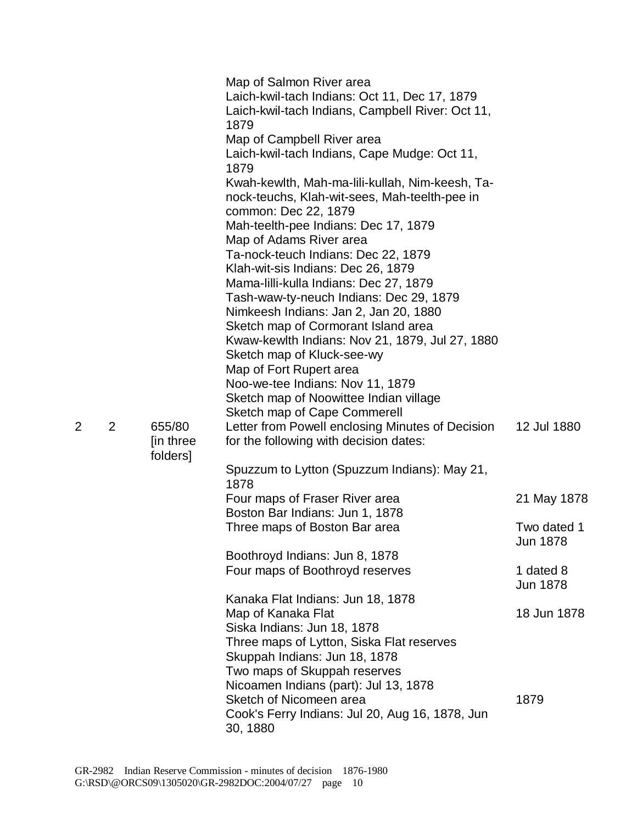|   |   |                      | Map of Salmon River area<br>Laich-kwil-tach Indians: Oct 11, Dec 17, 1879<br>Laich-kwil-tach Indians, Campbell River: Oct 11,<br>1879                            |                              |
|---|---|----------------------|------------------------------------------------------------------------------------------------------------------------------------------------------------------|------------------------------|
|   |   |                      | Map of Campbell River area<br>Laich-kwil-tach Indians, Cape Mudge: Oct 11,<br>1879                                                                               |                              |
|   |   |                      | Kwah-kewlth, Mah-ma-lili-kullah, Nim-keesh, Ta-<br>nock-teuchs, Klah-wit-sees, Mah-teelth-pee in<br>common: Dec 22, 1879<br>Mah-teelth-pee Indians: Dec 17, 1879 |                              |
|   |   |                      | Map of Adams River area<br>Ta-nock-teuch Indians: Dec 22, 1879                                                                                                   |                              |
|   |   |                      | Klah-wit-sis Indians: Dec 26, 1879<br>Mama-lilli-kulla Indians: Dec 27, 1879<br>Tash-waw-ty-neuch Indians: Dec 29, 1879                                          |                              |
|   |   |                      | Nimkeesh Indians: Jan 2, Jan 20, 1880<br>Sketch map of Cormorant Island area<br>Kwaw-kewlth Indians: Nov 21, 1879, Jul 27, 1880                                  |                              |
|   |   |                      | Sketch map of Kluck-see-wy<br>Map of Fort Rupert area                                                                                                            |                              |
|   |   |                      | Noo-we-tee Indians: Nov 11, 1879<br>Sketch map of Noowittee Indian village<br><b>Sketch map of Cape Commerell</b>                                                |                              |
| 2 | 2 | 655/80<br>[in three] | Letter from Powell enclosing Minutes of Decision<br>for the following with decision dates:                                                                       | 12 Jul 1880                  |
|   |   | folders]             | Spuzzum to Lytton (Spuzzum Indians): May 21,<br>1878                                                                                                             |                              |
|   |   |                      | Four maps of Fraser River area<br>Boston Bar Indians: Jun 1, 1878                                                                                                | 21 May 1878                  |
|   |   |                      | Three maps of Boston Bar area                                                                                                                                    | Two dated 1<br>Jun 1878      |
|   |   |                      | Boothroyd Indians: Jun 8, 1878                                                                                                                                   |                              |
|   |   |                      | Four maps of Boothroyd reserves                                                                                                                                  | 1 dated 8<br><b>Jun 1878</b> |
|   |   |                      | Kanaka Flat Indians: Jun 18, 1878<br>Map of Kanaka Flat                                                                                                          | 18 Jun 1878                  |
|   |   |                      | Siska Indians: Jun 18, 1878<br>Three maps of Lytton, Siska Flat reserves<br>Skuppah Indians: Jun 18, 1878                                                        |                              |
|   |   |                      | Two maps of Skuppah reserves                                                                                                                                     |                              |
|   |   |                      | Nicoamen Indians (part): Jul 13, 1878                                                                                                                            |                              |
|   |   |                      | Sketch of Nicomeen area<br>Cook's Ferry Indians: Jul 20, Aug 16, 1878, Jun<br>30, 1880                                                                           | 1879                         |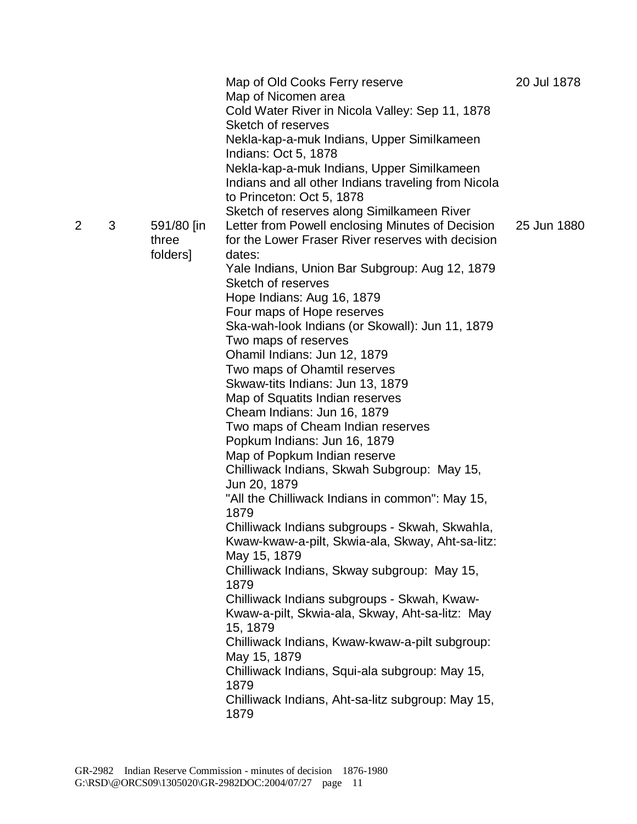|   |   |                     | Map of Old Cooks Ferry reserve<br>Map of Nicomen area<br>Cold Water River in Nicola Valley: Sep 11, 1878<br>Sketch of reserves | 20 Jul 1878 |
|---|---|---------------------|--------------------------------------------------------------------------------------------------------------------------------|-------------|
|   |   |                     | Nekla-kap-a-muk Indians, Upper Similkameen<br>Indians: Oct 5, 1878                                                             |             |
|   |   |                     | Nekla-kap-a-muk Indians, Upper Similkameen<br>Indians and all other Indians traveling from Nicola<br>to Princeton: Oct 5, 1878 |             |
|   |   |                     | Sketch of reserves along Similkameen River                                                                                     |             |
| 2 | 3 | 591/80 [in<br>three | Letter from Powell enclosing Minutes of Decision<br>for the Lower Fraser River reserves with decision                          | 25 Jun 1880 |
|   |   | folders]            | dates:                                                                                                                         |             |
|   |   |                     | Yale Indians, Union Bar Subgroup: Aug 12, 1879<br>Sketch of reserves                                                           |             |
|   |   |                     | Hope Indians: Aug 16, 1879                                                                                                     |             |
|   |   |                     | Four maps of Hope reserves                                                                                                     |             |
|   |   |                     | Ska-wah-look Indians (or Skowall): Jun 11, 1879                                                                                |             |
|   |   |                     | Two maps of reserves                                                                                                           |             |
|   |   |                     | Ohamil Indians: Jun 12, 1879                                                                                                   |             |
|   |   |                     | Two maps of Ohamtil reserves                                                                                                   |             |
|   |   |                     | Skwaw-tits Indians: Jun 13, 1879                                                                                               |             |
|   |   |                     | Map of Squatits Indian reserves                                                                                                |             |
|   |   |                     | Cheam Indians: Jun 16, 1879                                                                                                    |             |
|   |   |                     | Two maps of Cheam Indian reserves<br>Popkum Indians: Jun 16, 1879                                                              |             |
|   |   |                     | Map of Popkum Indian reserve                                                                                                   |             |
|   |   |                     | Chilliwack Indians, Skwah Subgroup: May 15,                                                                                    |             |
|   |   |                     | Jun 20, 1879                                                                                                                   |             |
|   |   |                     | "All the Chilliwack Indians in common": May 15,<br>1879                                                                        |             |
|   |   |                     | Chilliwack Indians subgroups - Skwah, Skwahla,                                                                                 |             |
|   |   |                     | Kwaw-kwaw-a-pilt, Skwia-ala, Skway, Aht-sa-litz:<br>May 15, 1879                                                               |             |
|   |   |                     | Chilliwack Indians, Skway subgroup: May 15,                                                                                    |             |
|   |   |                     | 1879                                                                                                                           |             |
|   |   |                     | Chilliwack Indians subgroups - Skwah, Kwaw-                                                                                    |             |
|   |   |                     | Kwaw-a-pilt, Skwia-ala, Skway, Aht-sa-litz: May<br>15, 1879                                                                    |             |
|   |   |                     | Chilliwack Indians, Kwaw-kwaw-a-pilt subgroup:<br>May 15, 1879                                                                 |             |
|   |   |                     | Chilliwack Indians, Squi-ala subgroup: May 15,<br>1879                                                                         |             |
|   |   |                     | Chilliwack Indians, Aht-sa-litz subgroup: May 15,<br>1879                                                                      |             |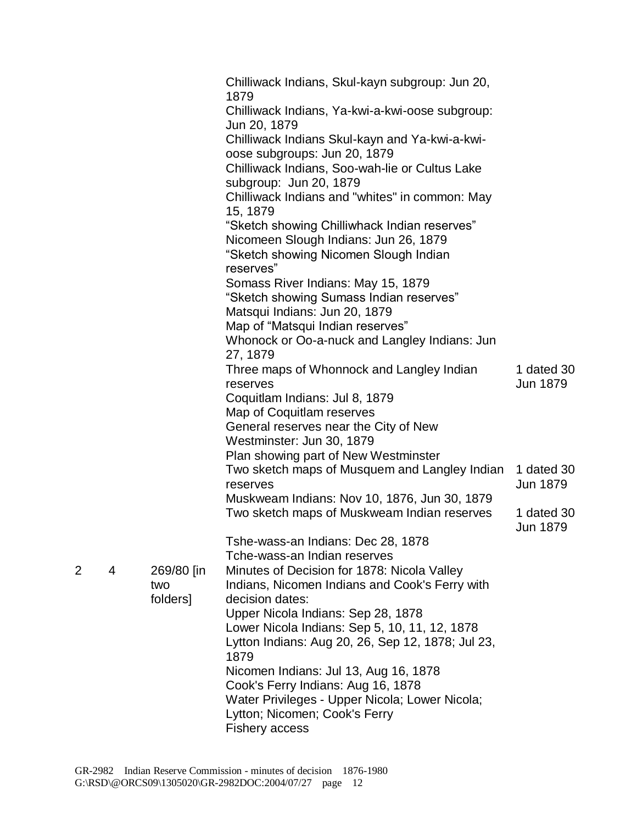|   |   |                               | Chilliwack Indians, Skul-kayn subgroup: Jun 20,<br>1879<br>Chilliwack Indians, Ya-kwi-a-kwi-oose subgroup:<br>Jun 20, 1879<br>Chilliwack Indians Skul-kayn and Ya-kwi-a-kwi-<br>oose subgroups: Jun 20, 1879<br>Chilliwack Indians, Soo-wah-lie or Cultus Lake<br>subgroup: Jun 20, 1879<br>Chilliwack Indians and "whites" in common: May<br>15, 1879<br>"Sketch showing Chilliwhack Indian reserves"<br>Nicomeen Slough Indians: Jun 26, 1879<br>"Sketch showing Nicomen Slough Indian<br>reserves"<br>Somass River Indians: May 15, 1879<br>"Sketch showing Sumass Indian reserves"<br>Matsqui Indians: Jun 20, 1879<br>Map of "Matsqui Indian reserves"<br>Whonock or Oo-a-nuck and Langley Indians: Jun<br>27, 1879 |                        |
|---|---|-------------------------------|--------------------------------------------------------------------------------------------------------------------------------------------------------------------------------------------------------------------------------------------------------------------------------------------------------------------------------------------------------------------------------------------------------------------------------------------------------------------------------------------------------------------------------------------------------------------------------------------------------------------------------------------------------------------------------------------------------------------------|------------------------|
|   |   |                               | Three maps of Whonnock and Langley Indian<br>reserves<br>Coquitlam Indians: Jul 8, 1879<br>Map of Coquitlam reserves<br>General reserves near the City of New<br>Westminster: Jun 30, 1879<br>Plan showing part of New Westminster                                                                                                                                                                                                                                                                                                                                                                                                                                                                                       | 1 dated 30<br>Jun 1879 |
|   |   |                               | Two sketch maps of Musquem and Langley Indian<br>reserves                                                                                                                                                                                                                                                                                                                                                                                                                                                                                                                                                                                                                                                                | 1 dated 30<br>Jun 1879 |
|   |   |                               | Muskweam Indians: Nov 10, 1876, Jun 30, 1879<br>Two sketch maps of Muskweam Indian reserves                                                                                                                                                                                                                                                                                                                                                                                                                                                                                                                                                                                                                              | 1 dated 30<br>Jun 1879 |
|   |   |                               | Tshe-wass-an Indians: Dec 28, 1878                                                                                                                                                                                                                                                                                                                                                                                                                                                                                                                                                                                                                                                                                       |                        |
|   |   |                               | Tche-wass-an Indian reserves                                                                                                                                                                                                                                                                                                                                                                                                                                                                                                                                                                                                                                                                                             |                        |
| 2 | 4 | 269/80 [in<br>two<br>folders] | Minutes of Decision for 1878: Nicola Valley<br>Indians, Nicomen Indians and Cook's Ferry with<br>decision dates:                                                                                                                                                                                                                                                                                                                                                                                                                                                                                                                                                                                                         |                        |
|   |   |                               | Upper Nicola Indians: Sep 28, 1878                                                                                                                                                                                                                                                                                                                                                                                                                                                                                                                                                                                                                                                                                       |                        |
|   |   |                               | Lower Nicola Indians: Sep 5, 10, 11, 12, 1878<br>Lytton Indians: Aug 20, 26, Sep 12, 1878; Jul 23,<br>1879                                                                                                                                                                                                                                                                                                                                                                                                                                                                                                                                                                                                               |                        |
|   |   |                               | Nicomen Indians: Jul 13, Aug 16, 1878                                                                                                                                                                                                                                                                                                                                                                                                                                                                                                                                                                                                                                                                                    |                        |
|   |   |                               | Cook's Ferry Indians: Aug 16, 1878                                                                                                                                                                                                                                                                                                                                                                                                                                                                                                                                                                                                                                                                                       |                        |
|   |   |                               | Water Privileges - Upper Nicola; Lower Nicola;<br>Lytton; Nicomen; Cook's Ferry<br><b>Fishery access</b>                                                                                                                                                                                                                                                                                                                                                                                                                                                                                                                                                                                                                 |                        |
|   |   |                               |                                                                                                                                                                                                                                                                                                                                                                                                                                                                                                                                                                                                                                                                                                                          |                        |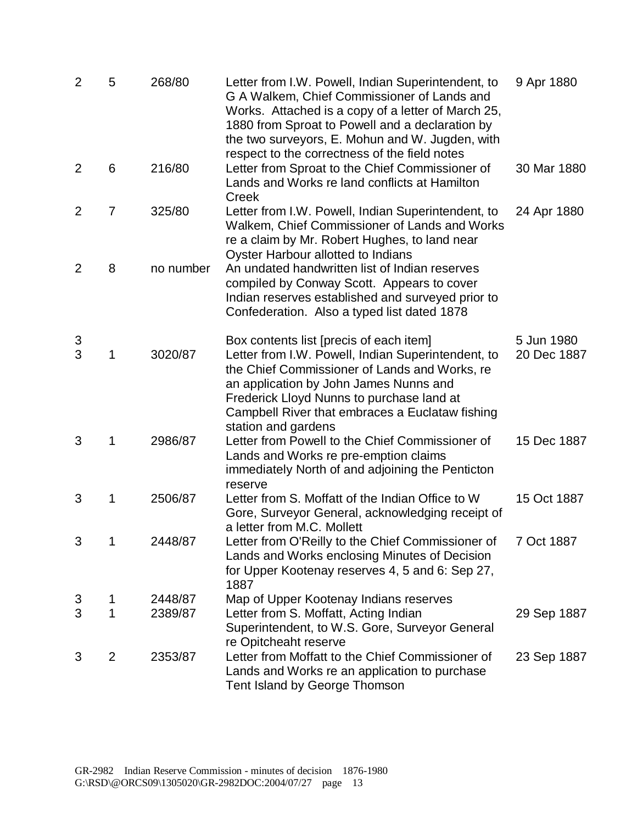| $\overline{2}$ | 5              | 268/80             | Letter from I.W. Powell, Indian Superintendent, to<br>G A Walkem, Chief Commissioner of Lands and<br>Works. Attached is a copy of a letter of March 25,<br>1880 from Sproat to Powell and a declaration by<br>the two surveyors, E. Mohun and W. Jugden, with<br>respect to the correctness of the field notes | 9 Apr 1880                |
|----------------|----------------|--------------------|----------------------------------------------------------------------------------------------------------------------------------------------------------------------------------------------------------------------------------------------------------------------------------------------------------------|---------------------------|
| 2              | 6              | 216/80             | Letter from Sproat to the Chief Commissioner of<br>Lands and Works re land conflicts at Hamilton<br>Creek                                                                                                                                                                                                      | 30 Mar 1880               |
| 2              | 7              | 325/80             | Letter from I.W. Powell, Indian Superintendent, to<br>Walkem, Chief Commissioner of Lands and Works<br>re a claim by Mr. Robert Hughes, to land near<br>Oyster Harbour allotted to Indians                                                                                                                     | 24 Apr 1880               |
| 2              | 8              | no number          | An undated handwritten list of Indian reserves<br>compiled by Conway Scott. Appears to cover<br>Indian reserves established and surveyed prior to<br>Confederation. Also a typed list dated 1878                                                                                                               |                           |
| 3<br>3         | 1              | 3020/87            | Box contents list [precis of each item]<br>Letter from I.W. Powell, Indian Superintendent, to<br>the Chief Commissioner of Lands and Works, re<br>an application by John James Nunns and<br>Frederick Lloyd Nunns to purchase land at<br>Campbell River that embraces a Euclataw fishing                       | 5 Jun 1980<br>20 Dec 1887 |
| 3              | 1              | 2986/87            | station and gardens<br>Letter from Powell to the Chief Commissioner of<br>Lands and Works re pre-emption claims<br>immediately North of and adjoining the Penticton<br>reserve                                                                                                                                 | 15 Dec 1887               |
| 3              | 1              | 2506/87            | Letter from S. Moffatt of the Indian Office to W<br>Gore, Surveyor General, acknowledging receipt of<br>a letter from M.C. Mollett                                                                                                                                                                             | 15 Oct 1887               |
| 3              | 1              | 2448/87            | Letter from O'Reilly to the Chief Commissioner of<br>Lands and Works enclosing Minutes of Decision<br>for Upper Kootenay reserves 4, 5 and 6: Sep 27,<br>1887                                                                                                                                                  | 7 Oct 1887                |
| 3<br>3         | 1<br>1         | 2448/87<br>2389/87 | Map of Upper Kootenay Indians reserves<br>Letter from S. Moffatt, Acting Indian                                                                                                                                                                                                                                | 29 Sep 1887               |
|                |                |                    | Superintendent, to W.S. Gore, Surveyor General<br>re Opitcheaht reserve                                                                                                                                                                                                                                        |                           |
| 3              | $\overline{2}$ | 2353/87            | Letter from Moffatt to the Chief Commissioner of<br>Lands and Works re an application to purchase<br>Tent Island by George Thomson                                                                                                                                                                             | 23 Sep 1887               |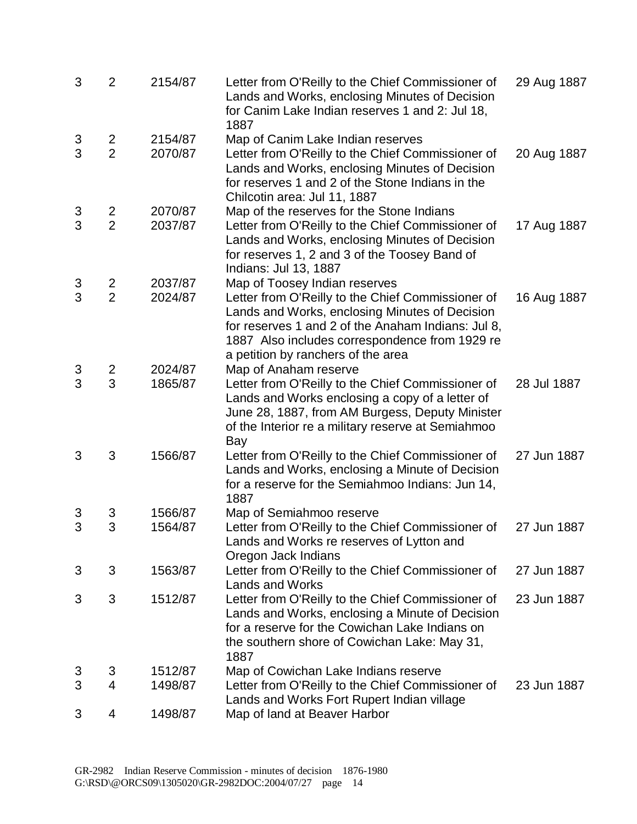| 3      | $\overline{2}$           | 2154/87 | Letter from O'Reilly to the Chief Commissioner of<br>Lands and Works, enclosing Minutes of Decision<br>for Canim Lake Indian reserves 1 and 2: Jul 18,<br>1887                                                                                    | 29 Aug 1887 |
|--------|--------------------------|---------|---------------------------------------------------------------------------------------------------------------------------------------------------------------------------------------------------------------------------------------------------|-------------|
| 3      | 2                        | 2154/87 | Map of Canim Lake Indian reserves                                                                                                                                                                                                                 |             |
| 3      | $\overline{2}$           | 2070/87 | Letter from O'Reilly to the Chief Commissioner of<br>Lands and Works, enclosing Minutes of Decision<br>for reserves 1 and 2 of the Stone Indians in the<br>Chilcotin area: Jul 11, 1887                                                           | 20 Aug 1887 |
| 3      | 2                        | 2070/87 | Map of the reserves for the Stone Indians                                                                                                                                                                                                         |             |
| 3      | $\overline{2}$           | 2037/87 | Letter from O'Reilly to the Chief Commissioner of<br>Lands and Works, enclosing Minutes of Decision<br>for reserves 1, 2 and 3 of the Toosey Band of<br>Indians: Jul 13, 1887                                                                     | 17 Aug 1887 |
| 3      | 2                        | 2037/87 | Map of Toosey Indian reserves                                                                                                                                                                                                                     |             |
| 3      | $\overline{2}$           | 2024/87 | Letter from O'Reilly to the Chief Commissioner of<br>Lands and Works, enclosing Minutes of Decision<br>for reserves 1 and 2 of the Anaham Indians: Jul 8,<br>1887 Also includes correspondence from 1929 re<br>a petition by ranchers of the area | 16 Aug 1887 |
| 3<br>3 | 2                        | 2024/87 | Map of Anaham reserve                                                                                                                                                                                                                             |             |
|        | 3                        | 1865/87 | Letter from O'Reilly to the Chief Commissioner of<br>Lands and Works enclosing a copy of a letter of<br>June 28, 1887, from AM Burgess, Deputy Minister<br>of the Interior re a military reserve at Semiahmoo<br>Bay                              | 28 Jul 1887 |
| 3      | 3                        | 1566/87 | Letter from O'Reilly to the Chief Commissioner of<br>Lands and Works, enclosing a Minute of Decision<br>for a reserve for the Semiahmoo Indians: Jun 14,<br>1887                                                                                  | 27 Jun 1887 |
| 3      | 3                        | 1566/87 | Map of Semiahmoo reserve                                                                                                                                                                                                                          |             |
| 3      | 3                        | 1564/87 | Letter from O'Reilly to the Chief Commissioner of<br>Lands and Works re reserves of Lytton and<br>Oregon Jack Indians                                                                                                                             | 27 Jun 1887 |
| 3      | 3                        | 1563/87 | Letter from O'Reilly to the Chief Commissioner of<br><b>Lands and Works</b>                                                                                                                                                                       | 27 Jun 1887 |
| 3      | 3                        | 1512/87 | Letter from O'Reilly to the Chief Commissioner of<br>Lands and Works, enclosing a Minute of Decision<br>for a reserve for the Cowichan Lake Indians on<br>the southern shore of Cowichan Lake: May 31,<br>1887                                    | 23 Jun 1887 |
| 3      | 3                        | 1512/87 | Map of Cowichan Lake Indians reserve                                                                                                                                                                                                              |             |
| 3      | $\overline{\mathcal{L}}$ | 1498/87 | Letter from O'Reilly to the Chief Commissioner of<br>Lands and Works Fort Rupert Indian village                                                                                                                                                   | 23 Jun 1887 |
| 3      | 4                        | 1498/87 | Map of land at Beaver Harbor                                                                                                                                                                                                                      |             |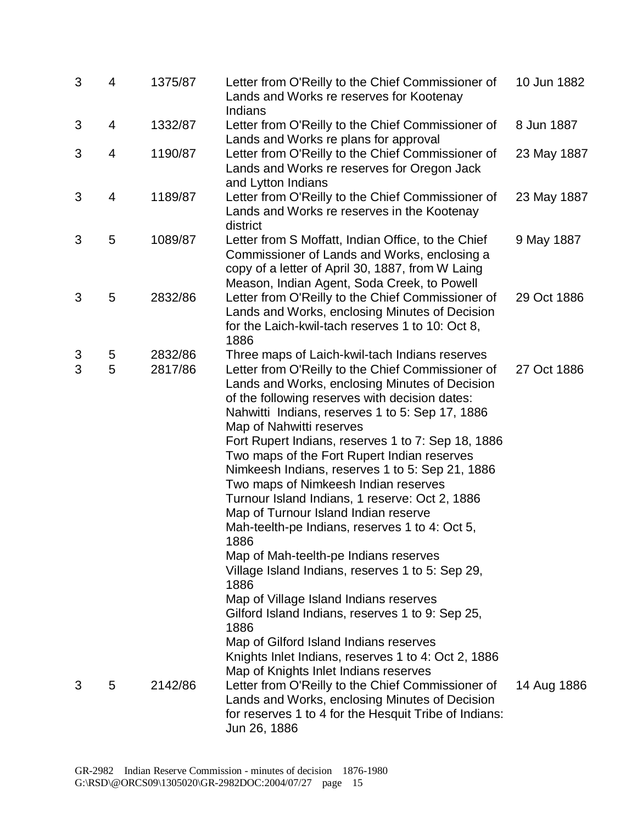| 3      | 4      | 1375/87            | Letter from O'Reilly to the Chief Commissioner of<br>Lands and Works re reserves for Kootenay<br>Indians                                                                                                                                                                                                                                                                                                                                                                                                                                                                                                                                                                                                                                                                                                                                                                                                                                               | 10 Jun 1882 |
|--------|--------|--------------------|--------------------------------------------------------------------------------------------------------------------------------------------------------------------------------------------------------------------------------------------------------------------------------------------------------------------------------------------------------------------------------------------------------------------------------------------------------------------------------------------------------------------------------------------------------------------------------------------------------------------------------------------------------------------------------------------------------------------------------------------------------------------------------------------------------------------------------------------------------------------------------------------------------------------------------------------------------|-------------|
| 3      | 4      | 1332/87            | Letter from O'Reilly to the Chief Commissioner of<br>Lands and Works re plans for approval                                                                                                                                                                                                                                                                                                                                                                                                                                                                                                                                                                                                                                                                                                                                                                                                                                                             | 8 Jun 1887  |
| 3      | 4      | 1190/87            | Letter from O'Reilly to the Chief Commissioner of<br>Lands and Works re reserves for Oregon Jack<br>and Lytton Indians                                                                                                                                                                                                                                                                                                                                                                                                                                                                                                                                                                                                                                                                                                                                                                                                                                 | 23 May 1887 |
| 3      | 4      | 1189/87            | Letter from O'Reilly to the Chief Commissioner of<br>Lands and Works re reserves in the Kootenay<br>district                                                                                                                                                                                                                                                                                                                                                                                                                                                                                                                                                                                                                                                                                                                                                                                                                                           | 23 May 1887 |
| 3      | 5      | 1089/87            | Letter from S Moffatt, Indian Office, to the Chief<br>Commissioner of Lands and Works, enclosing a<br>copy of a letter of April 30, 1887, from W Laing<br>Meason, Indian Agent, Soda Creek, to Powell                                                                                                                                                                                                                                                                                                                                                                                                                                                                                                                                                                                                                                                                                                                                                  | 9 May 1887  |
| 3      | 5      | 2832/86            | Letter from O'Reilly to the Chief Commissioner of<br>Lands and Works, enclosing Minutes of Decision<br>for the Laich-kwil-tach reserves 1 to 10: Oct 8,<br>1886                                                                                                                                                                                                                                                                                                                                                                                                                                                                                                                                                                                                                                                                                                                                                                                        | 29 Oct 1886 |
| 3<br>3 | 5<br>5 | 2832/86<br>2817/86 | Three maps of Laich-kwil-tach Indians reserves<br>Letter from O'Reilly to the Chief Commissioner of<br>Lands and Works, enclosing Minutes of Decision<br>of the following reserves with decision dates:<br>Nahwitti Indians, reserves 1 to 5: Sep 17, 1886<br>Map of Nahwitti reserves<br>Fort Rupert Indians, reserves 1 to 7: Sep 18, 1886<br>Two maps of the Fort Rupert Indian reserves<br>Nimkeesh Indians, reserves 1 to 5: Sep 21, 1886<br>Two maps of Nimkeesh Indian reserves<br>Turnour Island Indians, 1 reserve: Oct 2, 1886<br>Map of Turnour Island Indian reserve<br>Mah-teelth-pe Indians, reserves 1 to 4: Oct 5,<br>1886<br>Map of Mah-teelth-pe Indians reserves<br>Village Island Indians, reserves 1 to 5: Sep 29,<br>1886<br>Map of Village Island Indians reserves<br>Gilford Island Indians, reserves 1 to 9: Sep 25,<br>1886<br>Map of Gilford Island Indians reserves<br>Knights Inlet Indians, reserves 1 to 4: Oct 2, 1886 | 27 Oct 1886 |
| 3      | 5      | 2142/86            | Map of Knights Inlet Indians reserves<br>Letter from O'Reilly to the Chief Commissioner of<br>Lands and Works, enclosing Minutes of Decision<br>for reserves 1 to 4 for the Hesquit Tribe of Indians:<br>Jun 26, 1886                                                                                                                                                                                                                                                                                                                                                                                                                                                                                                                                                                                                                                                                                                                                  | 14 Aug 1886 |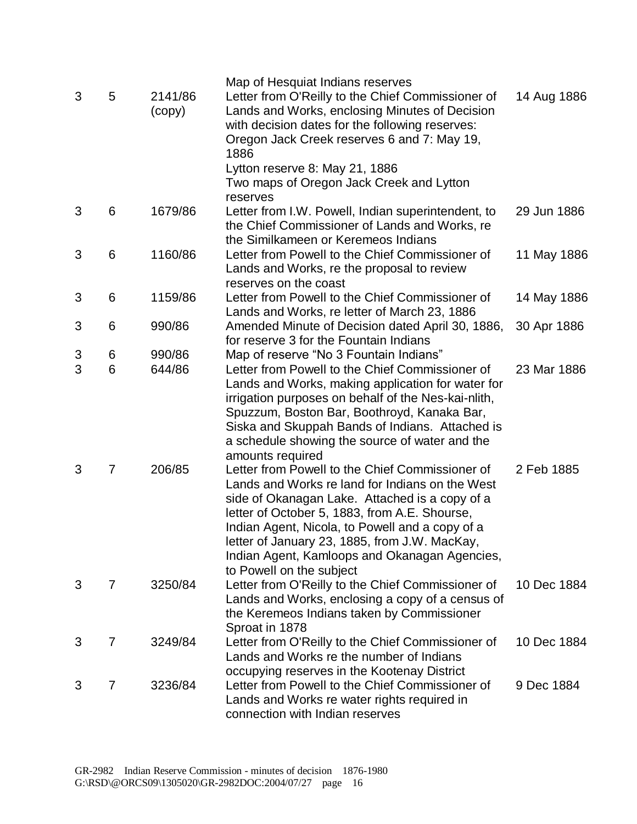|   |   |                   | Map of Hesquiat Indians reserves                                                                                                                                                                                                                                                                                                                                                       |             |
|---|---|-------------------|----------------------------------------------------------------------------------------------------------------------------------------------------------------------------------------------------------------------------------------------------------------------------------------------------------------------------------------------------------------------------------------|-------------|
| 3 | 5 | 2141/86<br>(copy) | Letter from O'Reilly to the Chief Commissioner of<br>Lands and Works, enclosing Minutes of Decision<br>with decision dates for the following reserves:<br>Oregon Jack Creek reserves 6 and 7: May 19,<br>1886                                                                                                                                                                          | 14 Aug 1886 |
|   |   |                   | Lytton reserve 8: May 21, 1886<br>Two maps of Oregon Jack Creek and Lytton<br>reserves                                                                                                                                                                                                                                                                                                 |             |
| 3 | 6 | 1679/86           | Letter from I.W. Powell, Indian superintendent, to<br>the Chief Commissioner of Lands and Works, re<br>the Similkameen or Keremeos Indians                                                                                                                                                                                                                                             | 29 Jun 1886 |
| 3 | 6 | 1160/86           | Letter from Powell to the Chief Commissioner of<br>Lands and Works, re the proposal to review<br>reserves on the coast                                                                                                                                                                                                                                                                 | 11 May 1886 |
| 3 | 6 | 1159/86           | Letter from Powell to the Chief Commissioner of<br>Lands and Works, re letter of March 23, 1886                                                                                                                                                                                                                                                                                        | 14 May 1886 |
| 3 | 6 | 990/86            | Amended Minute of Decision dated April 30, 1886,<br>for reserve 3 for the Fountain Indians                                                                                                                                                                                                                                                                                             | 30 Apr 1886 |
| 3 | 6 | 990/86            | Map of reserve "No 3 Fountain Indians"                                                                                                                                                                                                                                                                                                                                                 |             |
| 3 | 6 | 644/86            | Letter from Powell to the Chief Commissioner of<br>Lands and Works, making application for water for                                                                                                                                                                                                                                                                                   | 23 Mar 1886 |
|   |   |                   | irrigation purposes on behalf of the Nes-kai-nlith,<br>Spuzzum, Boston Bar, Boothroyd, Kanaka Bar,<br>Siska and Skuppah Bands of Indians. Attached is<br>a schedule showing the source of water and the<br>amounts required                                                                                                                                                            |             |
| 3 | 7 | 206/85            | Letter from Powell to the Chief Commissioner of<br>Lands and Works re land for Indians on the West<br>side of Okanagan Lake. Attached is a copy of a<br>letter of October 5, 1883, from A.E. Shourse,<br>Indian Agent, Nicola, to Powell and a copy of a<br>letter of January 23, 1885, from J.W. MacKay,<br>Indian Agent, Kamloops and Okanagan Agencies,<br>to Powell on the subject | 2 Feb 1885  |
| 3 | 7 | 3250/84           | Letter from O'Reilly to the Chief Commissioner of<br>Lands and Works, enclosing a copy of a census of<br>the Keremeos Indians taken by Commissioner<br>Sproat in 1878                                                                                                                                                                                                                  | 10 Dec 1884 |
| 3 | 7 | 3249/84           | Letter from O'Reilly to the Chief Commissioner of<br>Lands and Works re the number of Indians<br>occupying reserves in the Kootenay District                                                                                                                                                                                                                                           | 10 Dec 1884 |
| 3 | 7 | 3236/84           | Letter from Powell to the Chief Commissioner of<br>Lands and Works re water rights required in<br>connection with Indian reserves                                                                                                                                                                                                                                                      | 9 Dec 1884  |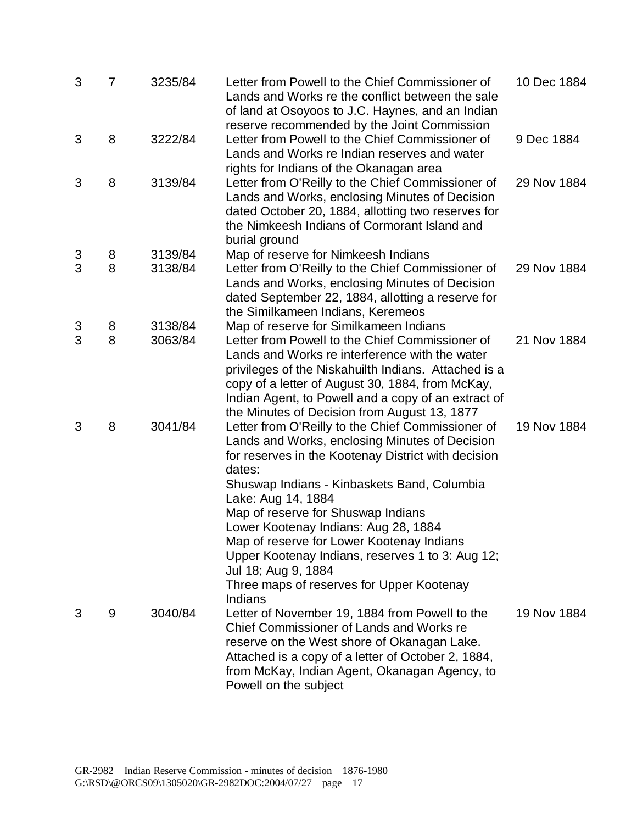| 3 | $\overline{7}$ | 3235/84 | Letter from Powell to the Chief Commissioner of<br>Lands and Works re the conflict between the sale<br>of land at Osoyoos to J.C. Haynes, and an Indian<br>reserve recommended by the Joint Commission                                                                                                                                                                                                                                                                                                  | 10 Dec 1884 |
|---|----------------|---------|---------------------------------------------------------------------------------------------------------------------------------------------------------------------------------------------------------------------------------------------------------------------------------------------------------------------------------------------------------------------------------------------------------------------------------------------------------------------------------------------------------|-------------|
| 3 | 8              | 3222/84 | Letter from Powell to the Chief Commissioner of<br>Lands and Works re Indian reserves and water<br>rights for Indians of the Okanagan area                                                                                                                                                                                                                                                                                                                                                              | 9 Dec 1884  |
| 3 | 8              | 3139/84 | Letter from O'Reilly to the Chief Commissioner of<br>Lands and Works, enclosing Minutes of Decision<br>dated October 20, 1884, allotting two reserves for<br>the Nimkeesh Indians of Cormorant Island and<br>burial ground                                                                                                                                                                                                                                                                              | 29 Nov 1884 |
| 3 | 8              | 3139/84 | Map of reserve for Nimkeesh Indians                                                                                                                                                                                                                                                                                                                                                                                                                                                                     |             |
| 3 | 8              | 3138/84 | Letter from O'Reilly to the Chief Commissioner of<br>Lands and Works, enclosing Minutes of Decision<br>dated September 22, 1884, allotting a reserve for<br>the Similkameen Indians, Keremeos                                                                                                                                                                                                                                                                                                           | 29 Nov 1884 |
| 3 | 8              | 3138/84 | Map of reserve for Similkameen Indians                                                                                                                                                                                                                                                                                                                                                                                                                                                                  |             |
| 3 | 8              | 3063/84 | Letter from Powell to the Chief Commissioner of<br>Lands and Works re interference with the water<br>privileges of the Niskahuilth Indians. Attached is a<br>copy of a letter of August 30, 1884, from McKay,<br>Indian Agent, to Powell and a copy of an extract of<br>the Minutes of Decision from August 13, 1877                                                                                                                                                                                    | 21 Nov 1884 |
| 3 | 8              | 3041/84 | Letter from O'Reilly to the Chief Commissioner of<br>Lands and Works, enclosing Minutes of Decision<br>for reserves in the Kootenay District with decision<br>dates:<br>Shuswap Indians - Kinbaskets Band, Columbia<br>Lake: Aug 14, 1884<br>Map of reserve for Shuswap Indians<br>Lower Kootenay Indians: Aug 28, 1884<br>Map of reserve for Lower Kootenay Indians<br>Upper Kootenay Indians, reserves 1 to 3: Aug 12;<br>Jul 18; Aug 9, 1884<br>Three maps of reserves for Upper Kootenay<br>Indians | 19 Nov 1884 |
| 3 | 9              | 3040/84 | Letter of November 19, 1884 from Powell to the<br>Chief Commissioner of Lands and Works re<br>reserve on the West shore of Okanagan Lake.<br>Attached is a copy of a letter of October 2, 1884,<br>from McKay, Indian Agent, Okanagan Agency, to<br>Powell on the subject                                                                                                                                                                                                                               | 19 Nov 1884 |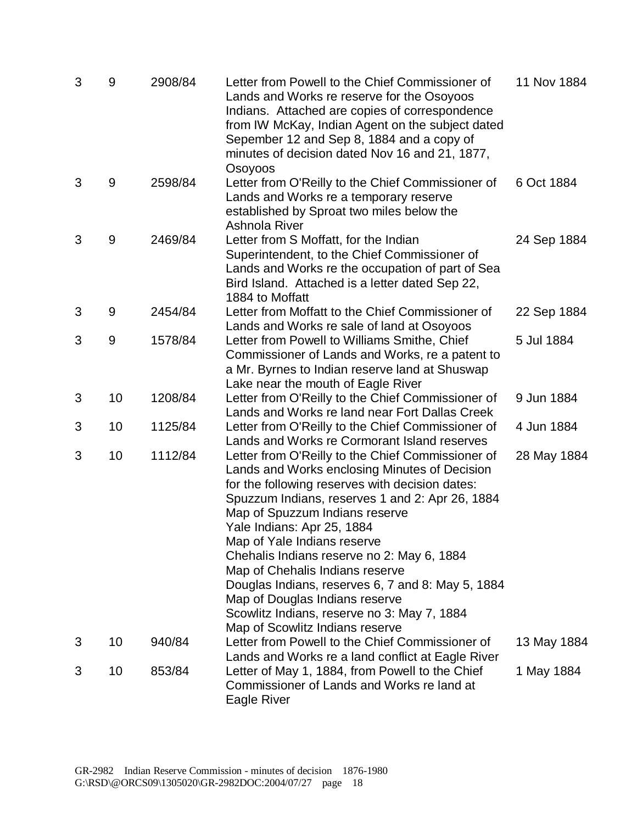| 3 | 9  | 2908/84 | Letter from Powell to the Chief Commissioner of<br>Lands and Works re reserve for the Osoyoos<br>Indians. Attached are copies of correspondence<br>from IW McKay, Indian Agent on the subject dated<br>Sepember 12 and Sep 8, 1884 and a copy of<br>minutes of decision dated Nov 16 and 21, 1877,<br>Osoyoos                                                                                                                                                                                                                                                     | 11 Nov 1884 |
|---|----|---------|-------------------------------------------------------------------------------------------------------------------------------------------------------------------------------------------------------------------------------------------------------------------------------------------------------------------------------------------------------------------------------------------------------------------------------------------------------------------------------------------------------------------------------------------------------------------|-------------|
| 3 | 9  | 2598/84 | Letter from O'Reilly to the Chief Commissioner of<br>Lands and Works re a temporary reserve<br>established by Sproat two miles below the<br>Ashnola River                                                                                                                                                                                                                                                                                                                                                                                                         | 6 Oct 1884  |
| 3 | 9  | 2469/84 | Letter from S Moffatt, for the Indian<br>Superintendent, to the Chief Commissioner of<br>Lands and Works re the occupation of part of Sea<br>Bird Island. Attached is a letter dated Sep 22,<br>1884 to Moffatt                                                                                                                                                                                                                                                                                                                                                   | 24 Sep 1884 |
| 3 | 9  | 2454/84 | Letter from Moffatt to the Chief Commissioner of<br>Lands and Works re sale of land at Osoyoos                                                                                                                                                                                                                                                                                                                                                                                                                                                                    | 22 Sep 1884 |
| 3 | 9  | 1578/84 | Letter from Powell to Williams Smithe, Chief<br>Commissioner of Lands and Works, re a patent to<br>a Mr. Byrnes to Indian reserve land at Shuswap<br>Lake near the mouth of Eagle River                                                                                                                                                                                                                                                                                                                                                                           | 5 Jul 1884  |
| 3 | 10 | 1208/84 | Letter from O'Reilly to the Chief Commissioner of<br>Lands and Works re land near Fort Dallas Creek                                                                                                                                                                                                                                                                                                                                                                                                                                                               | 9 Jun 1884  |
| 3 | 10 | 1125/84 | Letter from O'Reilly to the Chief Commissioner of<br>Lands and Works re Cormorant Island reserves                                                                                                                                                                                                                                                                                                                                                                                                                                                                 | 4 Jun 1884  |
| 3 | 10 | 1112/84 | Letter from O'Reilly to the Chief Commissioner of<br>Lands and Works enclosing Minutes of Decision<br>for the following reserves with decision dates:<br>Spuzzum Indians, reserves 1 and 2: Apr 26, 1884<br>Map of Spuzzum Indians reserve<br>Yale Indians: Apr 25, 1884<br>Map of Yale Indians reserve<br>Chehalis Indians reserve no 2: May 6, 1884<br>Map of Chehalis Indians reserve<br>Douglas Indians, reserves 6, 7 and 8: May 5, 1884<br>Map of Douglas Indians reserve<br>Scowlitz Indians, reserve no 3: May 7, 1884<br>Map of Scowlitz Indians reserve | 28 May 1884 |
| 3 | 10 | 940/84  | Letter from Powell to the Chief Commissioner of<br>Lands and Works re a land conflict at Eagle River                                                                                                                                                                                                                                                                                                                                                                                                                                                              | 13 May 1884 |
| 3 | 10 | 853/84  | Letter of May 1, 1884, from Powell to the Chief<br>Commissioner of Lands and Works re land at<br>Eagle River                                                                                                                                                                                                                                                                                                                                                                                                                                                      | 1 May 1884  |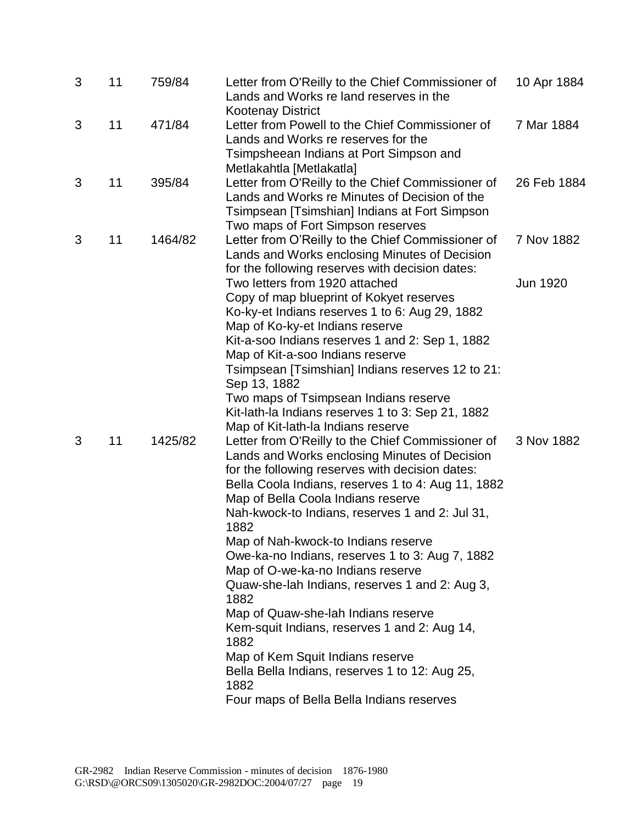| 3 | 11 | 759/84  | Letter from O'Reilly to the Chief Commissioner of<br>Lands and Works re land reserves in the                                                                                                                                                                                                                                                                                                                                                                                                                                                                                                                                                                                                                                                                                          | 10 Apr 1884 |
|---|----|---------|---------------------------------------------------------------------------------------------------------------------------------------------------------------------------------------------------------------------------------------------------------------------------------------------------------------------------------------------------------------------------------------------------------------------------------------------------------------------------------------------------------------------------------------------------------------------------------------------------------------------------------------------------------------------------------------------------------------------------------------------------------------------------------------|-------------|
| 3 | 11 | 471/84  | <b>Kootenay District</b><br>Letter from Powell to the Chief Commissioner of<br>Lands and Works re reserves for the<br>Tsimpsheean Indians at Port Simpson and<br>Metlakahtla [Metlakatla]                                                                                                                                                                                                                                                                                                                                                                                                                                                                                                                                                                                             | 7 Mar 1884  |
| 3 | 11 | 395/84  | Letter from O'Reilly to the Chief Commissioner of<br>Lands and Works re Minutes of Decision of the<br>Tsimpsean [Tsimshian] Indians at Fort Simpson                                                                                                                                                                                                                                                                                                                                                                                                                                                                                                                                                                                                                                   | 26 Feb 1884 |
| 3 | 11 | 1464/82 | Two maps of Fort Simpson reserves<br>Letter from O'Reilly to the Chief Commissioner of<br>Lands and Works enclosing Minutes of Decision<br>for the following reserves with decision dates:                                                                                                                                                                                                                                                                                                                                                                                                                                                                                                                                                                                            | 7 Nov 1882  |
|   |    |         | Two letters from 1920 attached<br>Copy of map blueprint of Kokyet reserves<br>Ko-ky-et Indians reserves 1 to 6: Aug 29, 1882<br>Map of Ko-ky-et Indians reserve<br>Kit-a-soo Indians reserves 1 and 2: Sep 1, 1882<br>Map of Kit-a-soo Indians reserve<br>Tsimpsean [Tsimshian] Indians reserves 12 to 21:<br>Sep 13, 1882<br>Two maps of Tsimpsean Indians reserve<br>Kit-lath-la Indians reserves 1 to 3: Sep 21, 1882                                                                                                                                                                                                                                                                                                                                                              | Jun 1920    |
| 3 | 11 | 1425/82 | Map of Kit-lath-la Indians reserve<br>Letter from O'Reilly to the Chief Commissioner of<br>Lands and Works enclosing Minutes of Decision<br>for the following reserves with decision dates:<br>Bella Coola Indians, reserves 1 to 4: Aug 11, 1882<br>Map of Bella Coola Indians reserve<br>Nah-kwock-to Indians, reserves 1 and 2: Jul 31,<br>1882<br>Map of Nah-kwock-to Indians reserve<br>Owe-ka-no Indians, reserves 1 to 3: Aug 7, 1882<br>Map of O-we-ka-no Indians reserve<br>Quaw-she-lah Indians, reserves 1 and 2: Aug 3,<br>1882<br>Map of Quaw-she-lah Indians reserve<br>Kem-squit Indians, reserves 1 and 2: Aug 14,<br>1882<br>Map of Kem Squit Indians reserve<br>Bella Bella Indians, reserves 1 to 12: Aug 25,<br>1882<br>Four maps of Bella Bella Indians reserves | 3 Nov 1882  |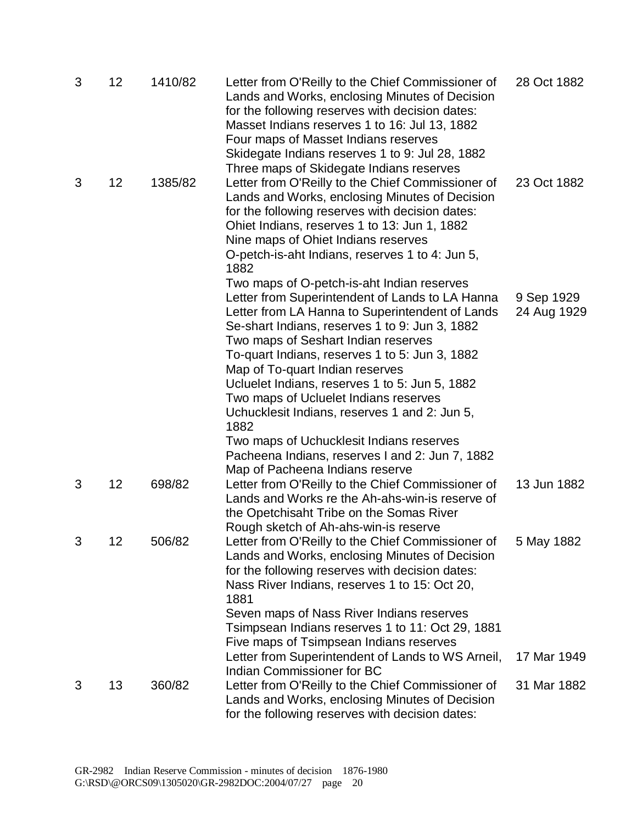| 3 | 12 | 1410/82 | Letter from O'Reilly to the Chief Commissioner of<br>Lands and Works, enclosing Minutes of Decision<br>for the following reserves with decision dates:<br>Masset Indians reserves 1 to 16: Jul 13, 1882<br>Four maps of Masset Indians reserves<br>Skidegate Indians reserves 1 to 9: Jul 28, 1882                                                                                                                                                                                 | 28 Oct 1882               |
|---|----|---------|------------------------------------------------------------------------------------------------------------------------------------------------------------------------------------------------------------------------------------------------------------------------------------------------------------------------------------------------------------------------------------------------------------------------------------------------------------------------------------|---------------------------|
| 3 | 12 | 1385/82 | Three maps of Skidegate Indians reserves<br>Letter from O'Reilly to the Chief Commissioner of<br>Lands and Works, enclosing Minutes of Decision<br>for the following reserves with decision dates:<br>Ohiet Indians, reserves 1 to 13: Jun 1, 1882<br>Nine maps of Ohiet Indians reserves<br>O-petch-is-aht Indians, reserves 1 to 4: Jun 5,<br>1882                                                                                                                               | 23 Oct 1882               |
|   |    |         | Two maps of O-petch-is-aht Indian reserves<br>Letter from Superintendent of Lands to LA Hanna<br>Letter from LA Hanna to Superintendent of Lands<br>Se-shart Indians, reserves 1 to 9: Jun 3, 1882<br>Two maps of Seshart Indian reserves<br>To-quart Indians, reserves 1 to 5: Jun 3, 1882<br>Map of To-quart Indian reserves<br>Ucluelet Indians, reserves 1 to 5: Jun 5, 1882<br>Two maps of Ucluelet Indians reserves<br>Uchucklesit Indians, reserves 1 and 2: Jun 5,<br>1882 | 9 Sep 1929<br>24 Aug 1929 |
|   |    |         | Two maps of Uchucklesit Indians reserves<br>Pacheena Indians, reserves I and 2: Jun 7, 1882                                                                                                                                                                                                                                                                                                                                                                                        |                           |
| 3 | 12 | 698/82  | Map of Pacheena Indians reserve<br>Letter from O'Reilly to the Chief Commissioner of<br>Lands and Works re the Ah-ahs-win-is reserve of<br>the Opetchisaht Tribe on the Somas River<br>Rough sketch of Ah-ahs-win-is reserve                                                                                                                                                                                                                                                       | 13 Jun 1882               |
| 3 | 12 | 506/82  | Letter from O'Reilly to the Chief Commissioner of<br>Lands and Works, enclosing Minutes of Decision<br>for the following reserves with decision dates:<br>Nass River Indians, reserves 1 to 15: Oct 20,<br>1881                                                                                                                                                                                                                                                                    | 5 May 1882                |
|   |    |         | Seven maps of Nass River Indians reserves<br>Tsimpsean Indians reserves 1 to 11: Oct 29, 1881<br>Five maps of Tsimpsean Indians reserves                                                                                                                                                                                                                                                                                                                                           |                           |
|   |    |         | Letter from Superintendent of Lands to WS Arneil,<br>Indian Commissioner for BC                                                                                                                                                                                                                                                                                                                                                                                                    | 17 Mar 1949               |
| 3 | 13 | 360/82  | Letter from O'Reilly to the Chief Commissioner of<br>Lands and Works, enclosing Minutes of Decision<br>for the following reserves with decision dates:                                                                                                                                                                                                                                                                                                                             | 31 Mar 1882               |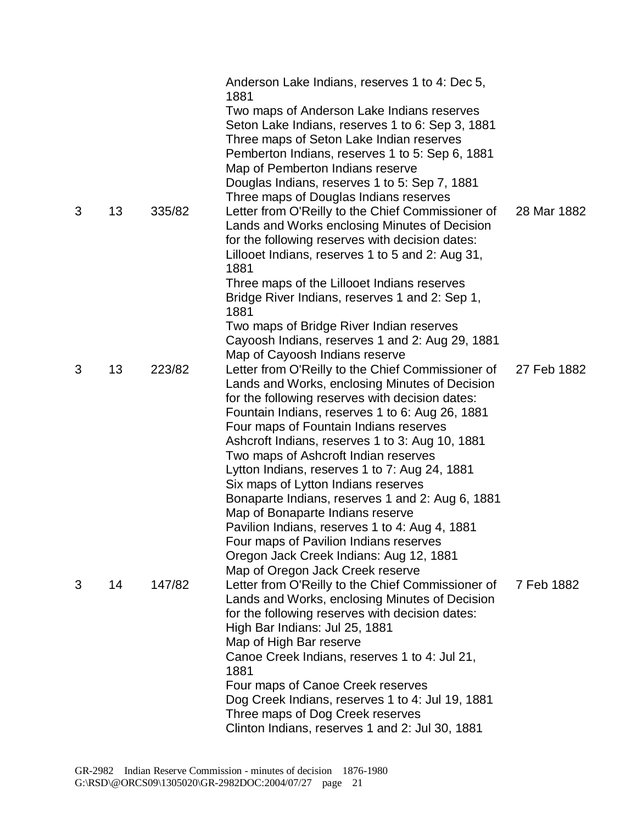|   |    |        | Anderson Lake Indians, reserves 1 to 4: Dec 5,<br>1881                                                                                                                                                                            |             |
|---|----|--------|-----------------------------------------------------------------------------------------------------------------------------------------------------------------------------------------------------------------------------------|-------------|
|   |    |        | Two maps of Anderson Lake Indians reserves<br>Seton Lake Indians, reserves 1 to 6: Sep 3, 1881<br>Three maps of Seton Lake Indian reserves<br>Pemberton Indians, reserves 1 to 5: Sep 6, 1881<br>Map of Pemberton Indians reserve |             |
|   |    |        | Douglas Indians, reserves 1 to 5: Sep 7, 1881                                                                                                                                                                                     |             |
|   |    |        | Three maps of Douglas Indians reserves                                                                                                                                                                                            |             |
| 3 | 13 | 335/82 | Letter from O'Reilly to the Chief Commissioner of<br>Lands and Works enclosing Minutes of Decision<br>for the following reserves with decision dates:<br>Lillooet Indians, reserves 1 to 5 and 2: Aug 31,<br>1881                 | 28 Mar 1882 |
|   |    |        | Three maps of the Lillooet Indians reserves<br>Bridge River Indians, reserves 1 and 2: Sep 1,<br>1881                                                                                                                             |             |
|   |    |        | Two maps of Bridge River Indian reserves<br>Cayoosh Indians, reserves 1 and 2: Aug 29, 1881                                                                                                                                       |             |
| 3 | 13 | 223/82 | Map of Cayoosh Indians reserve<br>Letter from O'Reilly to the Chief Commissioner of                                                                                                                                               | 27 Feb 1882 |
|   |    |        | Lands and Works, enclosing Minutes of Decision<br>for the following reserves with decision dates:<br>Fountain Indians, reserves 1 to 6: Aug 26, 1881<br>Four maps of Fountain Indians reserves                                    |             |
|   |    |        | Ashcroft Indians, reserves 1 to 3: Aug 10, 1881<br>Two maps of Ashcroft Indian reserves                                                                                                                                           |             |
|   |    |        | Lytton Indians, reserves 1 to 7: Aug 24, 1881<br>Six maps of Lytton Indians reserves                                                                                                                                              |             |
|   |    |        | Bonaparte Indians, reserves 1 and 2: Aug 6, 1881                                                                                                                                                                                  |             |
|   |    |        | Map of Bonaparte Indians reserve                                                                                                                                                                                                  |             |
|   |    |        | Pavilion Indians, reserves 1 to 4: Aug 4, 1881                                                                                                                                                                                    |             |
|   |    |        | Four maps of Pavilion Indians reserves<br>Oregon Jack Creek Indians: Aug 12, 1881                                                                                                                                                 |             |
|   |    |        | Map of Oregon Jack Creek reserve                                                                                                                                                                                                  |             |
| 3 | 14 | 147/82 | Letter from O'Reilly to the Chief Commissioner of                                                                                                                                                                                 | 7 Feb 1882  |
|   |    |        | Lands and Works, enclosing Minutes of Decision<br>for the following reserves with decision dates:                                                                                                                                 |             |
|   |    |        | High Bar Indians: Jul 25, 1881                                                                                                                                                                                                    |             |
|   |    |        | Map of High Bar reserve                                                                                                                                                                                                           |             |
|   |    |        | Canoe Creek Indians, reserves 1 to 4: Jul 21,                                                                                                                                                                                     |             |
|   |    |        | 1881                                                                                                                                                                                                                              |             |
|   |    |        | Four maps of Canoe Creek reserves<br>Dog Creek Indians, reserves 1 to 4: Jul 19, 1881                                                                                                                                             |             |
|   |    |        | Three maps of Dog Creek reserves                                                                                                                                                                                                  |             |
|   |    |        | Clinton Indians, reserves 1 and 2: Jul 30, 1881                                                                                                                                                                                   |             |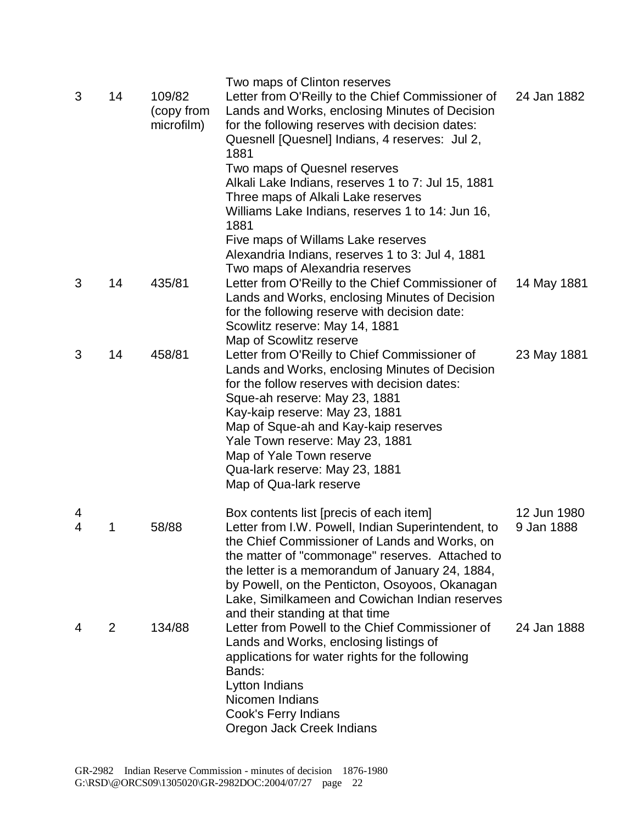|        |                |                                    | Two maps of Clinton reserves                                                                                                                                                                                                                                                                                                                                                                                      |                           |
|--------|----------------|------------------------------------|-------------------------------------------------------------------------------------------------------------------------------------------------------------------------------------------------------------------------------------------------------------------------------------------------------------------------------------------------------------------------------------------------------------------|---------------------------|
| 3      | 14             | 109/82<br>(copy from<br>microfilm) | Letter from O'Reilly to the Chief Commissioner of<br>Lands and Works, enclosing Minutes of Decision<br>for the following reserves with decision dates:<br>Quesnell [Quesnel] Indians, 4 reserves: Jul 2,<br>1881                                                                                                                                                                                                  | 24 Jan 1882               |
|        |                |                                    | Two maps of Quesnel reserves<br>Alkali Lake Indians, reserves 1 to 7: Jul 15, 1881<br>Three maps of Alkali Lake reserves<br>Williams Lake Indians, reserves 1 to 14: Jun 16,<br>1881                                                                                                                                                                                                                              |                           |
|        |                |                                    | Five maps of Willams Lake reserves<br>Alexandria Indians, reserves 1 to 3: Jul 4, 1881                                                                                                                                                                                                                                                                                                                            |                           |
| 3      | 14             | 435/81                             | Two maps of Alexandria reserves<br>Letter from O'Reilly to the Chief Commissioner of<br>Lands and Works, enclosing Minutes of Decision<br>for the following reserve with decision date:<br>Scowlitz reserve: May 14, 1881                                                                                                                                                                                         | 14 May 1881               |
| 3      | 14             | 458/81                             | Map of Scowlitz reserve<br>Letter from O'Reilly to Chief Commissioner of<br>Lands and Works, enclosing Minutes of Decision<br>for the follow reserves with decision dates:<br>Sque-ah reserve: May 23, 1881<br>Kay-kaip reserve: May 23, 1881<br>Map of Sque-ah and Kay-kaip reserves<br>Yale Town reserve: May 23, 1881<br>Map of Yale Town reserve<br>Qua-lark reserve: May 23, 1881<br>Map of Qua-lark reserve | 23 May 1881               |
| 4<br>4 | 1              | 58/88                              | Box contents list [precis of each item]<br>Letter from I.W. Powell, Indian Superintendent, to<br>the Chief Commissioner of Lands and Works, on<br>the matter of "commonage" reserves. Attached to<br>the letter is a memorandum of January 24, 1884,<br>by Powell, on the Penticton, Osoyoos, Okanagan<br>Lake, Similkameen and Cowichan Indian reserves                                                          | 12 Jun 1980<br>9 Jan 1888 |
| 4      | $\overline{2}$ | 134/88                             | and their standing at that time<br>Letter from Powell to the Chief Commissioner of<br>Lands and Works, enclosing listings of<br>applications for water rights for the following<br>Bands:<br>Lytton Indians<br>Nicomen Indians<br>Cook's Ferry Indians<br>Oregon Jack Creek Indians                                                                                                                               | 24 Jan 1888               |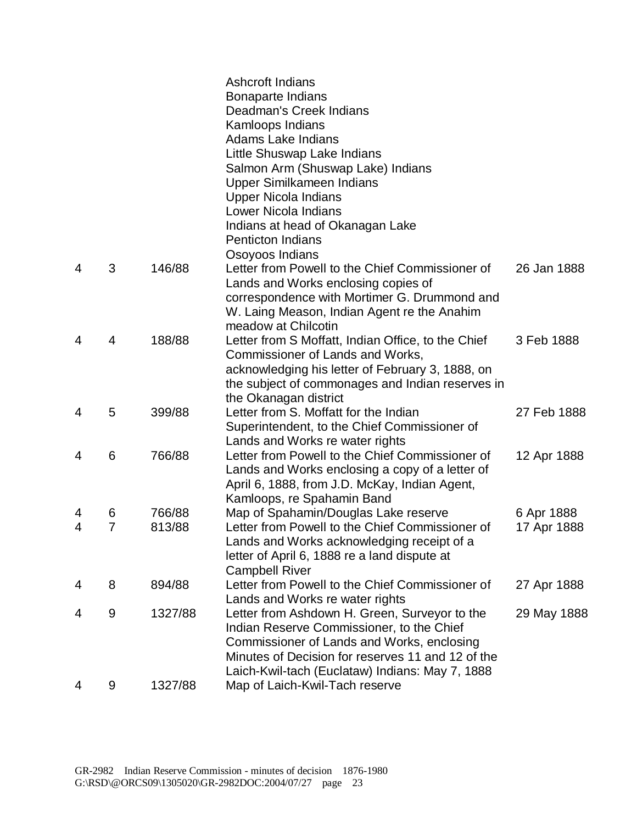|                |                |         | Ashcroft Indians<br><b>Bonaparte Indians</b><br>Deadman's Creek Indians<br>Kamloops Indians<br><b>Adams Lake Indians</b><br>Little Shuswap Lake Indians<br>Salmon Arm (Shuswap Lake) Indians<br>Upper Similkameen Indians<br><b>Upper Nicola Indians</b><br>Lower Nicola Indians |             |
|----------------|----------------|---------|----------------------------------------------------------------------------------------------------------------------------------------------------------------------------------------------------------------------------------------------------------------------------------|-------------|
|                |                |         | Indians at head of Okanagan Lake<br><b>Penticton Indians</b>                                                                                                                                                                                                                     |             |
| 4              | 3              | 146/88  | Osoyoos Indians<br>Letter from Powell to the Chief Commissioner of<br>Lands and Works enclosing copies of                                                                                                                                                                        | 26 Jan 1888 |
|                |                |         | correspondence with Mortimer G. Drummond and<br>W. Laing Meason, Indian Agent re the Anahim<br>meadow at Chilcotin                                                                                                                                                               |             |
| 4              | 4              | 188/88  | Letter from S Moffatt, Indian Office, to the Chief<br>Commissioner of Lands and Works,<br>acknowledging his letter of February 3, 1888, on<br>the subject of commonages and Indian reserves in<br>the Okanagan district                                                          | 3 Feb 1888  |
| $\overline{4}$ | 5              | 399/88  | Letter from S. Moffatt for the Indian<br>Superintendent, to the Chief Commissioner of<br>Lands and Works re water rights                                                                                                                                                         | 27 Feb 1888 |
| 4              | 6              | 766/88  | Letter from Powell to the Chief Commissioner of<br>Lands and Works enclosing a copy of a letter of<br>April 6, 1888, from J.D. McKay, Indian Agent,<br>Kamloops, re Spahamin Band                                                                                                | 12 Apr 1888 |
| 4              | 6              | 766/88  | Map of Spahamin/Douglas Lake reserve                                                                                                                                                                                                                                             | 6 Apr 1888  |
| 4              | $\overline{7}$ | 813/88  | Letter from Powell to the Chief Commissioner of<br>Lands and Works acknowledging receipt of a<br>letter of April 6, 1888 re a land dispute at<br><b>Campbell River</b>                                                                                                           | 17 Apr 1888 |
| 4              | 8              | 894/88  | Letter from Powell to the Chief Commissioner of<br>Lands and Works re water rights                                                                                                                                                                                               | 27 Apr 1888 |
| 4              | 9              | 1327/88 | Letter from Ashdown H. Green, Surveyor to the<br>Indian Reserve Commissioner, to the Chief<br>Commissioner of Lands and Works, enclosing<br>Minutes of Decision for reserves 11 and 12 of the<br>Laich-Kwil-tach (Euclataw) Indians: May 7, 1888                                 | 29 May 1888 |
| 4              | 9              | 1327/88 | Map of Laich-Kwil-Tach reserve                                                                                                                                                                                                                                                   |             |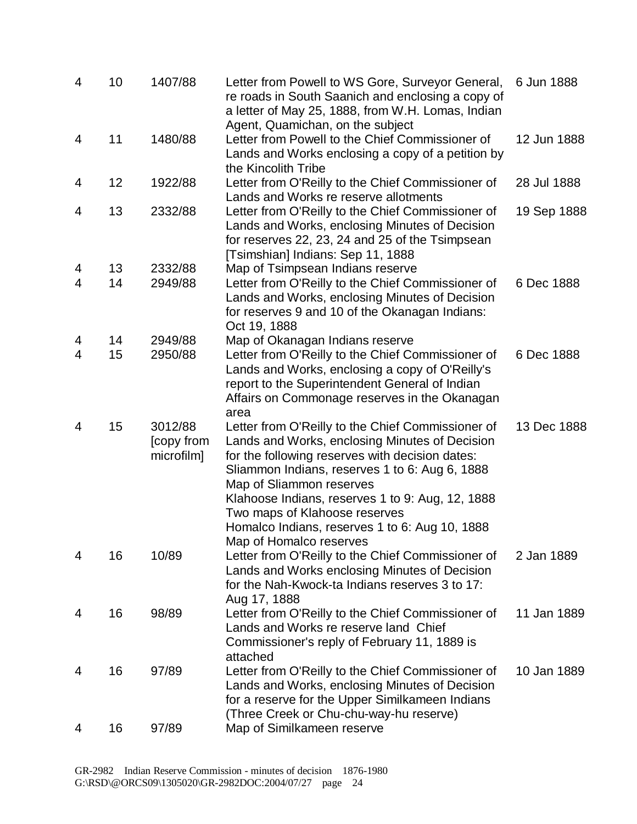| $\overline{4}$ | 10 | 1407/88                             | Letter from Powell to WS Gore, Surveyor General,<br>re roads in South Saanich and enclosing a copy of<br>a letter of May 25, 1888, from W.H. Lomas, Indian<br>Agent, Quamichan, on the subject                                                                                                                                                                                                         | 6 Jun 1888  |
|----------------|----|-------------------------------------|--------------------------------------------------------------------------------------------------------------------------------------------------------------------------------------------------------------------------------------------------------------------------------------------------------------------------------------------------------------------------------------------------------|-------------|
| 4              | 11 | 1480/88                             | Letter from Powell to the Chief Commissioner of<br>Lands and Works enclosing a copy of a petition by<br>the Kincolith Tribe                                                                                                                                                                                                                                                                            | 12 Jun 1888 |
| 4              | 12 | 1922/88                             | Letter from O'Reilly to the Chief Commissioner of<br>Lands and Works re reserve allotments                                                                                                                                                                                                                                                                                                             | 28 Jul 1888 |
| 4              | 13 | 2332/88                             | Letter from O'Reilly to the Chief Commissioner of<br>Lands and Works, enclosing Minutes of Decision<br>for reserves 22, 23, 24 and 25 of the Tsimpsean<br>[Tsimshian] Indians: Sep 11, 1888                                                                                                                                                                                                            | 19 Sep 1888 |
| 4              | 13 | 2332/88                             | Map of Tsimpsean Indians reserve                                                                                                                                                                                                                                                                                                                                                                       |             |
| $\overline{4}$ | 14 | 2949/88                             | Letter from O'Reilly to the Chief Commissioner of<br>Lands and Works, enclosing Minutes of Decision<br>for reserves 9 and 10 of the Okanagan Indians:<br>Oct 19, 1888                                                                                                                                                                                                                                  | 6 Dec 1888  |
| 4              | 14 | 2949/88                             | Map of Okanagan Indians reserve                                                                                                                                                                                                                                                                                                                                                                        |             |
| $\overline{4}$ | 15 | 2950/88                             | Letter from O'Reilly to the Chief Commissioner of<br>Lands and Works, enclosing a copy of O'Reilly's<br>report to the Superintendent General of Indian<br>Affairs on Commonage reserves in the Okanagan<br>area                                                                                                                                                                                        | 6 Dec 1888  |
| 4              | 15 | 3012/88<br>[copy from<br>microfilm] | Letter from O'Reilly to the Chief Commissioner of<br>Lands and Works, enclosing Minutes of Decision<br>for the following reserves with decision dates:<br>Sliammon Indians, reserves 1 to 6: Aug 6, 1888<br>Map of Sliammon reserves<br>Klahoose Indians, reserves 1 to 9: Aug, 12, 1888<br>Two maps of Klahoose reserves<br>Homalco Indians, reserves 1 to 6: Aug 10, 1888<br>Map of Homalco reserves | 13 Dec 1888 |
| 4              | 16 | 10/89                               | Letter from O'Reilly to the Chief Commissioner of<br>Lands and Works enclosing Minutes of Decision<br>for the Nah-Kwock-ta Indians reserves 3 to 17:<br>Aug 17, 1888                                                                                                                                                                                                                                   | 2 Jan 1889  |
| 4              | 16 | 98/89                               | Letter from O'Reilly to the Chief Commissioner of<br>Lands and Works re reserve land Chief<br>Commissioner's reply of February 11, 1889 is<br>attached                                                                                                                                                                                                                                                 | 11 Jan 1889 |
| 4              | 16 | 97/89                               | Letter from O'Reilly to the Chief Commissioner of<br>Lands and Works, enclosing Minutes of Decision<br>for a reserve for the Upper Similkameen Indians<br>(Three Creek or Chu-chu-way-hu reserve)                                                                                                                                                                                                      | 10 Jan 1889 |
| 4              | 16 | 97/89                               | Map of Similkameen reserve                                                                                                                                                                                                                                                                                                                                                                             |             |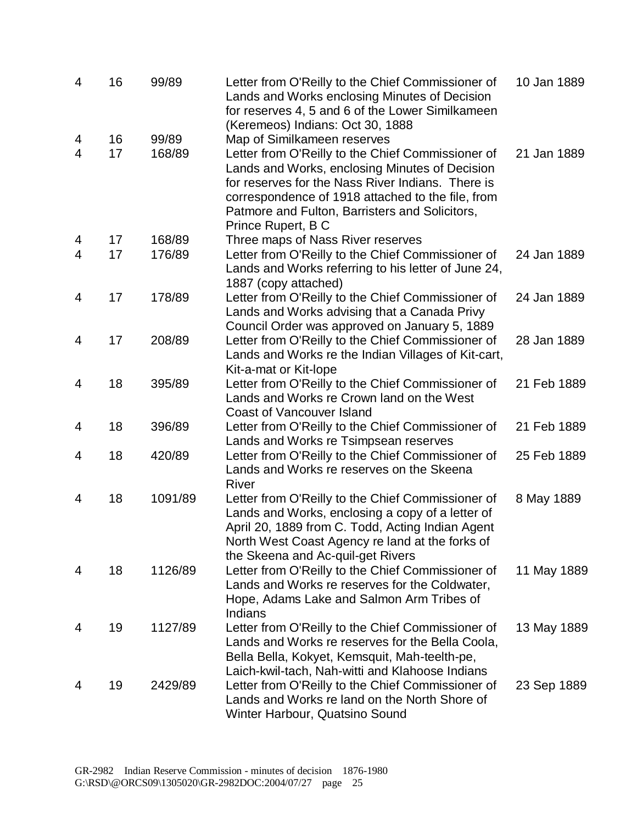| $\overline{4}$ | 16 | 99/89   | Letter from O'Reilly to the Chief Commissioner of<br>Lands and Works enclosing Minutes of Decision<br>for reserves 4, 5 and 6 of the Lower Similkameen<br>(Keremeos) Indians: Oct 30, 1888                                                                                            | 10 Jan 1889 |
|----------------|----|---------|---------------------------------------------------------------------------------------------------------------------------------------------------------------------------------------------------------------------------------------------------------------------------------------|-------------|
| 4              | 16 | 99/89   | Map of Similkameen reserves                                                                                                                                                                                                                                                           |             |
| $\overline{4}$ | 17 | 168/89  | Letter from O'Reilly to the Chief Commissioner of<br>Lands and Works, enclosing Minutes of Decision<br>for reserves for the Nass River Indians. There is<br>correspondence of 1918 attached to the file, from<br>Patmore and Fulton, Barristers and Solicitors,<br>Prince Rupert, B C | 21 Jan 1889 |
| 4              | 17 | 168/89  | Three maps of Nass River reserves                                                                                                                                                                                                                                                     |             |
| $\overline{4}$ | 17 | 176/89  | Letter from O'Reilly to the Chief Commissioner of<br>Lands and Works referring to his letter of June 24,<br>1887 (copy attached)                                                                                                                                                      | 24 Jan 1889 |
| 4              | 17 | 178/89  | Letter from O'Reilly to the Chief Commissioner of<br>Lands and Works advising that a Canada Privy<br>Council Order was approved on January 5, 1889                                                                                                                                    | 24 Jan 1889 |
| 4              | 17 | 208/89  | Letter from O'Reilly to the Chief Commissioner of<br>Lands and Works re the Indian Villages of Kit-cart,<br>Kit-a-mat or Kit-lope                                                                                                                                                     | 28 Jan 1889 |
| 4              | 18 | 395/89  | Letter from O'Reilly to the Chief Commissioner of<br>Lands and Works re Crown land on the West<br><b>Coast of Vancouver Island</b>                                                                                                                                                    | 21 Feb 1889 |
| 4              | 18 | 396/89  | Letter from O'Reilly to the Chief Commissioner of<br>Lands and Works re Tsimpsean reserves                                                                                                                                                                                            | 21 Feb 1889 |
| 4              | 18 | 420/89  | Letter from O'Reilly to the Chief Commissioner of<br>Lands and Works re reserves on the Skeena<br>River                                                                                                                                                                               | 25 Feb 1889 |
| 4              | 18 | 1091/89 | Letter from O'Reilly to the Chief Commissioner of<br>Lands and Works, enclosing a copy of a letter of<br>April 20, 1889 from C. Todd, Acting Indian Agent<br>North West Coast Agency re land at the forks of<br>the Skeena and Ac-quil-get Rivers                                     | 8 May 1889  |
| 4              | 18 | 1126/89 | Letter from O'Reilly to the Chief Commissioner of<br>Lands and Works re reserves for the Coldwater,<br>Hope, Adams Lake and Salmon Arm Tribes of<br>Indians                                                                                                                           | 11 May 1889 |
| 4              | 19 | 1127/89 | Letter from O'Reilly to the Chief Commissioner of<br>Lands and Works re reserves for the Bella Coola,<br>Bella Bella, Kokyet, Kemsquit, Mah-teelth-pe,<br>Laich-kwil-tach, Nah-witti and Klahoose Indians                                                                             | 13 May 1889 |
| 4              | 19 | 2429/89 | Letter from O'Reilly to the Chief Commissioner of<br>Lands and Works re land on the North Shore of<br>Winter Harbour, Quatsino Sound                                                                                                                                                  | 23 Sep 1889 |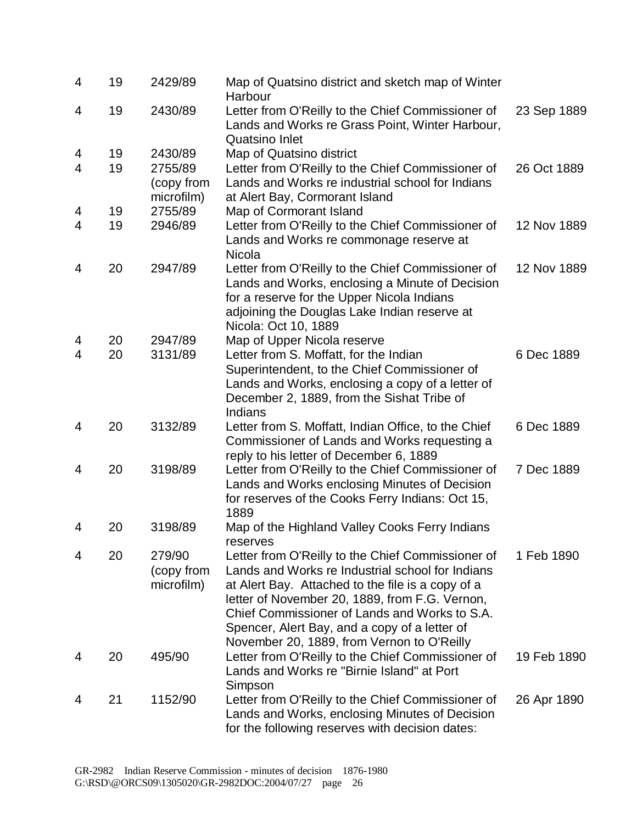| 4 | 19 | 2429/89                             | Map of Quatsino district and sketch map of Winter<br>Harbour                                                                                                                                                                                                                                                                                                 |             |
|---|----|-------------------------------------|--------------------------------------------------------------------------------------------------------------------------------------------------------------------------------------------------------------------------------------------------------------------------------------------------------------------------------------------------------------|-------------|
| 4 | 19 | 2430/89                             | Letter from O'Reilly to the Chief Commissioner of<br>Lands and Works re Grass Point, Winter Harbour,<br>Quatsino Inlet                                                                                                                                                                                                                                       | 23 Sep 1889 |
| 4 | 19 | 2430/89                             | Map of Quatsino district                                                                                                                                                                                                                                                                                                                                     |             |
| 4 | 19 | 2755/89<br>(copy from<br>microfilm) | Letter from O'Reilly to the Chief Commissioner of<br>Lands and Works re industrial school for Indians<br>at Alert Bay, Cormorant Island                                                                                                                                                                                                                      | 26 Oct 1889 |
| 4 | 19 | 2755/89                             | Map of Cormorant Island                                                                                                                                                                                                                                                                                                                                      |             |
| 4 | 19 | 2946/89                             | Letter from O'Reilly to the Chief Commissioner of<br>Lands and Works re commonage reserve at<br>Nicola                                                                                                                                                                                                                                                       | 12 Nov 1889 |
| 4 | 20 | 2947/89                             | Letter from O'Reilly to the Chief Commissioner of<br>Lands and Works, enclosing a Minute of Decision<br>for a reserve for the Upper Nicola Indians<br>adjoining the Douglas Lake Indian reserve at<br>Nicola: Oct 10, 1889                                                                                                                                   | 12 Nov 1889 |
| 4 | 20 | 2947/89                             | Map of Upper Nicola reserve                                                                                                                                                                                                                                                                                                                                  |             |
| 4 | 20 | 3131/89                             | Letter from S. Moffatt, for the Indian<br>Superintendent, to the Chief Commissioner of<br>Lands and Works, enclosing a copy of a letter of<br>December 2, 1889, from the Sishat Tribe of<br>Indians                                                                                                                                                          | 6 Dec 1889  |
| 4 | 20 | 3132/89                             | Letter from S. Moffatt, Indian Office, to the Chief<br>Commissioner of Lands and Works requesting a<br>reply to his letter of December 6, 1889                                                                                                                                                                                                               | 6 Dec 1889  |
| 4 | 20 | 3198/89                             | Letter from O'Reilly to the Chief Commissioner of<br>Lands and Works enclosing Minutes of Decision<br>for reserves of the Cooks Ferry Indians: Oct 15,<br>1889                                                                                                                                                                                               | 7 Dec 1889  |
| 4 | 20 | 3198/89                             | Map of the Highland Valley Cooks Ferry Indians<br>reserves                                                                                                                                                                                                                                                                                                   |             |
| 4 | 20 | 279/90<br>(copy from<br>microfilm)  | Letter from O'Reilly to the Chief Commissioner of<br>Lands and Works re Industrial school for Indians<br>at Alert Bay. Attached to the file is a copy of a<br>letter of November 20, 1889, from F.G. Vernon,<br>Chief Commissioner of Lands and Works to S.A.<br>Spencer, Alert Bay, and a copy of a letter of<br>November 20, 1889, from Vernon to O'Reilly | 1 Feb 1890  |
| 4 | 20 | 495/90                              | Letter from O'Reilly to the Chief Commissioner of<br>Lands and Works re "Birnie Island" at Port<br>Simpson                                                                                                                                                                                                                                                   | 19 Feb 1890 |
| 4 | 21 | 1152/90                             | Letter from O'Reilly to the Chief Commissioner of<br>Lands and Works, enclosing Minutes of Decision<br>for the following reserves with decision dates:                                                                                                                                                                                                       | 26 Apr 1890 |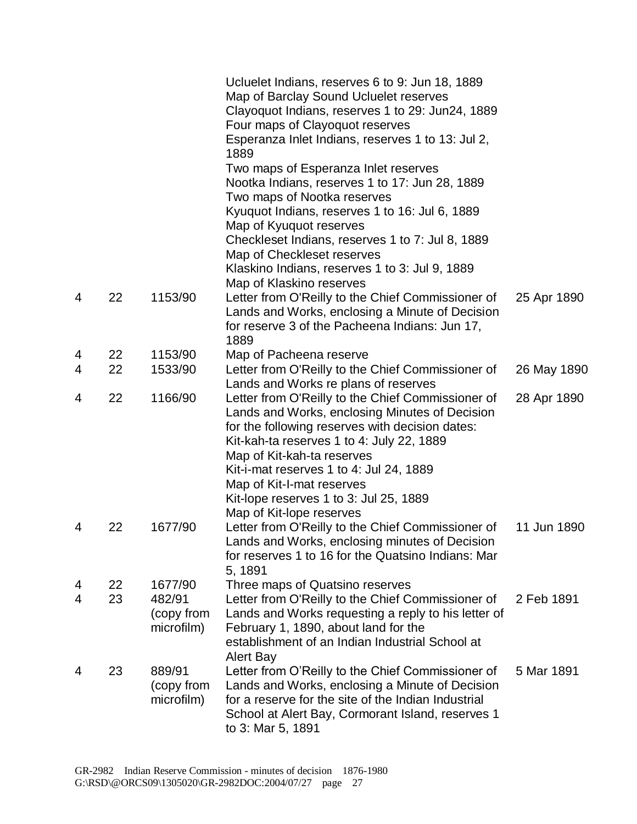|                     |          |                   | Ucluelet Indians, reserves 6 to 9: Jun 18, 1889<br>Map of Barclay Sound Ucluelet reserves<br>Clayoquot Indians, reserves 1 to 29: Jun24, 1889<br>Four maps of Clayoquot reserves<br>Esperanza Inlet Indians, reserves 1 to 13: Jul 2,<br>1889 |             |
|---------------------|----------|-------------------|-----------------------------------------------------------------------------------------------------------------------------------------------------------------------------------------------------------------------------------------------|-------------|
|                     |          |                   | Two maps of Esperanza Inlet reserves<br>Nootka Indians, reserves 1 to 17: Jun 28, 1889                                                                                                                                                        |             |
|                     |          |                   | Two maps of Nootka reserves                                                                                                                                                                                                                   |             |
|                     |          |                   | Kyuquot Indians, reserves 1 to 16: Jul 6, 1889                                                                                                                                                                                                |             |
|                     |          |                   | Map of Kyuquot reserves                                                                                                                                                                                                                       |             |
|                     |          |                   | Checkleset Indians, reserves 1 to 7: Jul 8, 1889                                                                                                                                                                                              |             |
|                     |          |                   | Map of Checkleset reserves                                                                                                                                                                                                                    |             |
|                     |          |                   | Klaskino Indians, reserves 1 to 3: Jul 9, 1889                                                                                                                                                                                                |             |
|                     |          |                   | Map of Klaskino reserves                                                                                                                                                                                                                      |             |
| 4                   | 22       | 1153/90           | Letter from O'Reilly to the Chief Commissioner of                                                                                                                                                                                             | 25 Apr 1890 |
|                     |          |                   | Lands and Works, enclosing a Minute of Decision                                                                                                                                                                                               |             |
|                     |          |                   | for reserve 3 of the Pacheena Indians: Jun 17,                                                                                                                                                                                                |             |
|                     |          | 1153/90           | 1889                                                                                                                                                                                                                                          |             |
| 4<br>4              | 22<br>22 | 1533/90           | Map of Pacheena reserve<br>Letter from O'Reilly to the Chief Commissioner of                                                                                                                                                                  |             |
|                     |          |                   | Lands and Works re plans of reserves                                                                                                                                                                                                          | 26 May 1890 |
| 4                   | 22       | 1166/90           | Letter from O'Reilly to the Chief Commissioner of                                                                                                                                                                                             | 28 Apr 1890 |
|                     |          |                   | Lands and Works, enclosing Minutes of Decision                                                                                                                                                                                                |             |
|                     |          |                   | for the following reserves with decision dates:                                                                                                                                                                                               |             |
|                     |          |                   | Kit-kah-ta reserves 1 to 4: July 22, 1889                                                                                                                                                                                                     |             |
|                     |          |                   | Map of Kit-kah-ta reserves                                                                                                                                                                                                                    |             |
|                     |          |                   | Kit-i-mat reserves 1 to 4: Jul 24, 1889                                                                                                                                                                                                       |             |
|                     |          |                   | Map of Kit-I-mat reserves                                                                                                                                                                                                                     |             |
|                     |          |                   | Kit-lope reserves 1 to 3: Jul 25, 1889                                                                                                                                                                                                        |             |
|                     |          |                   | Map of Kit-lope reserves                                                                                                                                                                                                                      |             |
| 4                   | 22       | 1677/90           | Letter from O'Reilly to the Chief Commissioner of                                                                                                                                                                                             | 11 Jun 1890 |
|                     |          |                   | Lands and Works, enclosing minutes of Decision                                                                                                                                                                                                |             |
|                     |          |                   | for reserves 1 to 16 for the Quatsino Indians: Mar                                                                                                                                                                                            |             |
|                     |          |                   | 5, 1891                                                                                                                                                                                                                                       |             |
| 4<br>$\overline{4}$ | 22<br>23 | 1677/90<br>482/91 | Three maps of Quatsino reserves                                                                                                                                                                                                               | 2 Feb 1891  |
|                     |          | (copy from        | Letter from O'Reilly to the Chief Commissioner of<br>Lands and Works requesting a reply to his letter of                                                                                                                                      |             |
|                     |          | microfilm)        | February 1, 1890, about land for the                                                                                                                                                                                                          |             |
|                     |          |                   | establishment of an Indian Industrial School at                                                                                                                                                                                               |             |
|                     |          |                   | Alert Bay                                                                                                                                                                                                                                     |             |
| 4                   | 23       | 889/91            | Letter from O'Reilly to the Chief Commissioner of                                                                                                                                                                                             | 5 Mar 1891  |
|                     |          | (copy from        | Lands and Works, enclosing a Minute of Decision                                                                                                                                                                                               |             |
|                     |          | microfilm)        | for a reserve for the site of the Indian Industrial                                                                                                                                                                                           |             |
|                     |          |                   | School at Alert Bay, Cormorant Island, reserves 1                                                                                                                                                                                             |             |
|                     |          |                   | to 3: Mar 5, 1891                                                                                                                                                                                                                             |             |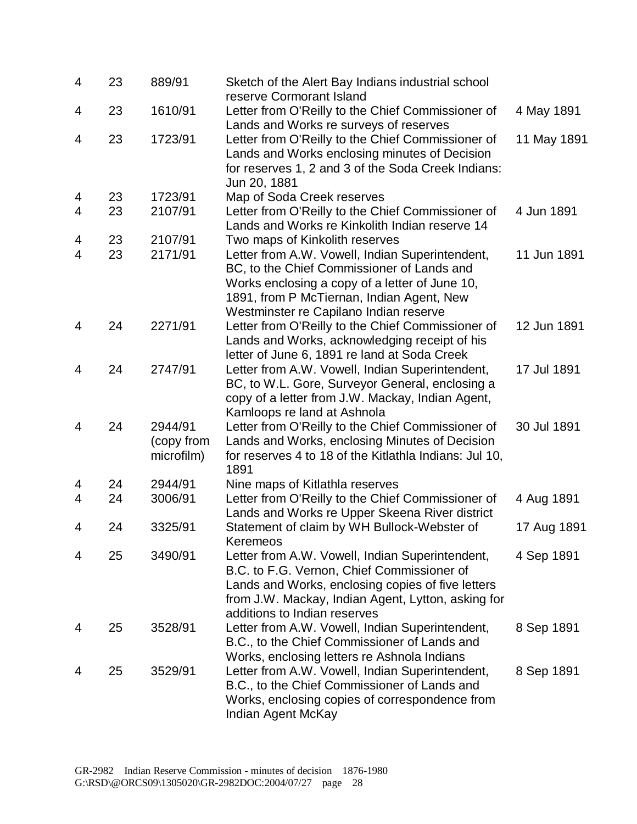| 4              | 23 | 889/91                              | Sketch of the Alert Bay Indians industrial school<br>reserve Cormorant Island                                                                                                                                                            |             |
|----------------|----|-------------------------------------|------------------------------------------------------------------------------------------------------------------------------------------------------------------------------------------------------------------------------------------|-------------|
| 4              | 23 | 1610/91                             | Letter from O'Reilly to the Chief Commissioner of                                                                                                                                                                                        | 4 May 1891  |
| 4              | 23 | 1723/91                             | Lands and Works re surveys of reserves<br>Letter from O'Reilly to the Chief Commissioner of<br>Lands and Works enclosing minutes of Decision<br>for reserves 1, 2 and 3 of the Soda Creek Indians:<br>Jun 20, 1881                       | 11 May 1891 |
| 4              | 23 | 1723/91                             | Map of Soda Creek reserves                                                                                                                                                                                                               |             |
| 4              | 23 | 2107/91                             | Letter from O'Reilly to the Chief Commissioner of<br>Lands and Works re Kinkolith Indian reserve 14                                                                                                                                      | 4 Jun 1891  |
| 4              | 23 | 2107/91                             | Two maps of Kinkolith reserves                                                                                                                                                                                                           |             |
| $\overline{4}$ | 23 | 2171/91                             | Letter from A.W. Vowell, Indian Superintendent,<br>BC, to the Chief Commissioner of Lands and<br>Works enclosing a copy of a letter of June 10,<br>1891, from P McTiernan, Indian Agent, New<br>Westminster re Capilano Indian reserve   | 11 Jun 1891 |
| 4              | 24 | 2271/91                             | Letter from O'Reilly to the Chief Commissioner of<br>Lands and Works, acknowledging receipt of his<br>letter of June 6, 1891 re land at Soda Creek                                                                                       | 12 Jun 1891 |
| 4              | 24 | 2747/91                             | Letter from A.W. Vowell, Indian Superintendent,<br>BC, to W.L. Gore, Surveyor General, enclosing a<br>copy of a letter from J.W. Mackay, Indian Agent,<br>Kamloops re land at Ashnola                                                    | 17 Jul 1891 |
| 4              | 24 | 2944/91<br>(copy from<br>microfilm) | Letter from O'Reilly to the Chief Commissioner of<br>Lands and Works, enclosing Minutes of Decision<br>for reserves 4 to 18 of the Kitlathla Indians: Jul 10,<br>1891                                                                    | 30 Jul 1891 |
| 4              | 24 | 2944/91                             | Nine maps of Kitlathla reserves                                                                                                                                                                                                          |             |
| 4              | 24 | 3006/91                             | Letter from O'Reilly to the Chief Commissioner of<br>Lands and Works re Upper Skeena River district                                                                                                                                      | 4 Aug 1891  |
| 4              | 24 | 3325/91                             | Statement of claim by WH Bullock-Webster of<br>Keremeos                                                                                                                                                                                  | 17 Aug 1891 |
| 4              | 25 | 3490/91                             | Letter from A.W. Vowell, Indian Superintendent,<br>B.C. to F.G. Vernon, Chief Commissioner of<br>Lands and Works, enclosing copies of five letters<br>from J.W. Mackay, Indian Agent, Lytton, asking for<br>additions to Indian reserves | 4 Sep 1891  |
| 4              | 25 | 3528/91                             | Letter from A.W. Vowell, Indian Superintendent,<br>B.C., to the Chief Commissioner of Lands and<br>Works, enclosing letters re Ashnola Indians                                                                                           | 8 Sep 1891  |
| 4              | 25 | 3529/91                             | Letter from A.W. Vowell, Indian Superintendent,<br>B.C., to the Chief Commissioner of Lands and<br>Works, enclosing copies of correspondence from<br>Indian Agent McKay                                                                  | 8 Sep 1891  |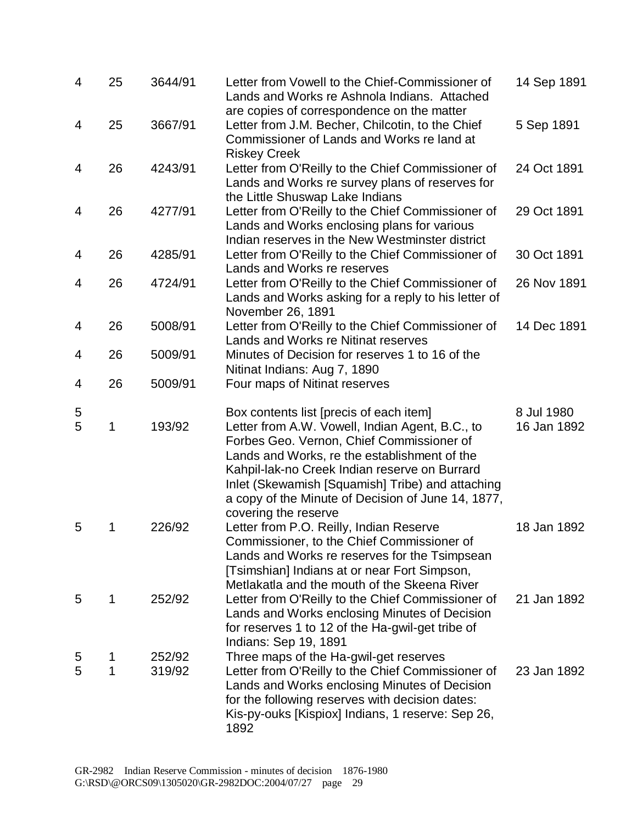| 4      | 25          | 3644/91          | Letter from Vowell to the Chief-Commissioner of<br>Lands and Works re Ashnola Indians. Attached                                                                                                                                                                                                                                                                            | 14 Sep 1891               |
|--------|-------------|------------------|----------------------------------------------------------------------------------------------------------------------------------------------------------------------------------------------------------------------------------------------------------------------------------------------------------------------------------------------------------------------------|---------------------------|
| 4      | 25          | 3667/91          | are copies of correspondence on the matter<br>Letter from J.M. Becher, Chilcotin, to the Chief<br>Commissioner of Lands and Works re land at<br><b>Riskey Creek</b>                                                                                                                                                                                                        | 5 Sep 1891                |
| 4      | 26          | 4243/91          | Letter from O'Reilly to the Chief Commissioner of<br>Lands and Works re survey plans of reserves for<br>the Little Shuswap Lake Indians                                                                                                                                                                                                                                    | 24 Oct 1891               |
| 4      | 26          | 4277/91          | Letter from O'Reilly to the Chief Commissioner of<br>Lands and Works enclosing plans for various<br>Indian reserves in the New Westminster district                                                                                                                                                                                                                        | 29 Oct 1891               |
| 4      | 26          | 4285/91          | Letter from O'Reilly to the Chief Commissioner of<br>Lands and Works re reserves                                                                                                                                                                                                                                                                                           | 30 Oct 1891               |
| 4      | 26          | 4724/91          | Letter from O'Reilly to the Chief Commissioner of<br>Lands and Works asking for a reply to his letter of<br>November 26, 1891                                                                                                                                                                                                                                              | 26 Nov 1891               |
| 4      | 26          | 5008/91          | Letter from O'Reilly to the Chief Commissioner of<br>Lands and Works re Nitinat reserves                                                                                                                                                                                                                                                                                   | 14 Dec 1891               |
| 4      | 26          | 5009/91          | Minutes of Decision for reserves 1 to 16 of the<br>Nitinat Indians: Aug 7, 1890                                                                                                                                                                                                                                                                                            |                           |
| 4      | 26          | 5009/91          | Four maps of Nitinat reserves                                                                                                                                                                                                                                                                                                                                              |                           |
| 5<br>5 | $\mathbf 1$ | 193/92           | Box contents list [precis of each item]<br>Letter from A.W. Vowell, Indian Agent, B.C., to<br>Forbes Geo. Vernon, Chief Commissioner of<br>Lands and Works, re the establishment of the<br>Kahpil-lak-no Creek Indian reserve on Burrard<br>Inlet (Skewamish [Squamish] Tribe) and attaching<br>a copy of the Minute of Decision of June 14, 1877,<br>covering the reserve | 8 Jul 1980<br>16 Jan 1892 |
| 5      | 1           | 226/92           | Letter from P.O. Reilly, Indian Reserve<br>Commissioner, to the Chief Commissioner of<br>Lands and Works re reserves for the Tsimpsean<br>[Tsimshian] Indians at or near Fort Simpson,<br>Metlakatla and the mouth of the Skeena River                                                                                                                                     | 18 Jan 1892               |
| 5      | 1           | 252/92           | Letter from O'Reilly to the Chief Commissioner of<br>Lands and Works enclosing Minutes of Decision<br>for reserves 1 to 12 of the Ha-gwil-get tribe of<br>Indians: Sep 19, 1891                                                                                                                                                                                            | 21 Jan 1892               |
| 5<br>5 | 1<br>1      | 252/92<br>319/92 | Three maps of the Ha-gwil-get reserves<br>Letter from O'Reilly to the Chief Commissioner of<br>Lands and Works enclosing Minutes of Decision<br>for the following reserves with decision dates:<br>Kis-py-ouks [Kispiox] Indians, 1 reserve: Sep 26,<br>1892                                                                                                               | 23 Jan 1892               |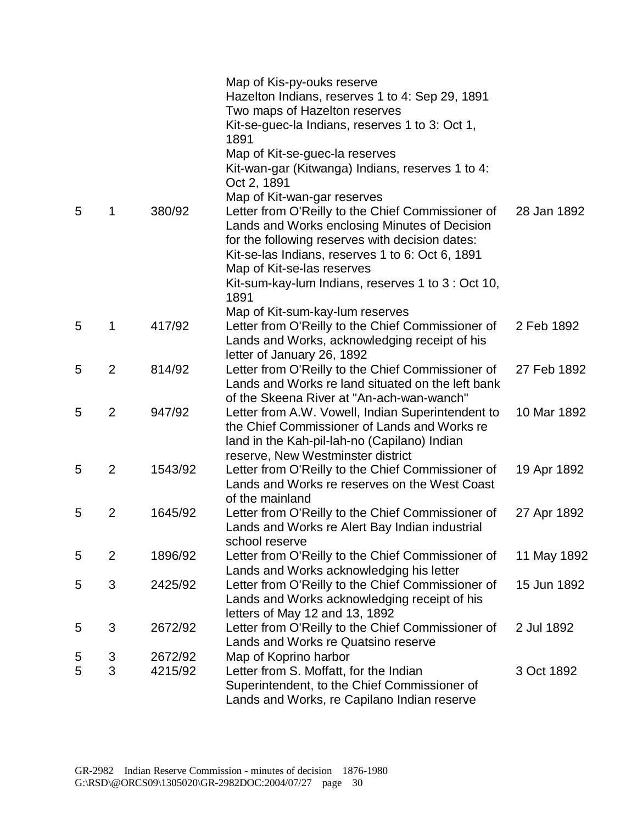|   |                |         | Map of Kis-py-ouks reserve<br>Hazelton Indians, reserves 1 to 4: Sep 29, 1891<br>Two maps of Hazelton reserves<br>Kit-se-guec-la Indians, reserves 1 to 3: Oct 1,<br>1891<br>Map of Kit-se-guec-la reserves                                                            |             |
|---|----------------|---------|------------------------------------------------------------------------------------------------------------------------------------------------------------------------------------------------------------------------------------------------------------------------|-------------|
|   |                |         | Kit-wan-gar (Kitwanga) Indians, reserves 1 to 4:<br>Oct 2, 1891                                                                                                                                                                                                        |             |
| 5 | 1              | 380/92  | Map of Kit-wan-gar reserves<br>Letter from O'Reilly to the Chief Commissioner of<br>Lands and Works enclosing Minutes of Decision<br>for the following reserves with decision dates:<br>Kit-se-las Indians, reserves 1 to 6: Oct 6, 1891<br>Map of Kit-se-las reserves | 28 Jan 1892 |
|   |                |         | Kit-sum-kay-lum Indians, reserves 1 to 3 : Oct 10,<br>1891                                                                                                                                                                                                             |             |
| 5 | 1              | 417/92  | Map of Kit-sum-kay-lum reserves<br>Letter from O'Reilly to the Chief Commissioner of<br>Lands and Works, acknowledging receipt of his<br>letter of January 26, 1892                                                                                                    | 2 Feb 1892  |
| 5 | $\overline{2}$ | 814/92  | Letter from O'Reilly to the Chief Commissioner of<br>Lands and Works re land situated on the left bank<br>of the Skeena River at "An-ach-wan-wanch"                                                                                                                    | 27 Feb 1892 |
| 5 | $\overline{2}$ | 947/92  | Letter from A.W. Vowell, Indian Superintendent to<br>the Chief Commissioner of Lands and Works re<br>land in the Kah-pil-lah-no (Capilano) Indian<br>reserve, New Westminster district                                                                                 | 10 Mar 1892 |
| 5 | $\overline{2}$ | 1543/92 | Letter from O'Reilly to the Chief Commissioner of<br>Lands and Works re reserves on the West Coast<br>of the mainland                                                                                                                                                  | 19 Apr 1892 |
| 5 | $\overline{2}$ | 1645/92 | Letter from O'Reilly to the Chief Commissioner of<br>Lands and Works re Alert Bay Indian industrial<br>school reserve                                                                                                                                                  | 27 Apr 1892 |
| 5 | $\overline{2}$ | 1896/92 | Letter from O'Reilly to the Chief Commissioner of<br>Lands and Works acknowledging his letter                                                                                                                                                                          | 11 May 1892 |
| 5 | 3              | 2425/92 | Letter from O'Reilly to the Chief Commissioner of<br>Lands and Works acknowledging receipt of his<br>letters of May 12 and 13, 1892                                                                                                                                    | 15 Jun 1892 |
| 5 | 3              | 2672/92 | Letter from O'Reilly to the Chief Commissioner of<br>Lands and Works re Quatsino reserve                                                                                                                                                                               | 2 Jul 1892  |
| 5 | 3              | 2672/92 | Map of Koprino harbor                                                                                                                                                                                                                                                  |             |
| 5 | 3              | 4215/92 | Letter from S. Moffatt, for the Indian<br>Superintendent, to the Chief Commissioner of<br>Lands and Works, re Capilano Indian reserve                                                                                                                                  | 3 Oct 1892  |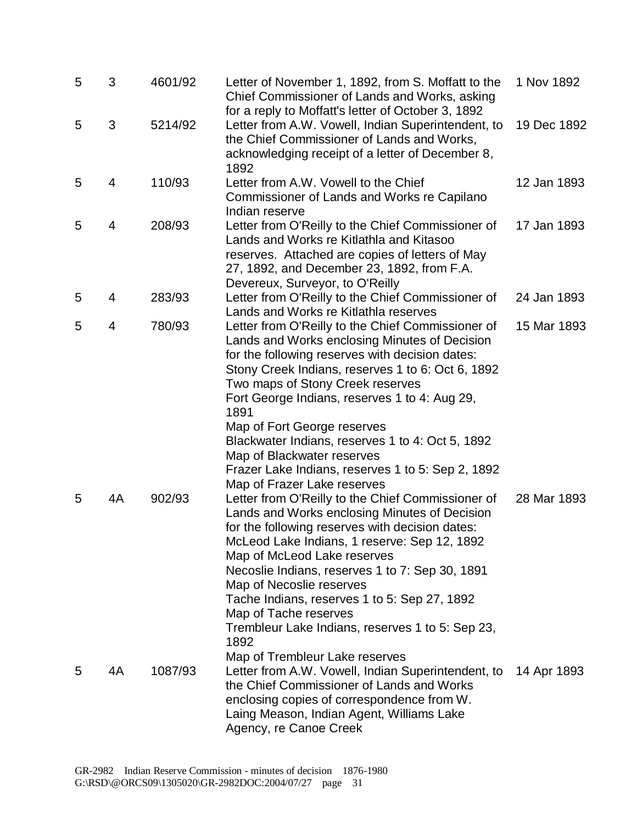| 5 | 3              | 4601/92 | Letter of November 1, 1892, from S. Moffatt to the<br>Chief Commissioner of Lands and Works, asking                                                                                                                                                                                                                                                                                                                                   | 1 Nov 1892  |
|---|----------------|---------|---------------------------------------------------------------------------------------------------------------------------------------------------------------------------------------------------------------------------------------------------------------------------------------------------------------------------------------------------------------------------------------------------------------------------------------|-------------|
| 5 | 3              | 5214/92 | for a reply to Moffatt's letter of October 3, 1892<br>Letter from A.W. Vowell, Indian Superintendent, to<br>the Chief Commissioner of Lands and Works,<br>acknowledging receipt of a letter of December 8,<br>1892                                                                                                                                                                                                                    | 19 Dec 1892 |
| 5 | $\overline{4}$ | 110/93  | Letter from A.W. Vowell to the Chief<br>Commissioner of Lands and Works re Capilano<br>Indian reserve                                                                                                                                                                                                                                                                                                                                 | 12 Jan 1893 |
| 5 | 4              | 208/93  | Letter from O'Reilly to the Chief Commissioner of<br>Lands and Works re Kitlathla and Kitasoo<br>reserves. Attached are copies of letters of May<br>27, 1892, and December 23, 1892, from F.A.<br>Devereux, Surveyor, to O'Reilly                                                                                                                                                                                                     | 17 Jan 1893 |
| 5 | 4              | 283/93  | Letter from O'Reilly to the Chief Commissioner of<br>Lands and Works re Kitlathla reserves                                                                                                                                                                                                                                                                                                                                            | 24 Jan 1893 |
| 5 | 4              | 780/93  | Letter from O'Reilly to the Chief Commissioner of<br>Lands and Works enclosing Minutes of Decision<br>for the following reserves with decision dates:<br>Stony Creek Indians, reserves 1 to 6: Oct 6, 1892<br>Two maps of Stony Creek reserves<br>Fort George Indians, reserves 1 to 4: Aug 29,<br>1891<br>Map of Fort George reserves<br>Blackwater Indians, reserves 1 to 4: Oct 5, 1892                                            | 15 Mar 1893 |
| 5 | 4A             | 902/93  | Map of Blackwater reserves<br>Frazer Lake Indians, reserves 1 to 5: Sep 2, 1892<br>Map of Frazer Lake reserves<br>Letter from O'Reilly to the Chief Commissioner of<br>Lands and Works enclosing Minutes of Decision<br>for the following reserves with decision dates:<br>McLeod Lake Indians, 1 reserve: Sep 12, 1892<br>Map of McLeod Lake reserves<br>Necoslie Indians, reserves 1 to 7: Sep 30, 1891<br>Map of Necoslie reserves | 28 Mar 1893 |
| 5 | 4A             | 1087/93 | Tache Indians, reserves 1 to 5: Sep 27, 1892<br>Map of Tache reserves<br>Trembleur Lake Indians, reserves 1 to 5: Sep 23,<br>1892<br>Map of Trembleur Lake reserves<br>Letter from A.W. Vowell, Indian Superintendent, to<br>the Chief Commissioner of Lands and Works<br>enclosing copies of correspondence from W.<br>Laing Meason, Indian Agent, Williams Lake<br>Agency, re Canoe Creek                                           | 14 Apr 1893 |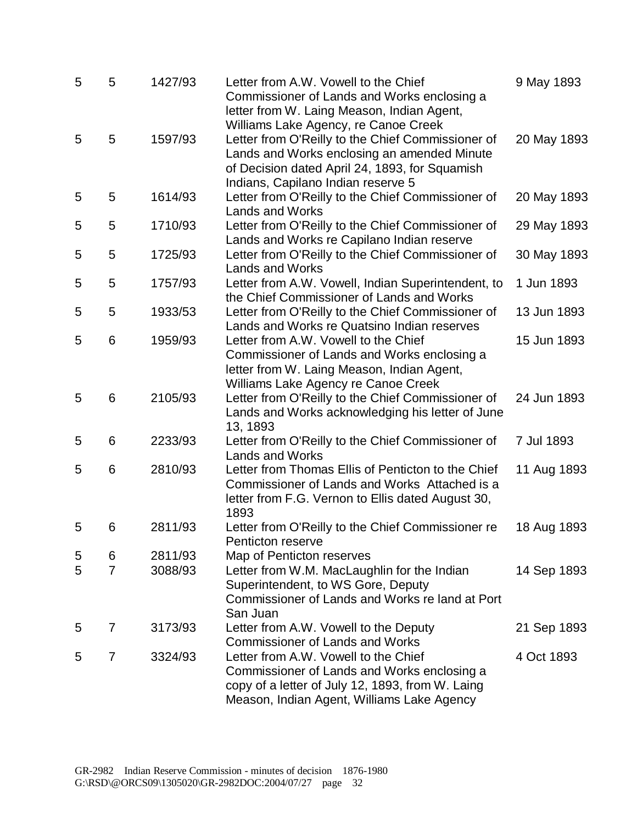| 5 | 5              | 1427/93 | Letter from A.W. Vowell to the Chief<br>Commissioner of Lands and Works enclosing a<br>letter from W. Laing Meason, Indian Agent,<br>Williams Lake Agency, re Canoe Creek                | 9 May 1893  |
|---|----------------|---------|------------------------------------------------------------------------------------------------------------------------------------------------------------------------------------------|-------------|
| 5 | 5              | 1597/93 | Letter from O'Reilly to the Chief Commissioner of<br>Lands and Works enclosing an amended Minute<br>of Decision dated April 24, 1893, for Squamish<br>Indians, Capilano Indian reserve 5 | 20 May 1893 |
| 5 | 5              | 1614/93 | Letter from O'Reilly to the Chief Commissioner of<br><b>Lands and Works</b>                                                                                                              | 20 May 1893 |
| 5 | 5              | 1710/93 | Letter from O'Reilly to the Chief Commissioner of<br>Lands and Works re Capilano Indian reserve                                                                                          | 29 May 1893 |
| 5 | 5              | 1725/93 | Letter from O'Reilly to the Chief Commissioner of<br><b>Lands and Works</b>                                                                                                              | 30 May 1893 |
| 5 | 5              | 1757/93 | Letter from A.W. Vowell, Indian Superintendent, to<br>the Chief Commissioner of Lands and Works                                                                                          | 1 Jun 1893  |
| 5 | 5              | 1933/53 | Letter from O'Reilly to the Chief Commissioner of<br>Lands and Works re Quatsino Indian reserves                                                                                         | 13 Jun 1893 |
| 5 | 6              | 1959/93 | Letter from A.W. Vowell to the Chief<br>Commissioner of Lands and Works enclosing a<br>letter from W. Laing Meason, Indian Agent,<br>Williams Lake Agency re Canoe Creek                 | 15 Jun 1893 |
| 5 | 6              | 2105/93 | Letter from O'Reilly to the Chief Commissioner of<br>Lands and Works acknowledging his letter of June<br>13, 1893                                                                        | 24 Jun 1893 |
| 5 | 6              | 2233/93 | Letter from O'Reilly to the Chief Commissioner of<br><b>Lands and Works</b>                                                                                                              | 7 Jul 1893  |
| 5 | 6              | 2810/93 | Letter from Thomas Ellis of Penticton to the Chief<br>Commissioner of Lands and Works Attached is a<br>letter from F.G. Vernon to Ellis dated August 30,<br>1893                         | 11 Aug 1893 |
| 5 | 6              | 2811/93 | Letter from O'Reilly to the Chief Commissioner re<br>Penticton reserve                                                                                                                   | 18 Aug 1893 |
| 5 | 6              | 2811/93 | Map of Penticton reserves                                                                                                                                                                |             |
| 5 | $\overline{7}$ | 3088/93 | Letter from W.M. MacLaughlin for the Indian<br>Superintendent, to WS Gore, Deputy<br>Commissioner of Lands and Works re land at Port<br>San Juan                                         | 14 Sep 1893 |
| 5 | 7              | 3173/93 | Letter from A.W. Vowell to the Deputy<br><b>Commissioner of Lands and Works</b>                                                                                                          | 21 Sep 1893 |
| 5 | 7              | 3324/93 | Letter from A.W. Vowell to the Chief<br>Commissioner of Lands and Works enclosing a<br>copy of a letter of July 12, 1893, from W. Laing<br>Meason, Indian Agent, Williams Lake Agency    | 4 Oct 1893  |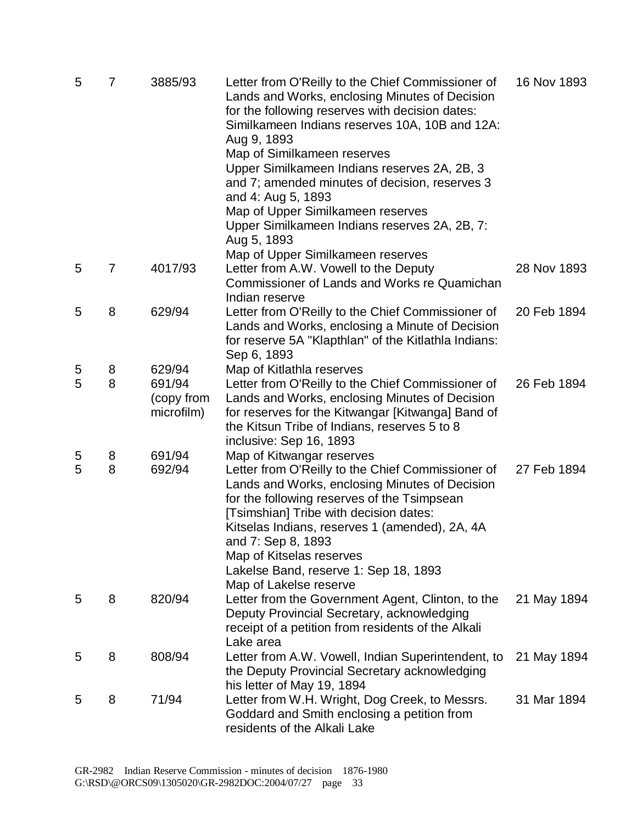| 5      | 7              | 3885/93                                      | Letter from O'Reilly to the Chief Commissioner of<br>Lands and Works, enclosing Minutes of Decision<br>for the following reserves with decision dates:<br>Similkameen Indians reserves 10A, 10B and 12A:<br>Aug 9, 1893<br>Map of Similkameen reserves<br>Upper Similkameen Indians reserves 2A, 2B, 3<br>and 7; amended minutes of decision, reserves 3<br>and 4: Aug 5, 1893<br>Map of Upper Similkameen reserves<br>Upper Similkameen Indians reserves 2A, 2B, 7:<br>Aug 5, 1893 | 16 Nov 1893 |
|--------|----------------|----------------------------------------------|-------------------------------------------------------------------------------------------------------------------------------------------------------------------------------------------------------------------------------------------------------------------------------------------------------------------------------------------------------------------------------------------------------------------------------------------------------------------------------------|-------------|
| 5      | $\overline{7}$ | 4017/93                                      | Map of Upper Similkameen reserves<br>Letter from A.W. Vowell to the Deputy<br>Commissioner of Lands and Works re Quamichan<br>Indian reserve                                                                                                                                                                                                                                                                                                                                        | 28 Nov 1893 |
| 5      | 8              | 629/94                                       | Letter from O'Reilly to the Chief Commissioner of<br>Lands and Works, enclosing a Minute of Decision<br>for reserve 5A "Klapthlan" of the Kitlathla Indians:<br>Sep 6, 1893                                                                                                                                                                                                                                                                                                         | 20 Feb 1894 |
| 5<br>5 | 8<br>8         | 629/94<br>691/94<br>(copy from<br>microfilm) | Map of Kitlathla reserves<br>Letter from O'Reilly to the Chief Commissioner of<br>Lands and Works, enclosing Minutes of Decision<br>for reserves for the Kitwangar [Kitwanga] Band of<br>the Kitsun Tribe of Indians, reserves 5 to 8<br>inclusive: Sep 16, 1893                                                                                                                                                                                                                    | 26 Feb 1894 |
| 5<br>5 | 8<br>8         | 691/94<br>692/94                             | Map of Kitwangar reserves<br>Letter from O'Reilly to the Chief Commissioner of<br>Lands and Works, enclosing Minutes of Decision<br>for the following reserves of the Tsimpsean<br>[Tsimshian] Tribe with decision dates:<br>Kitselas Indians, reserves 1 (amended), 2A, 4A<br>and 7: Sep 8, 1893<br>Map of Kitselas reserves<br>Lakelse Band, reserve 1: Sep 18, 1893<br>Map of Lakelse reserve                                                                                    | 27 Feb 1894 |
| 5      | 8              | 820/94                                       | Letter from the Government Agent, Clinton, to the<br>Deputy Provincial Secretary, acknowledging<br>receipt of a petition from residents of the Alkali<br>Lake area                                                                                                                                                                                                                                                                                                                  | 21 May 1894 |
| 5      | 8              | 808/94                                       | Letter from A.W. Vowell, Indian Superintendent, to<br>the Deputy Provincial Secretary acknowledging<br>his letter of May 19, 1894                                                                                                                                                                                                                                                                                                                                                   | 21 May 1894 |
| 5      | 8              | 71/94                                        | Letter from W.H. Wright, Dog Creek, to Messrs.<br>Goddard and Smith enclosing a petition from<br>residents of the Alkali Lake                                                                                                                                                                                                                                                                                                                                                       | 31 Mar 1894 |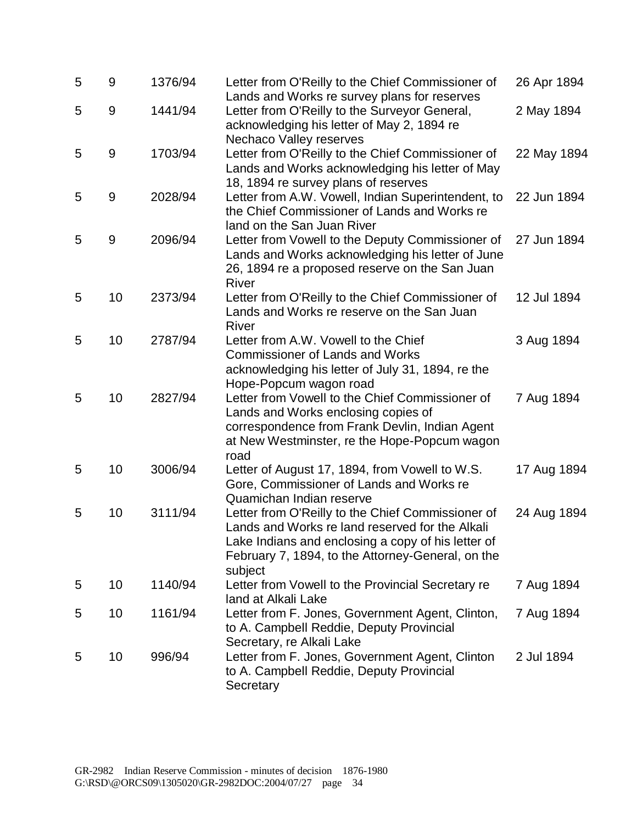| 5 | 9     | 1376/94 | Letter from O'Reilly to the Chief Commissioner of<br>Lands and Works re survey plans for reserves                                                                                                                          | 26 Apr 1894 |
|---|-------|---------|----------------------------------------------------------------------------------------------------------------------------------------------------------------------------------------------------------------------------|-------------|
| 5 | 9     | 1441/94 | Letter from O'Reilly to the Surveyor General,<br>acknowledging his letter of May 2, 1894 re<br>Nechaco Valley reserves                                                                                                     | 2 May 1894  |
| 5 | 9     | 1703/94 | Letter from O'Reilly to the Chief Commissioner of<br>Lands and Works acknowledging his letter of May<br>18, 1894 re survey plans of reserves                                                                               | 22 May 1894 |
| 5 | $9\,$ | 2028/94 | Letter from A.W. Vowell, Indian Superintendent, to<br>the Chief Commissioner of Lands and Works re<br>land on the San Juan River                                                                                           | 22 Jun 1894 |
| 5 | $9\,$ | 2096/94 | Letter from Vowell to the Deputy Commissioner of<br>Lands and Works acknowledging his letter of June<br>26, 1894 re a proposed reserve on the San Juan<br>River                                                            | 27 Jun 1894 |
| 5 | 10    | 2373/94 | Letter from O'Reilly to the Chief Commissioner of<br>Lands and Works re reserve on the San Juan<br>River                                                                                                                   | 12 Jul 1894 |
| 5 | 10    | 2787/94 | Letter from A.W. Vowell to the Chief<br><b>Commissioner of Lands and Works</b><br>acknowledging his letter of July 31, 1894, re the<br>Hope-Popcum wagon road                                                              | 3 Aug 1894  |
| 5 | 10    | 2827/94 | Letter from Vowell to the Chief Commissioner of<br>Lands and Works enclosing copies of<br>correspondence from Frank Devlin, Indian Agent<br>at New Westminster, re the Hope-Popcum wagon<br>road                           | 7 Aug 1894  |
| 5 | 10    | 3006/94 | Letter of August 17, 1894, from Vowell to W.S.<br>Gore, Commissioner of Lands and Works re<br>Quamichan Indian reserve                                                                                                     | 17 Aug 1894 |
| 5 | 10    | 3111/94 | Letter from O'Reilly to the Chief Commissioner of<br>Lands and Works re land reserved for the Alkali<br>Lake Indians and enclosing a copy of his letter of<br>February 7, 1894, to the Attorney-General, on the<br>subject | 24 Aug 1894 |
| 5 | 10    | 1140/94 | Letter from Vowell to the Provincial Secretary re<br>land at Alkali Lake                                                                                                                                                   | 7 Aug 1894  |
| 5 | 10    | 1161/94 | Letter from F. Jones, Government Agent, Clinton,<br>to A. Campbell Reddie, Deputy Provincial<br>Secretary, re Alkali Lake                                                                                                  | 7 Aug 1894  |
| 5 | 10    | 996/94  | Letter from F. Jones, Government Agent, Clinton<br>to A. Campbell Reddie, Deputy Provincial<br>Secretary                                                                                                                   | 2 Jul 1894  |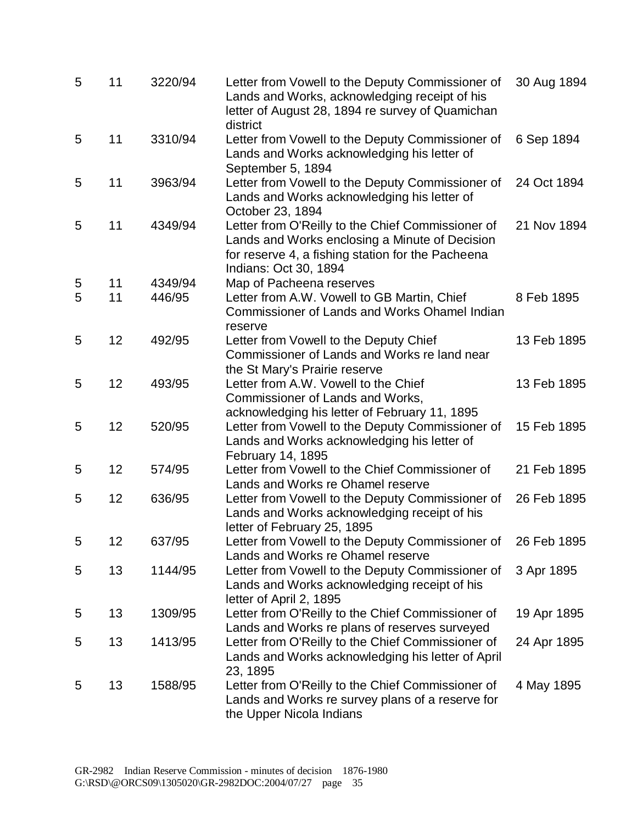| 5 | 11 | 3220/94 | Letter from Vowell to the Deputy Commissioner of<br>Lands and Works, acknowledging receipt of his<br>letter of August 28, 1894 re survey of Quamichan<br>district                 | 30 Aug 1894 |
|---|----|---------|-----------------------------------------------------------------------------------------------------------------------------------------------------------------------------------|-------------|
| 5 | 11 | 3310/94 | Letter from Vowell to the Deputy Commissioner of<br>Lands and Works acknowledging his letter of<br>September 5, 1894                                                              | 6 Sep 1894  |
| 5 | 11 | 3963/94 | Letter from Vowell to the Deputy Commissioner of<br>Lands and Works acknowledging his letter of<br>October 23, 1894                                                               | 24 Oct 1894 |
| 5 | 11 | 4349/94 | Letter from O'Reilly to the Chief Commissioner of<br>Lands and Works enclosing a Minute of Decision<br>for reserve 4, a fishing station for the Pacheena<br>Indians: Oct 30, 1894 | 21 Nov 1894 |
| 5 | 11 | 4349/94 | Map of Pacheena reserves                                                                                                                                                          |             |
| 5 | 11 | 446/95  | Letter from A.W. Vowell to GB Martin, Chief<br><b>Commissioner of Lands and Works Ohamel Indian</b><br>reserve                                                                    | 8 Feb 1895  |
| 5 | 12 | 492/95  | Letter from Vowell to the Deputy Chief<br>Commissioner of Lands and Works re land near<br>the St Mary's Prairie reserve                                                           | 13 Feb 1895 |
| 5 | 12 | 493/95  | Letter from A.W. Vowell to the Chief<br>Commissioner of Lands and Works,<br>acknowledging his letter of February 11, 1895                                                         | 13 Feb 1895 |
| 5 | 12 | 520/95  | Letter from Vowell to the Deputy Commissioner of<br>Lands and Works acknowledging his letter of<br>February 14, 1895                                                              | 15 Feb 1895 |
| 5 | 12 | 574/95  | Letter from Vowell to the Chief Commissioner of<br>Lands and Works re Ohamel reserve                                                                                              | 21 Feb 1895 |
| 5 | 12 | 636/95  | Letter from Vowell to the Deputy Commissioner of<br>Lands and Works acknowledging receipt of his<br>letter of February 25, 1895                                                   | 26 Feb 1895 |
| 5 | 12 | 637/95  | Letter from Vowell to the Deputy Commissioner of 26 Feb 1895<br>Lands and Works re Ohamel reserve                                                                                 |             |
| 5 | 13 | 1144/95 | Letter from Vowell to the Deputy Commissioner of<br>Lands and Works acknowledging receipt of his<br>letter of April 2, 1895                                                       | 3 Apr 1895  |
| 5 | 13 | 1309/95 | Letter from O'Reilly to the Chief Commissioner of<br>Lands and Works re plans of reserves surveyed                                                                                | 19 Apr 1895 |
| 5 | 13 | 1413/95 | Letter from O'Reilly to the Chief Commissioner of<br>Lands and Works acknowledging his letter of April<br>23, 1895                                                                | 24 Apr 1895 |
| 5 | 13 | 1588/95 | Letter from O'Reilly to the Chief Commissioner of<br>Lands and Works re survey plans of a reserve for<br>the Upper Nicola Indians                                                 | 4 May 1895  |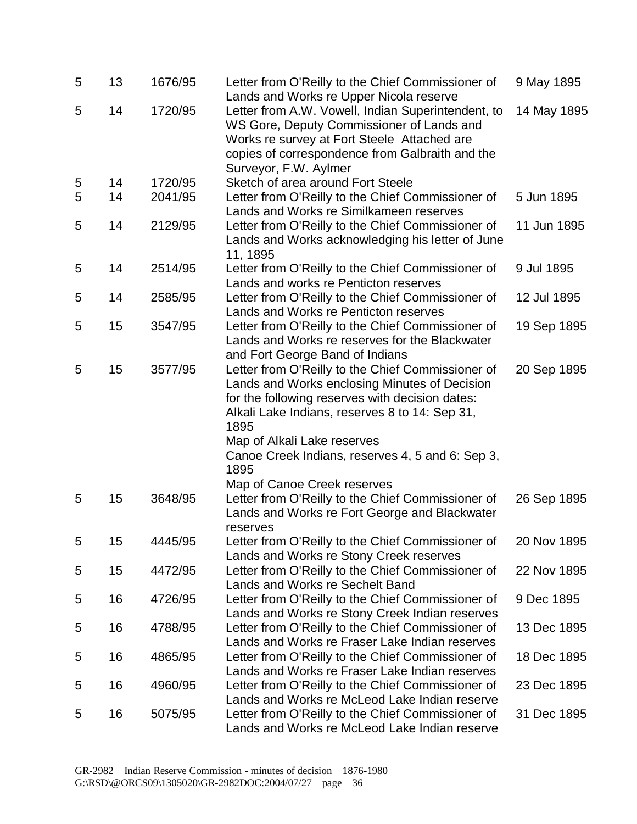| 5 | 13 | 1676/95 | Letter from O'Reilly to the Chief Commissioner of<br>Lands and Works re Upper Nicola reserve                                                                                                                               | 9 May 1895  |
|---|----|---------|----------------------------------------------------------------------------------------------------------------------------------------------------------------------------------------------------------------------------|-------------|
| 5 | 14 | 1720/95 | Letter from A.W. Vowell, Indian Superintendent, to<br>WS Gore, Deputy Commissioner of Lands and<br>Works re survey at Fort Steele Attached are<br>copies of correspondence from Galbraith and the<br>Surveyor, F.W. Aylmer | 14 May 1895 |
| 5 | 14 | 1720/95 | Sketch of area around Fort Steele                                                                                                                                                                                          |             |
| 5 | 14 | 2041/95 | Letter from O'Reilly to the Chief Commissioner of                                                                                                                                                                          | 5 Jun 1895  |
|   |    |         | Lands and Works re Similkameen reserves                                                                                                                                                                                    |             |
| 5 | 14 | 2129/95 | Letter from O'Reilly to the Chief Commissioner of<br>Lands and Works acknowledging his letter of June<br>11, 1895                                                                                                          | 11 Jun 1895 |
| 5 | 14 | 2514/95 | Letter from O'Reilly to the Chief Commissioner of                                                                                                                                                                          | 9 Jul 1895  |
|   |    |         | Lands and works re Penticton reserves                                                                                                                                                                                      |             |
| 5 | 14 | 2585/95 | Letter from O'Reilly to the Chief Commissioner of                                                                                                                                                                          | 12 Jul 1895 |
|   |    |         | Lands and Works re Penticton reserves                                                                                                                                                                                      |             |
| 5 | 15 | 3547/95 | Letter from O'Reilly to the Chief Commissioner of                                                                                                                                                                          | 19 Sep 1895 |
|   |    |         | Lands and Works re reserves for the Blackwater                                                                                                                                                                             |             |
|   |    |         | and Fort George Band of Indians                                                                                                                                                                                            |             |
| 5 | 15 | 3577/95 | Letter from O'Reilly to the Chief Commissioner of                                                                                                                                                                          | 20 Sep 1895 |
|   |    |         | Lands and Works enclosing Minutes of Decision                                                                                                                                                                              |             |
|   |    |         | for the following reserves with decision dates:                                                                                                                                                                            |             |
|   |    |         | Alkali Lake Indians, reserves 8 to 14: Sep 31,<br>1895                                                                                                                                                                     |             |
|   |    |         | Map of Alkali Lake reserves                                                                                                                                                                                                |             |
|   |    |         | Canoe Creek Indians, reserves 4, 5 and 6: Sep 3,<br>1895                                                                                                                                                                   |             |
|   |    |         | Map of Canoe Creek reserves                                                                                                                                                                                                |             |
| 5 | 15 | 3648/95 | Letter from O'Reilly to the Chief Commissioner of                                                                                                                                                                          | 26 Sep 1895 |
|   |    |         | Lands and Works re Fort George and Blackwater                                                                                                                                                                              |             |
|   |    |         | reserves                                                                                                                                                                                                                   |             |
| 5 | 15 | 4445/95 | Letter from O'Reilly to the Chief Commissioner of                                                                                                                                                                          | 20 Nov 1895 |
|   |    |         | Lands and Works re Stony Creek reserves                                                                                                                                                                                    |             |
| 5 | 15 | 4472/95 | Letter from O'Reilly to the Chief Commissioner of                                                                                                                                                                          | 22 Nov 1895 |
|   |    |         | Lands and Works re Sechelt Band                                                                                                                                                                                            |             |
| 5 | 16 | 4726/95 | Letter from O'Reilly to the Chief Commissioner of                                                                                                                                                                          | 9 Dec 1895  |
|   |    |         | Lands and Works re Stony Creek Indian reserves                                                                                                                                                                             |             |
| 5 | 16 | 4788/95 | Letter from O'Reilly to the Chief Commissioner of                                                                                                                                                                          | 13 Dec 1895 |
|   |    |         | Lands and Works re Fraser Lake Indian reserves                                                                                                                                                                             |             |
| 5 | 16 | 4865/95 | Letter from O'Reilly to the Chief Commissioner of                                                                                                                                                                          | 18 Dec 1895 |
|   |    |         | Lands and Works re Fraser Lake Indian reserves                                                                                                                                                                             |             |
| 5 | 16 | 4960/95 | Letter from O'Reilly to the Chief Commissioner of                                                                                                                                                                          | 23 Dec 1895 |
|   |    |         | Lands and Works re McLeod Lake Indian reserve                                                                                                                                                                              |             |
| 5 | 16 | 5075/95 | Letter from O'Reilly to the Chief Commissioner of                                                                                                                                                                          | 31 Dec 1895 |
|   |    |         | Lands and Works re McLeod Lake Indian reserve                                                                                                                                                                              |             |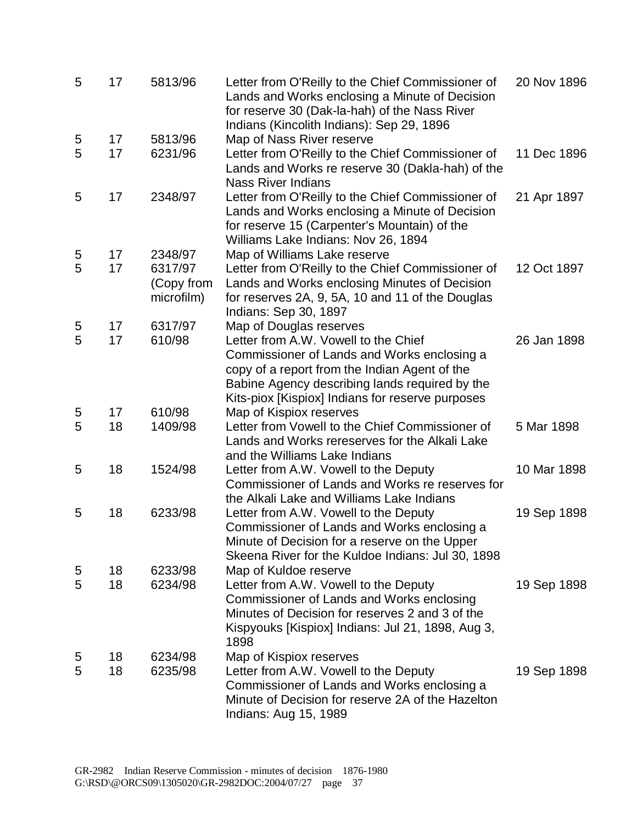| 5 | 17 | 5813/96                             | Letter from O'Reilly to the Chief Commissioner of<br>Lands and Works enclosing a Minute of Decision<br>for reserve 30 (Dak-la-hah) of the Nass River<br>Indians (Kincolith Indians): Sep 29, 1896  | 20 Nov 1896 |
|---|----|-------------------------------------|----------------------------------------------------------------------------------------------------------------------------------------------------------------------------------------------------|-------------|
| 5 | 17 | 5813/96                             | Map of Nass River reserve                                                                                                                                                                          |             |
| 5 | 17 | 6231/96                             | Letter from O'Reilly to the Chief Commissioner of<br>Lands and Works re reserve 30 (Dakla-hah) of the<br><b>Nass River Indians</b>                                                                 | 11 Dec 1896 |
| 5 | 17 | 2348/97                             | Letter from O'Reilly to the Chief Commissioner of<br>Lands and Works enclosing a Minute of Decision<br>for reserve 15 (Carpenter's Mountain) of the<br>Williams Lake Indians: Nov 26, 1894         | 21 Apr 1897 |
| 5 | 17 | 2348/97                             | Map of Williams Lake reserve                                                                                                                                                                       |             |
| 5 | 17 | 6317/97<br>(Copy from<br>microfilm) | Letter from O'Reilly to the Chief Commissioner of<br>Lands and Works enclosing Minutes of Decision<br>for reserves 2A, 9, 5A, 10 and 11 of the Douglas<br>Indians: Sep 30, 1897                    | 12 Oct 1897 |
| 5 | 17 | 6317/97                             | Map of Douglas reserves                                                                                                                                                                            |             |
| 5 | 17 | 610/98                              | Letter from A.W. Vowell to the Chief                                                                                                                                                               | 26 Jan 1898 |
|   |    |                                     | Commissioner of Lands and Works enclosing a<br>copy of a report from the Indian Agent of the<br>Babine Agency describing lands required by the<br>Kits-piox [Kispiox] Indians for reserve purposes |             |
| 5 | 17 | 610/98                              | Map of Kispiox reserves                                                                                                                                                                            |             |
| 5 | 18 | 1409/98                             | Letter from Vowell to the Chief Commissioner of<br>Lands and Works rereserves for the Alkali Lake<br>and the Williams Lake Indians                                                                 | 5 Mar 1898  |
| 5 | 18 | 1524/98                             | Letter from A.W. Vowell to the Deputy<br>Commissioner of Lands and Works re reserves for<br>the Alkali Lake and Williams Lake Indians                                                              | 10 Mar 1898 |
| 5 | 18 | 6233/98                             | Letter from A.W. Vowell to the Deputy<br>Commissioner of Lands and Works enclosing a<br>Minute of Decision for a reserve on the Upper<br>Skeena River for the Kuldoe Indians: Jul 30, 1898         | 19 Sep 1898 |
| 5 | 18 | 6233/98                             | Map of Kuldoe reserve                                                                                                                                                                              |             |
| 5 | 18 | 6234/98                             | Letter from A.W. Vowell to the Deputy<br>Commissioner of Lands and Works enclosing<br>Minutes of Decision for reserves 2 and 3 of the<br>Kispyouks [Kispiox] Indians: Jul 21, 1898, Aug 3,<br>1898 | 19 Sep 1898 |
| 5 | 18 | 6234/98                             | Map of Kispiox reserves                                                                                                                                                                            |             |
| 5 | 18 | 6235/98                             | Letter from A.W. Vowell to the Deputy<br>Commissioner of Lands and Works enclosing a<br>Minute of Decision for reserve 2A of the Hazelton<br>Indians: Aug 15, 1989                                 | 19 Sep 1898 |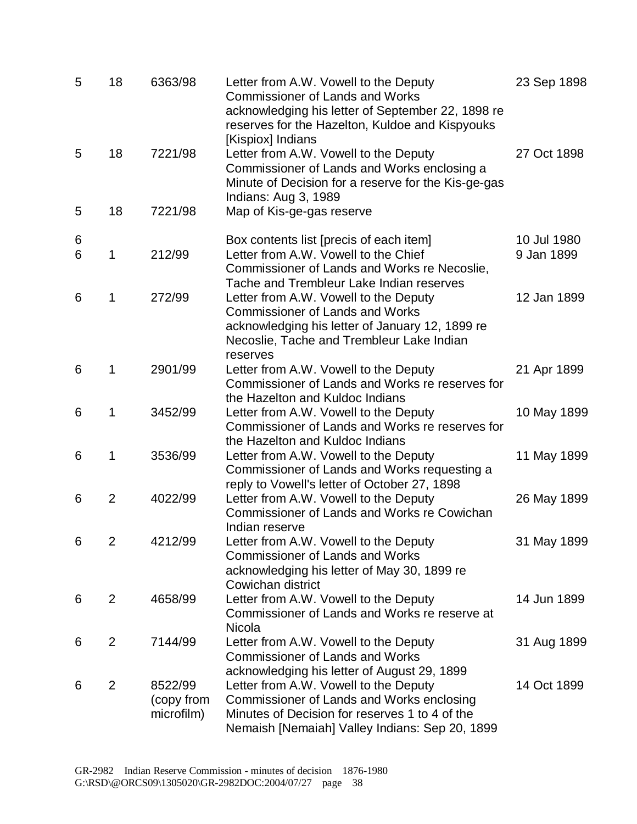| 5      | 18             | 6363/98                             | Letter from A.W. Vowell to the Deputy<br><b>Commissioner of Lands and Works</b><br>acknowledging his letter of September 22, 1898 re<br>reserves for the Hazelton, Kuldoe and Kispyouks     | 23 Sep 1898               |
|--------|----------------|-------------------------------------|---------------------------------------------------------------------------------------------------------------------------------------------------------------------------------------------|---------------------------|
| 5      | 18             | 7221/98                             | [Kispiox] Indians<br>Letter from A.W. Vowell to the Deputy<br>Commissioner of Lands and Works enclosing a<br>Minute of Decision for a reserve for the Kis-ge-gas<br>Indians: Aug 3, 1989    | 27 Oct 1898               |
| 5      | 18             | 7221/98                             | Map of Kis-ge-gas reserve                                                                                                                                                                   |                           |
| 6<br>6 | 1              | 212/99                              | Box contents list [precis of each item]<br>Letter from A.W. Vowell to the Chief<br>Commissioner of Lands and Works re Necoslie,<br>Tache and Trembleur Lake Indian reserves                 | 10 Jul 1980<br>9 Jan 1899 |
| 6      | 1              | 272/99                              | Letter from A.W. Vowell to the Deputy<br><b>Commissioner of Lands and Works</b><br>acknowledging his letter of January 12, 1899 re<br>Necoslie, Tache and Trembleur Lake Indian<br>reserves | 12 Jan 1899               |
| 6      | 1              | 2901/99                             | Letter from A.W. Vowell to the Deputy<br>Commissioner of Lands and Works re reserves for<br>the Hazelton and Kuldoc Indians                                                                 | 21 Apr 1899               |
| 6      | 1              | 3452/99                             | Letter from A.W. Vowell to the Deputy<br>Commissioner of Lands and Works re reserves for<br>the Hazelton and Kuldoc Indians                                                                 | 10 May 1899               |
| 6      | 1              | 3536/99                             | Letter from A.W. Vowell to the Deputy<br>Commissioner of Lands and Works requesting a<br>reply to Vowell's letter of October 27, 1898                                                       | 11 May 1899               |
| 6      | $\overline{2}$ | 4022/99                             | Letter from A.W. Vowell to the Deputy<br>Commissioner of Lands and Works re Cowichan<br>Indian reserve                                                                                      | 26 May 1899               |
| 6      | $\overline{2}$ | 4212/99                             | Letter from A.W. Vowell to the Deputy<br><b>Commissioner of Lands and Works</b><br>acknowledging his letter of May 30, 1899 re<br>Cowichan district                                         | 31 May 1899               |
| 6      | $\overline{2}$ | 4658/99                             | Letter from A.W. Vowell to the Deputy<br>Commissioner of Lands and Works re reserve at<br>Nicola                                                                                            | 14 Jun 1899               |
| 6      | $\overline{2}$ | 7144/99                             | Letter from A.W. Vowell to the Deputy<br><b>Commissioner of Lands and Works</b><br>acknowledging his letter of August 29, 1899                                                              | 31 Aug 1899               |
| 6      | $\overline{2}$ | 8522/99<br>(copy from<br>microfilm) | Letter from A.W. Vowell to the Deputy<br>Commissioner of Lands and Works enclosing<br>Minutes of Decision for reserves 1 to 4 of the<br>Nemaish [Nemaiah] Valley Indians: Sep 20, 1899      | 14 Oct 1899               |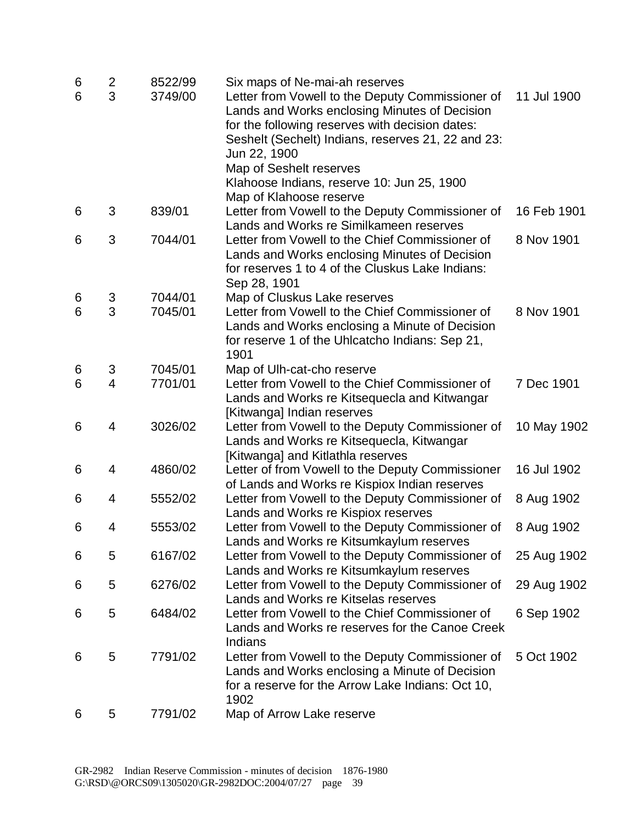| 6 | $\overline{\mathbf{c}}$ | 8522/99 | Six maps of Ne-mai-ah reserves                                                          |             |
|---|-------------------------|---------|-----------------------------------------------------------------------------------------|-------------|
| 6 | 3                       | 3749/00 | Letter from Vowell to the Deputy Commissioner of                                        | 11 Jul 1900 |
|   |                         |         | Lands and Works enclosing Minutes of Decision                                           |             |
|   |                         |         | for the following reserves with decision dates:                                         |             |
|   |                         |         | Seshelt (Sechelt) Indians, reserves 21, 22 and 23:                                      |             |
|   |                         |         | Jun 22, 1900                                                                            |             |
|   |                         |         | Map of Seshelt reserves                                                                 |             |
|   |                         |         | Klahoose Indians, reserve 10: Jun 25, 1900                                              |             |
|   |                         |         | Map of Klahoose reserve                                                                 |             |
| 6 | 3                       | 839/01  | Letter from Vowell to the Deputy Commissioner of                                        | 16 Feb 1901 |
|   |                         |         | Lands and Works re Similkameen reserves                                                 |             |
| 6 | 3                       | 7044/01 | Letter from Vowell to the Chief Commissioner of                                         | 8 Nov 1901  |
|   |                         |         | Lands and Works enclosing Minutes of Decision                                           |             |
|   |                         |         | for reserves 1 to 4 of the Cluskus Lake Indians:                                        |             |
| 6 | 3                       | 7044/01 | Sep 28, 1901<br>Map of Cluskus Lake reserves                                            |             |
| 6 | 3                       | 7045/01 | Letter from Vowell to the Chief Commissioner of                                         | 8 Nov 1901  |
|   |                         |         | Lands and Works enclosing a Minute of Decision                                          |             |
|   |                         |         | for reserve 1 of the Uhlcatcho Indians: Sep 21,                                         |             |
|   |                         |         | 1901                                                                                    |             |
| 6 | 3                       | 7045/01 | Map of Ulh-cat-cho reserve                                                              |             |
| 6 | 4                       | 7701/01 | Letter from Vowell to the Chief Commissioner of                                         | 7 Dec 1901  |
|   |                         |         | Lands and Works re Kitsequecla and Kitwangar                                            |             |
|   |                         |         | [Kitwanga] Indian reserves                                                              |             |
| 6 | 4                       | 3026/02 | Letter from Vowell to the Deputy Commissioner of                                        | 10 May 1902 |
|   |                         |         | Lands and Works re Kitsequecla, Kitwangar                                               |             |
|   |                         |         | [Kitwanga] and Kitlathla reserves                                                       |             |
| 6 | 4                       | 4860/02 | Letter of from Vowell to the Deputy Commissioner                                        | 16 Jul 1902 |
|   |                         |         | of Lands and Works re Kispiox Indian reserves                                           |             |
| 6 | 4                       | 5552/02 | Letter from Vowell to the Deputy Commissioner of                                        | 8 Aug 1902  |
|   |                         |         | Lands and Works re Kispiox reserves                                                     |             |
| 6 | 4                       | 5553/02 | Letter from Vowell to the Deputy Commissioner of                                        | 8 Aug 1902  |
|   |                         |         | Lands and Works re Kitsumkaylum reserves                                                |             |
| 6 | 5                       | 6167/02 | Letter from Vowell to the Deputy Commissioner of                                        | 25 Aug 1902 |
|   |                         |         | Lands and Works re Kitsumkaylum reserves                                                |             |
| 6 | 5                       | 6276/02 | Letter from Vowell to the Deputy Commissioner of                                        | 29 Aug 1902 |
|   | 5                       | 6484/02 | Lands and Works re Kitselas reserves<br>Letter from Vowell to the Chief Commissioner of |             |
| 6 |                         |         | Lands and Works re reserves for the Canoe Creek                                         | 6 Sep 1902  |
|   |                         |         | Indians                                                                                 |             |
| 6 | 5                       | 7791/02 | Letter from Vowell to the Deputy Commissioner of                                        | 5 Oct 1902  |
|   |                         |         | Lands and Works enclosing a Minute of Decision                                          |             |
|   |                         |         | for a reserve for the Arrow Lake Indians: Oct 10,                                       |             |
|   |                         |         | 1902                                                                                    |             |
| 6 | 5                       | 7791/02 | Map of Arrow Lake reserve                                                               |             |
|   |                         |         |                                                                                         |             |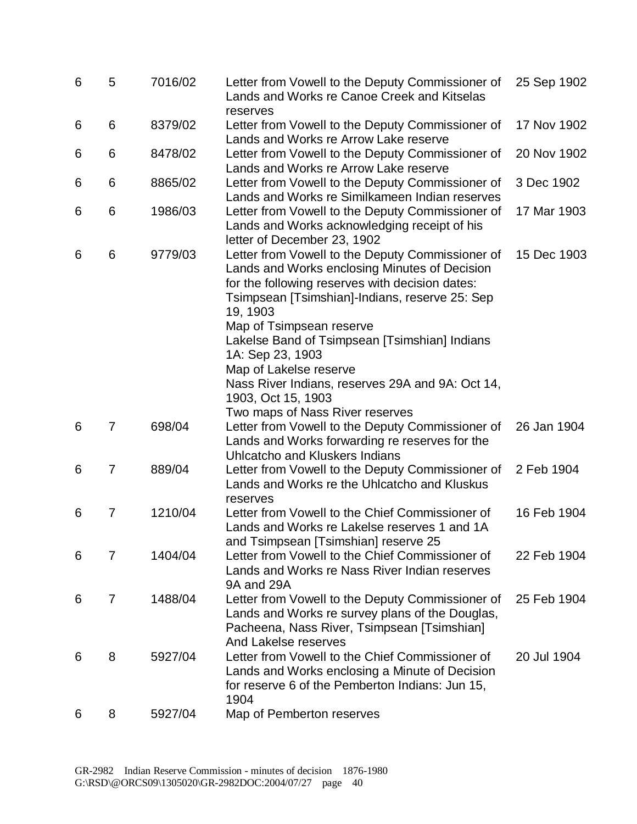| 6 | 5              | 7016/02 | Letter from Vowell to the Deputy Commissioner of<br>Lands and Works re Canoe Creek and Kitselas                                                                                                                                                                                                                                                                                                                         | 25 Sep 1902 |
|---|----------------|---------|-------------------------------------------------------------------------------------------------------------------------------------------------------------------------------------------------------------------------------------------------------------------------------------------------------------------------------------------------------------------------------------------------------------------------|-------------|
| 6 | 6              | 8379/02 | reserves<br>Letter from Vowell to the Deputy Commissioner of<br>Lands and Works re Arrow Lake reserve                                                                                                                                                                                                                                                                                                                   | 17 Nov 1902 |
| 6 | 6              | 8478/02 | Letter from Vowell to the Deputy Commissioner of<br>Lands and Works re Arrow Lake reserve                                                                                                                                                                                                                                                                                                                               | 20 Nov 1902 |
| 6 | 6              | 8865/02 | Letter from Vowell to the Deputy Commissioner of<br>Lands and Works re Similkameen Indian reserves                                                                                                                                                                                                                                                                                                                      | 3 Dec 1902  |
| 6 | 6              | 1986/03 | Letter from Vowell to the Deputy Commissioner of<br>Lands and Works acknowledging receipt of his<br>letter of December 23, 1902                                                                                                                                                                                                                                                                                         | 17 Mar 1903 |
| 6 | 6              | 9779/03 | Letter from Vowell to the Deputy Commissioner of<br>Lands and Works enclosing Minutes of Decision<br>for the following reserves with decision dates:<br>Tsimpsean [Tsimshian]-Indians, reserve 25: Sep<br>19, 1903<br>Map of Tsimpsean reserve<br>Lakelse Band of Tsimpsean [Tsimshian] Indians<br>1A: Sep 23, 1903<br>Map of Lakelse reserve<br>Nass River Indians, reserves 29A and 9A: Oct 14,<br>1903, Oct 15, 1903 | 15 Dec 1903 |
| 6 | 7              | 698/04  | Two maps of Nass River reserves<br>Letter from Vowell to the Deputy Commissioner of<br>Lands and Works forwarding re reserves for the<br><b>Uhlcatcho and Kluskers Indians</b>                                                                                                                                                                                                                                          | 26 Jan 1904 |
| 6 | 7              | 889/04  | Letter from Vowell to the Deputy Commissioner of<br>Lands and Works re the Uhlcatcho and Kluskus<br>reserves                                                                                                                                                                                                                                                                                                            | 2 Feb 1904  |
| 6 | 7              | 1210/04 | Letter from Vowell to the Chief Commissioner of<br>Lands and Works re Lakelse reserves 1 and 1A<br>and Tsimpsean [Tsimshian] reserve 25                                                                                                                                                                                                                                                                                 | 16 Feb 1904 |
| 6 | 7              | 1404/04 | Letter from Vowell to the Chief Commissioner of<br>Lands and Works re Nass River Indian reserves<br>9A and 29A                                                                                                                                                                                                                                                                                                          | 22 Feb 1904 |
| 6 | $\overline{7}$ | 1488/04 | Letter from Vowell to the Deputy Commissioner of<br>Lands and Works re survey plans of the Douglas,<br>Pacheena, Nass River, Tsimpsean [Tsimshian]<br>And Lakelse reserves                                                                                                                                                                                                                                              | 25 Feb 1904 |
| 6 | 8              | 5927/04 | Letter from Vowell to the Chief Commissioner of<br>Lands and Works enclosing a Minute of Decision<br>for reserve 6 of the Pemberton Indians: Jun 15,<br>1904                                                                                                                                                                                                                                                            | 20 Jul 1904 |
| 6 | 8              | 5927/04 | Map of Pemberton reserves                                                                                                                                                                                                                                                                                                                                                                                               |             |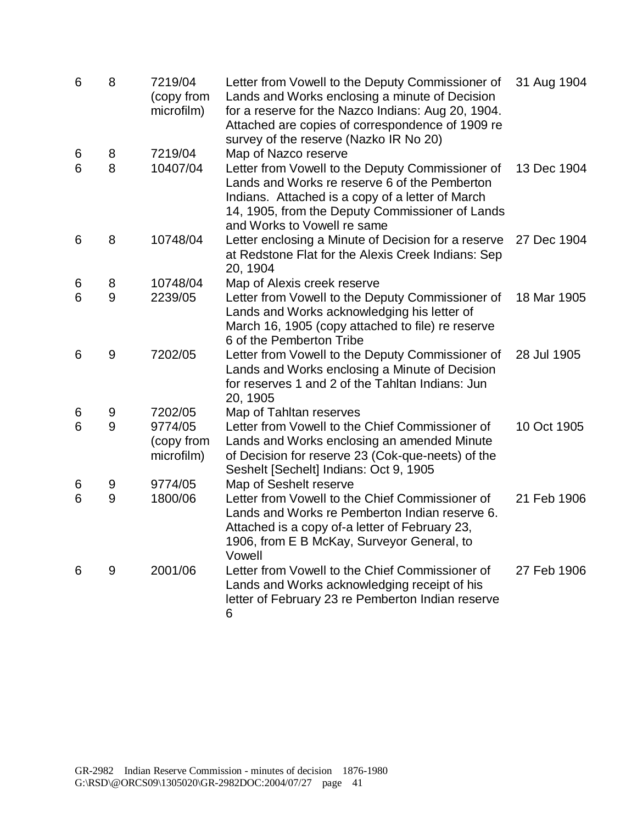| 6 | 8 | 7219/04<br>(copy from<br>microfilm) | Letter from Vowell to the Deputy Commissioner of<br>Lands and Works enclosing a minute of Decision<br>for a reserve for the Nazco Indians: Aug 20, 1904.<br>Attached are copies of correspondence of 1909 re<br>survey of the reserve (Nazko IR No 20) | 31 Aug 1904 |
|---|---|-------------------------------------|--------------------------------------------------------------------------------------------------------------------------------------------------------------------------------------------------------------------------------------------------------|-------------|
| 6 | 8 | 7219/04                             | Map of Nazco reserve                                                                                                                                                                                                                                   |             |
| 6 | 8 | 10407/04                            | Letter from Vowell to the Deputy Commissioner of<br>Lands and Works re reserve 6 of the Pemberton<br>Indians. Attached is a copy of a letter of March<br>14, 1905, from the Deputy Commissioner of Lands<br>and Works to Vowell re same                | 13 Dec 1904 |
| 6 | 8 | 10748/04                            | Letter enclosing a Minute of Decision for a reserve<br>at Redstone Flat for the Alexis Creek Indians: Sep<br>20, 1904                                                                                                                                  | 27 Dec 1904 |
| 6 | 8 | 10748/04                            | Map of Alexis creek reserve                                                                                                                                                                                                                            |             |
| 6 | 9 | 2239/05                             | Letter from Vowell to the Deputy Commissioner of<br>Lands and Works acknowledging his letter of<br>March 16, 1905 (copy attached to file) re reserve<br>6 of the Pemberton Tribe                                                                       | 18 Mar 1905 |
| 6 | 9 | 7202/05                             | Letter from Vowell to the Deputy Commissioner of<br>Lands and Works enclosing a Minute of Decision<br>for reserves 1 and 2 of the Tahltan Indians: Jun<br>20, 1905                                                                                     | 28 Jul 1905 |
| 6 | 9 | 7202/05                             | Map of Tahltan reserves                                                                                                                                                                                                                                |             |
| 6 | 9 | 9774/05<br>(copy from<br>microfilm) | Letter from Vowell to the Chief Commissioner of<br>Lands and Works enclosing an amended Minute<br>of Decision for reserve 23 (Cok-que-neets) of the<br>Seshelt [Sechelt] Indians: Oct 9, 1905                                                          | 10 Oct 1905 |
| 6 | 9 | 9774/05                             | Map of Seshelt reserve                                                                                                                                                                                                                                 |             |
| 6 | 9 | 1800/06                             | Letter from Vowell to the Chief Commissioner of<br>Lands and Works re Pemberton Indian reserve 6.<br>Attached is a copy of-a letter of February 23,<br>1906, from E B McKay, Surveyor General, to<br>Vowell                                            | 21 Feb 1906 |
| 6 | 9 | 2001/06                             | Letter from Vowell to the Chief Commissioner of<br>Lands and Works acknowledging receipt of his<br>letter of February 23 re Pemberton Indian reserve<br>6                                                                                              | 27 Feb 1906 |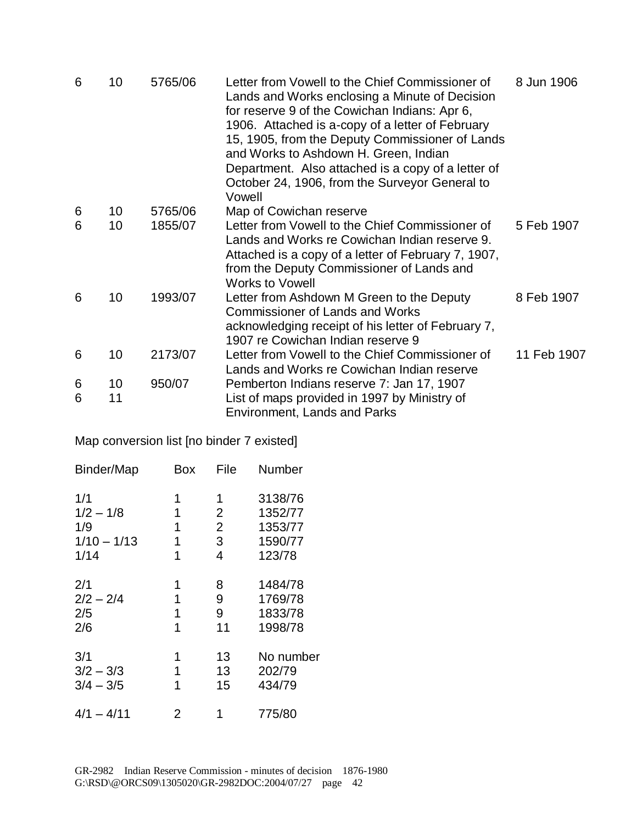| 6 | 10 | 5765/06 | Letter from Vowell to the Chief Commissioner of<br>Lands and Works enclosing a Minute of Decision<br>for reserve 9 of the Cowichan Indians: Apr 6,<br>1906. Attached is a-copy of a letter of February<br>15, 1905, from the Deputy Commissioner of Lands<br>and Works to Ashdown H. Green, Indian<br>Department. Also attached is a copy of a letter of<br>October 24, 1906, from the Surveyor General to<br>Vowell | 8 Jun 1906  |
|---|----|---------|----------------------------------------------------------------------------------------------------------------------------------------------------------------------------------------------------------------------------------------------------------------------------------------------------------------------------------------------------------------------------------------------------------------------|-------------|
| 6 | 10 | 5765/06 | Map of Cowichan reserve                                                                                                                                                                                                                                                                                                                                                                                              |             |
| 6 | 10 | 1855/07 | Letter from Vowell to the Chief Commissioner of<br>Lands and Works re Cowichan Indian reserve 9.<br>Attached is a copy of a letter of February 7, 1907,<br>from the Deputy Commissioner of Lands and<br><b>Works to Vowell</b>                                                                                                                                                                                       | 5 Feb 1907  |
| 6 | 10 | 1993/07 | Letter from Ashdown M Green to the Deputy<br><b>Commissioner of Lands and Works</b><br>acknowledging receipt of his letter of February 7,<br>1907 re Cowichan Indian reserve 9                                                                                                                                                                                                                                       | 8 Feb 1907  |
| 6 | 10 | 2173/07 | Letter from Vowell to the Chief Commissioner of<br>Lands and Works re Cowichan Indian reserve                                                                                                                                                                                                                                                                                                                        | 11 Feb 1907 |
| 6 | 10 | 950/07  | Pemberton Indians reserve 7: Jan 17, 1907                                                                                                                                                                                                                                                                                                                                                                            |             |
| 6 | 11 |         | List of maps provided in 1997 by Ministry of<br><b>Environment, Lands and Parks</b>                                                                                                                                                                                                                                                                                                                                  |             |

Map conversion list [no binder 7 existed]

|   | File                     | Number    |
|---|--------------------------|-----------|
| 1 | 1                        | 3138/76   |
| 1 | $\overline{2}$           | 1352/77   |
| 1 | $\overline{2}$           | 1353/77   |
| 1 | 3                        | 1590/77   |
| 1 | $\overline{\mathcal{L}}$ | 123/78    |
| 1 | 8                        | 1484/78   |
| 1 | 9                        | 1769/78   |
| 1 | 9                        | 1833/78   |
| 1 | 11                       | 1998/78   |
| 1 | 13                       | No number |
| 1 | 13                       | 202/79    |
| 1 | 15                       | 434/79    |
| 2 | 1                        | 775/80    |
|   | Box                      |           |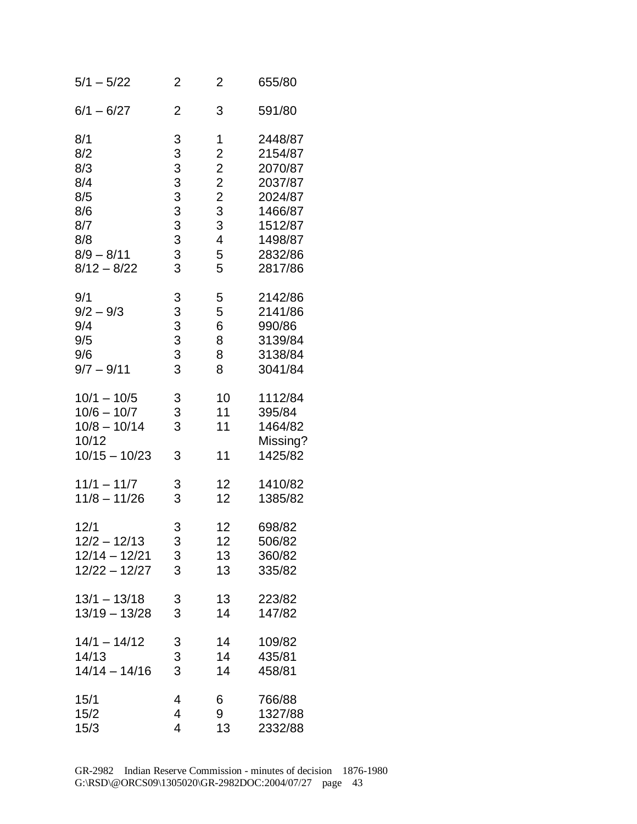| $5/1 - 5/22$                                                                 | 2                | $\overline{2}$          | 655/80                                              |
|------------------------------------------------------------------------------|------------------|-------------------------|-----------------------------------------------------|
| $6/1 - 6/27$                                                                 | $\overline{2}$   | 3                       | 591/80                                              |
| 8/1                                                                          | 3333333333       | 1                       | 2448/87                                             |
| 8/2                                                                          |                  | $\overline{\mathbf{c}}$ | 2154/87                                             |
| 8/3                                                                          |                  | $\overline{\mathbf{c}}$ | 2070/87                                             |
| 8/4                                                                          |                  | $\overline{c}$          | 2037/87                                             |
| 8/5                                                                          |                  | $\overline{c}$          | 2024/87                                             |
| 8/6                                                                          |                  | 3                       | 1466/87                                             |
| 8/7                                                                          |                  | 3                       | 1512/87                                             |
| 8/8                                                                          |                  | 4                       | 1498/87                                             |
| $8/9 - 8/11$                                                                 |                  | 5                       | 2832/86                                             |
| $8/12 - 8/22$                                                                |                  | 5                       | 2817/86                                             |
| 9/1                                                                          | $3333$<br>$333$  | 5                       | 2142/86                                             |
| $9/2 - 9/3$                                                                  |                  | 5                       | 2141/86                                             |
| 9/4                                                                          |                  | 6                       | 990/86                                              |
| 9/5                                                                          |                  | 8                       | 3139/84                                             |
| 9/6                                                                          |                  | 8                       | 3138/84                                             |
| $9/7 - 9/11$                                                                 |                  | 8                       | 3041/84                                             |
| $10/1 - 10/5$<br>$10/6 - 10/7$<br>$10/8 - 10/14$<br>10/12<br>$10/15 - 10/23$ | 3<br>3<br>3<br>3 | 10<br>11<br>11<br>11    | 1112/84<br>395/84<br>1464/82<br>Missing?<br>1425/82 |
| $11/1 - 11/7$                                                                | 3                | 12                      | 1410/82                                             |
| $11/8 - 11/26$                                                               | 3                | 12                      | 1385/82                                             |
| 12/1                                                                         | 3                | 12                      | 698/82                                              |
| $12/2 - 12/13$                                                               | 3                | 12 <sub>2</sub>         | 506/82                                              |
| $12/14 - 12/21$                                                              | 3                | 13                      | 360/82                                              |
| $12/22 - 12/27$                                                              | 3                | 13                      | 335/82                                              |
| $13/1 - 13/18$                                                               | 3                | 13                      | 223/82                                              |
| $13/19 - 13/28$                                                              | 3                | 14                      | 147/82                                              |
| $14/1 - 14/12$                                                               | 3                | 14                      | 109/82                                              |
| 14/13                                                                        | 3                | 14                      | 435/81                                              |
| $14/14 - 14/16$                                                              | 3                | 14                      | 458/81                                              |
| 15/1                                                                         | 4                | 6                       | 766/88                                              |
| 15/2                                                                         | 4                | 9                       | 1327/88                                             |
| 15/3                                                                         | 4                | 13                      | 2332/88                                             |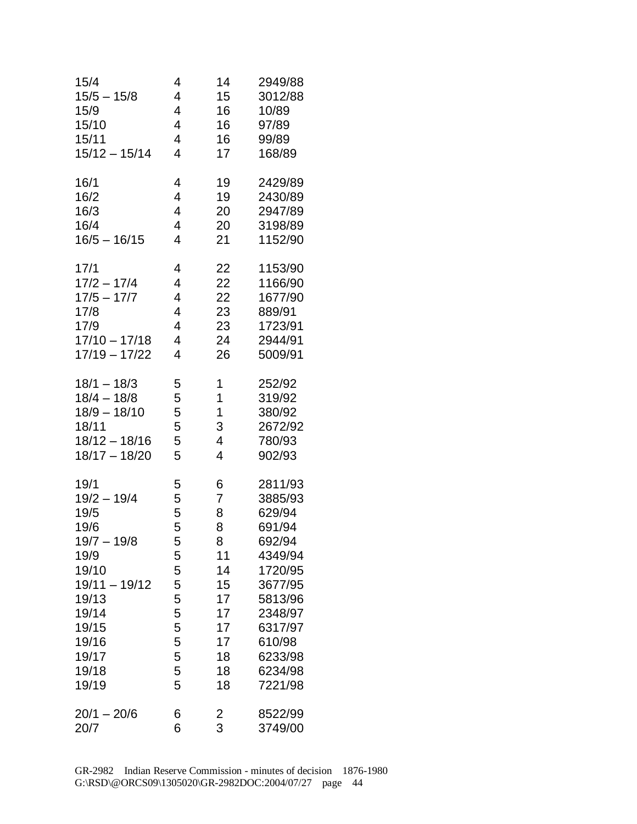| 15/4                                                                                                                                                     | 4                                                                       | 14                                                                                | 2949/88                                                                                                                                                       |
|----------------------------------------------------------------------------------------------------------------------------------------------------------|-------------------------------------------------------------------------|-----------------------------------------------------------------------------------|---------------------------------------------------------------------------------------------------------------------------------------------------------------|
| $15/5 - 15/8$                                                                                                                                            | 4                                                                       | 15                                                                                | 3012/88                                                                                                                                                       |
| 15/9                                                                                                                                                     | 4                                                                       | 16                                                                                | 10/89                                                                                                                                                         |
| 15/10                                                                                                                                                    | 4                                                                       | 16                                                                                | 97/89                                                                                                                                                         |
| 15/11                                                                                                                                                    | 4                                                                       | 16                                                                                | 99/89                                                                                                                                                         |
| $15/12 - 15/14$                                                                                                                                          | 4                                                                       | 17                                                                                | 168/89                                                                                                                                                        |
| 16/1                                                                                                                                                     | 4                                                                       | 19                                                                                | 2429/89                                                                                                                                                       |
| 16/2                                                                                                                                                     | 4                                                                       | 19                                                                                | 2430/89                                                                                                                                                       |
| 16/3                                                                                                                                                     | 4                                                                       | 20                                                                                | 2947/89                                                                                                                                                       |
| 16/4                                                                                                                                                     | 4                                                                       | 20                                                                                | 3198/89                                                                                                                                                       |
| $16/5 - 16/15$                                                                                                                                           | 4                                                                       | 21                                                                                | 1152/90                                                                                                                                                       |
| 17/1                                                                                                                                                     | 4                                                                       | 22                                                                                | 1153/90                                                                                                                                                       |
| $17/2 - 17/4$                                                                                                                                            | 4                                                                       | 22                                                                                | 1166/90                                                                                                                                                       |
| $17/5 - 17/7$                                                                                                                                            | 4                                                                       | 22                                                                                | 1677/90                                                                                                                                                       |
| 17/8                                                                                                                                                     | 4                                                                       | 23                                                                                | 889/91                                                                                                                                                        |
| 17/9                                                                                                                                                     | 4                                                                       | 23                                                                                | 1723/91                                                                                                                                                       |
| $17/10 - 17/18$                                                                                                                                          | 4                                                                       | 24                                                                                | 2944/91                                                                                                                                                       |
| $17/19 - 17/22$                                                                                                                                          | 4                                                                       | 26                                                                                | 5009/91                                                                                                                                                       |
| $18/1 - 18/3$                                                                                                                                            | 5                                                                       | 1                                                                                 | 252/92                                                                                                                                                        |
| $18/4 - 18/8$                                                                                                                                            | 5                                                                       | 1                                                                                 | 319/92                                                                                                                                                        |
| $18/9 - 18/10$                                                                                                                                           | 5                                                                       | 1                                                                                 | 380/92                                                                                                                                                        |
| 18/11                                                                                                                                                    | 5                                                                       | 3                                                                                 | 2672/92                                                                                                                                                       |
| $18/12 - 18/16$                                                                                                                                          | 5                                                                       | 4                                                                                 | 780/93                                                                                                                                                        |
| $18/17 - 18/20$                                                                                                                                          | 5                                                                       | 4                                                                                 | 902/93                                                                                                                                                        |
| 19/1<br>$19/2 - 19/4$<br>19/5<br>19/6<br>19/7<br>19/8<br>19/9<br>19/10<br>$19/11 - 19/12$<br>19/13<br>19/14<br>19/15<br>19/16<br>19/17<br>19/18<br>19/19 | 5<br>5<br>5<br>5<br>5<br>5<br>5<br>5<br>5<br>5<br>5<br>5<br>5<br>5<br>5 | 6<br>7<br>8<br>8<br>8<br>11<br>14<br>15<br>17<br>17<br>17<br>17<br>18<br>18<br>18 | 2811/93<br>3885/93<br>629/94<br>691/94<br>692/94<br>4349/94<br>1720/95<br>3677/95<br>5813/96<br>2348/97<br>6317/97<br>610/98<br>6233/98<br>6234/98<br>7221/98 |
| $20/1 - 20/6$                                                                                                                                            | 6                                                                       | $\overline{\mathbf{c}}$                                                           | 8522/99                                                                                                                                                       |
| 20/7                                                                                                                                                     | 6                                                                       | 3                                                                                 | 3749/00                                                                                                                                                       |